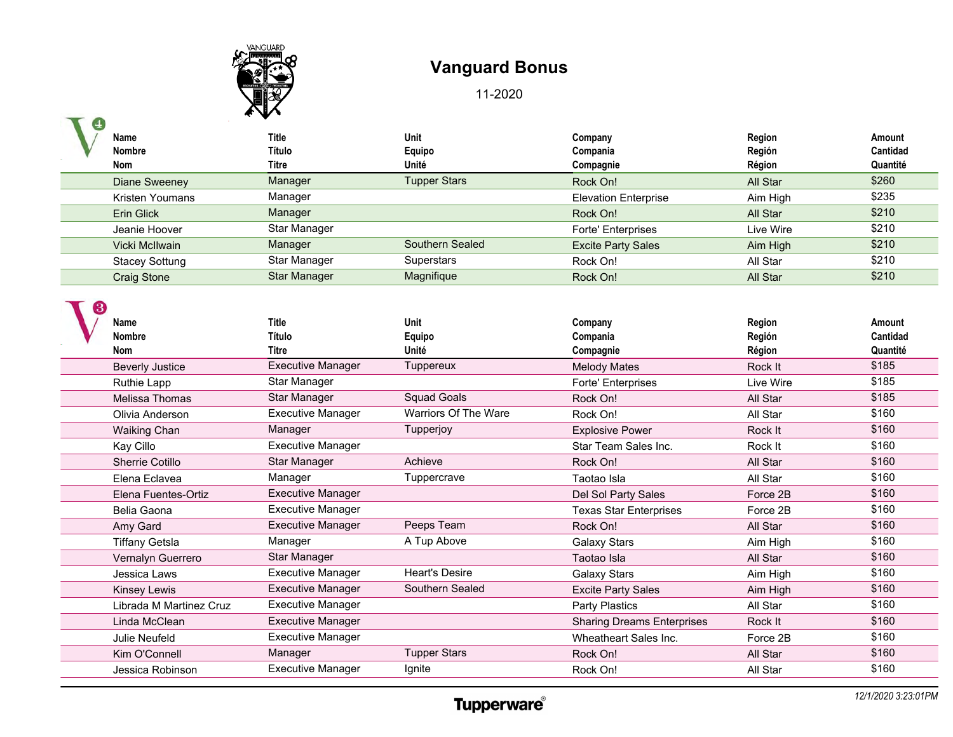

|   |                              | $\star$ $\mathbf{v}$            |                         |                                  |                            |                                |
|---|------------------------------|---------------------------------|-------------------------|----------------------------------|----------------------------|--------------------------------|
|   | Name                         | Title                           | Unit                    | Company                          | Region                     | Amount                         |
|   | <b>Nombre</b>                | Título                          | Equipo                  | Compania                         | Región                     | Cantidad                       |
|   | Nom                          | Titre                           | Unité                   | Compagnie                        | Région                     | Quantité                       |
|   | Diane Sweeney                | Manager                         | <b>Tupper Stars</b>     | Rock On!                         | All Star                   | \$260                          |
|   | <b>Kristen Youmans</b>       | Manager                         |                         | <b>Elevation Enterprise</b>      | Aim High                   | \$235                          |
|   | <b>Erin Glick</b>            | Manager                         |                         | Rock On!                         | All Star                   | \$210                          |
|   | Jeanie Hoover                | Star Manager                    |                         | Forte' Enterprises               | Live Wire                  | \$210                          |
|   | Vicki McIlwain               | Manager                         | Southern Sealed         | <b>Excite Party Sales</b>        | Aim High                   | \$210                          |
|   | <b>Stacey Sottung</b>        | Star Manager                    | Superstars              | Rock On!                         | All Star                   | \$210                          |
|   | <b>Craig Stone</b>           | <b>Star Manager</b>             | Magnifique              | Rock On!                         | All Star                   | \$210                          |
| З | Name<br><b>Nombre</b><br>Nom | <b>Title</b><br>Título<br>Titre | Unit<br>Equipo<br>Unité | Company<br>Compania<br>Compagnie | Region<br>Región<br>Région | Amount<br>Cantidad<br>Quantité |
|   | <b>Beverly Justice</b>       | <b>Executive Manager</b>        | Tuppereux               | <b>Melody Mates</b>              | Rock It                    | \$185                          |
|   | -                            | $C1 - R1 - R2 - R2$             |                         | _ _ _ _ _                        | .                          | 0.40E                          |

| ס ועוווטו               | טוויו                    | ∟quip∪                | <b>OUIIIpailla</b>                | ווטופטוו  | vannaau  |
|-------------------------|--------------------------|-----------------------|-----------------------------------|-----------|----------|
| <b>Nom</b>              | <b>Titre</b>             | Unité                 | Compagnie                         | Région    | Quantité |
| <b>Beverly Justice</b>  | <b>Executive Manager</b> | Tuppereux             | <b>Melody Mates</b>               | Rock It   | \$185    |
| Ruthie Lapp             | Star Manager             |                       | Forte' Enterprises                | Live Wire | \$185    |
| Melissa Thomas          | Star Manager             | <b>Squad Goals</b>    | Rock On!                          | All Star  | \$185    |
| Olivia Anderson         | <b>Executive Manager</b> | Warriors Of The Ware  | Rock On!                          | All Star  | \$160    |
| Waiking Chan            | Manager                  | Tupperjoy             | <b>Explosive Power</b>            | Rock It   | \$160    |
| Kay Cillo               | <b>Executive Manager</b> |                       | Star Team Sales Inc.              | Rock It   | \$160    |
| Sherrie Cotillo         | Star Manager             | Achieve               | Rock On!                          | All Star  | \$160    |
| Elena Eclavea           | Manager                  | Tuppercrave           | Taotao Isla                       | All Star  | \$160    |
| Elena Fuentes-Ortiz     | <b>Executive Manager</b> |                       | Del Sol Party Sales               | Force 2B  | \$160    |
| Belia Gaona             | <b>Executive Manager</b> |                       | <b>Texas Star Enterprises</b>     | Force 2B  | \$160    |
| Amy Gard                | <b>Executive Manager</b> | Peeps Team            | Rock On!                          | All Star  | \$160    |
| Tiffany Getsla          | Manager                  | A Tup Above           | Galaxy Stars                      | Aim High  | \$160    |
| Vernalyn Guerrero       | Star Manager             |                       | Taotao Isla                       | All Star  | \$160    |
| Jessica Laws            | <b>Executive Manager</b> | <b>Heart's Desire</b> | Galaxy Stars                      | Aim High  | \$160    |
| Kinsey Lewis            | <b>Executive Manager</b> | Southern Sealed       | <b>Excite Party Sales</b>         | Aim High  | \$160    |
| Librada M Martinez Cruz | <b>Executive Manager</b> |                       | Party Plastics                    | All Star  | \$160    |
| Linda McClean           | <b>Executive Manager</b> |                       | <b>Sharing Dreams Enterprises</b> | Rock It   | \$160    |
| Julie Neufeld           | <b>Executive Manager</b> |                       | Wheatheart Sales Inc.             | Force 2B  | \$160    |
| Kim O'Connell           | Manager                  | <b>Tupper Stars</b>   | Rock On!                          | All Star  | \$160    |
| Jessica Robinson        | <b>Executive Manager</b> | Ignite                | Rock On!                          | All Star  | \$160    |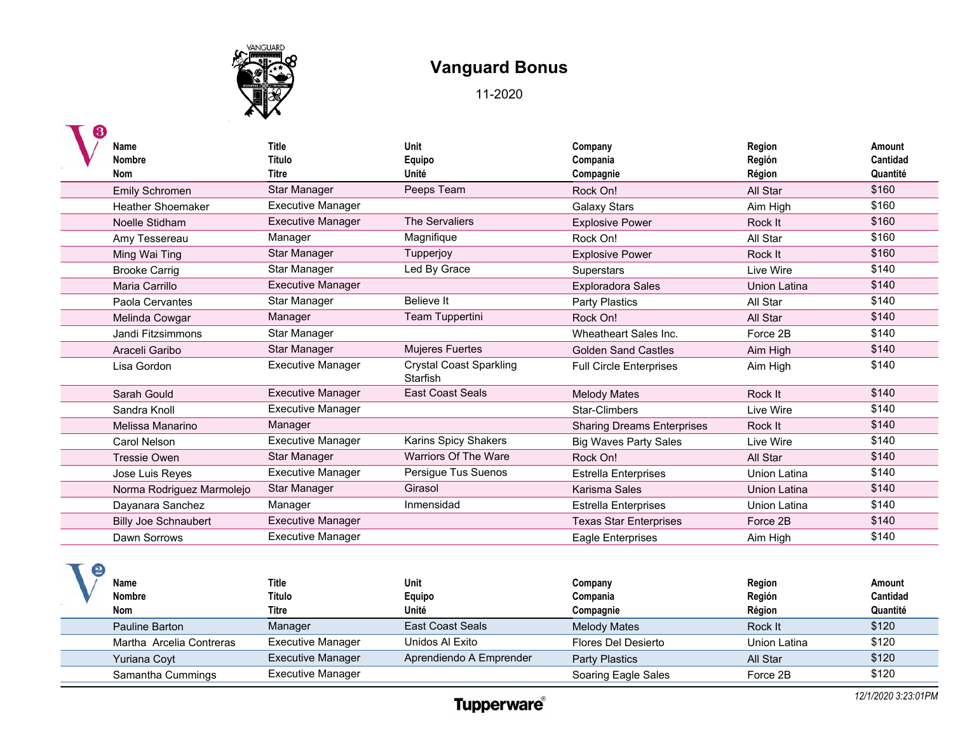

| Name<br><b>Nombre</b><br><b>Nom</b> | <b>Title</b><br>Título<br><b>Titre</b> | Unit<br>Equipo<br>Unité                    | Company<br>Compania<br>Compagnie  | Region<br>Región<br>Région | Amount<br>Cantidad<br>Quantité |
|-------------------------------------|----------------------------------------|--------------------------------------------|-----------------------------------|----------------------------|--------------------------------|
| Emily Schromen                      | Star Manager                           | Peeps Team                                 | Rock On!                          | All Star                   | \$160                          |
| <b>Heather Shoemaker</b>            | <b>Executive Manager</b>               |                                            | <b>Galaxy Stars</b>               | Aim High                   | \$160                          |
| Noelle Stidham                      | <b>Executive Manager</b>               | The Servaliers                             | <b>Explosive Power</b>            | Rock It                    | \$160                          |
| Amy Tessereau                       | Manager                                | Magnifique                                 | Rock On!                          | All Star                   | \$160                          |
| Ming Wai Ting                       | <b>Star Manager</b>                    | Tupperjoy                                  | <b>Explosive Power</b>            | Rock It                    | \$160                          |
| <b>Brooke Carrig</b>                | Star Manager                           | Led By Grace                               | Superstars                        | Live Wire                  | \$140                          |
| Maria Carrillo                      | <b>Executive Manager</b>               |                                            | <b>Exploradora Sales</b>          | Union Latina               | \$140                          |
| Paola Cervantes                     | Star Manager                           | <b>Believe It</b>                          | <b>Party Plastics</b>             | All Star                   | \$140                          |
| Melinda Cowgar                      | Manager                                | Team Tuppertini                            | Rock On!                          | All Star                   | \$140                          |
| Jandi Fitzsimmons                   | Star Manager                           |                                            | Wheatheart Sales Inc.             | Force 2B                   | \$140                          |
| Araceli Garibo                      | Star Manager                           | <b>Mujeres Fuertes</b>                     | <b>Golden Sand Castles</b>        | Aim High                   | \$140                          |
| Lisa Gordon                         | <b>Executive Manager</b>               | <b>Crystal Coast Sparkling</b><br>Starfish | <b>Full Circle Enterprises</b>    | Aim High                   | \$140                          |
| Sarah Gould                         | <b>Executive Manager</b>               | <b>East Coast Seals</b>                    | <b>Melody Mates</b>               | Rock It                    | \$140                          |
| Sandra Knoll                        | <b>Executive Manager</b>               |                                            | Star-Climbers                     | Live Wire                  | \$140                          |
| Melissa Manarino                    | Manager                                |                                            | <b>Sharing Dreams Enterprises</b> | Rock It                    | \$140                          |
| Carol Nelson                        | <b>Executive Manager</b>               | Karins Spicy Shakers                       | <b>Big Waves Party Sales</b>      | Live Wire                  | \$140                          |
| <b>Tressie Owen</b>                 | <b>Star Manager</b>                    | Warriors Of The Ware                       | Rock On!                          | All Star                   | \$140                          |
| Jose Luis Reyes                     | <b>Executive Manager</b>               | Persigue Tus Suenos                        | <b>Estrella Enterprises</b>       | Union Latina               | \$140                          |
| Norma Rodriguez Marmolejo           | <b>Star Manager</b>                    | Girasol                                    | Karisma Sales                     | <b>Union Latina</b>        | \$140                          |
| Dayanara Sanchez                    | Manager                                | Inmensidad                                 | <b>Estrella Enterprises</b>       | Union Latina               | \$140                          |
| <b>Billy Joe Schnaubert</b>         | <b>Executive Manager</b>               |                                            | <b>Texas Star Enterprises</b>     | Force 2B                   | \$140                          |
| Dawn Sorrows                        | <b>Executive Manager</b>               |                                            | Eagle Enterprises                 | Aim High                   | \$140                          |

| Name<br>Nombre<br>Nom    | Title<br>Título<br>Titre | <b>Unit</b><br>Equipo<br>Unité | Company<br>Compania<br>Compagnie | Region<br>Región<br>Région | Amount<br>Cantidad<br>Quantité |
|--------------------------|--------------------------|--------------------------------|----------------------------------|----------------------------|--------------------------------|
| Pauline Barton           | Manager                  | <b>East Coast Seals</b>        | Melody Mates                     | Rock It                    | \$120                          |
| Martha Arcelia Contreras | <b>Executive Manager</b> | Unidos Al Exito                | Flores Del Desierto              | Union Latina               | \$120                          |
| Yuriana Coyt             | <b>Executive Manager</b> | Aprendiendo A Emprender        | Party Plastics                   | All Star                   | \$120                          |
| Samantha Cummings        | <b>Executive Manager</b> |                                | Soaring Eagle Sales              | Force 2B                   | \$120                          |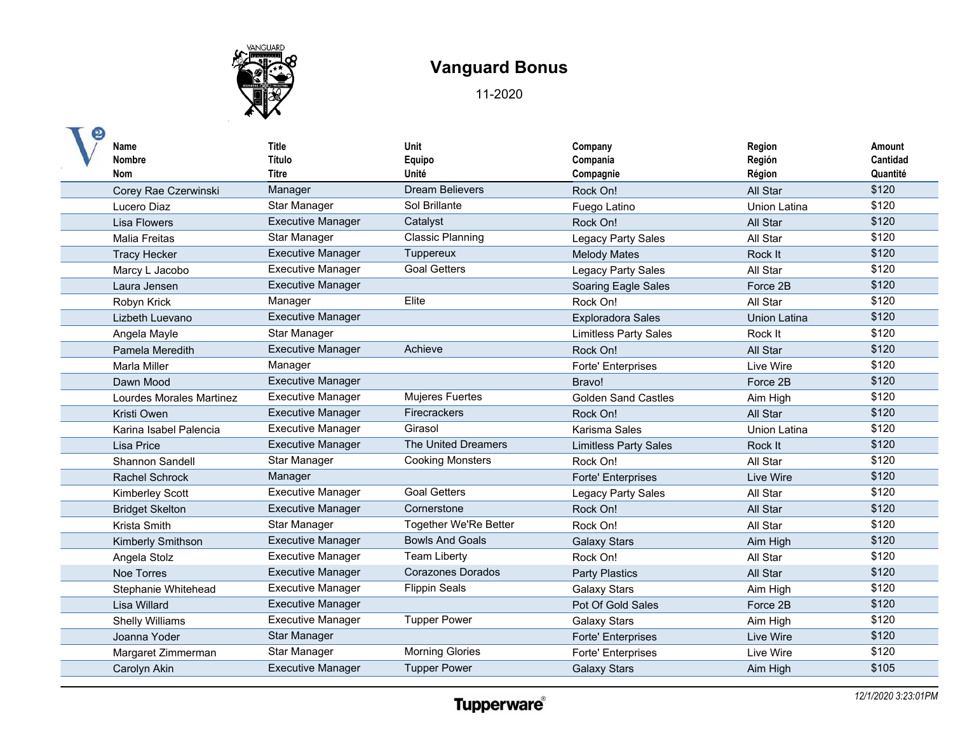

| Name<br><b>Nombre</b><br><b>Nom</b> | <b>Title</b><br>Título<br><b>Titre</b> | Unit<br>Equipo<br>Unité      | Company<br>Compania<br>Compagnie | Region<br>Región<br>Région | Amount<br>Cantidad<br>Quantité |
|-------------------------------------|----------------------------------------|------------------------------|----------------------------------|----------------------------|--------------------------------|
| Corey Rae Czerwinski                | Manager                                | <b>Dream Believers</b>       | Rock On!                         | All Star                   | \$120                          |
| Lucero Diaz                         | Star Manager                           | Sol Brillante                | Fuego Latino                     | <b>Union Latina</b>        | \$120                          |
| <b>Lisa Flowers</b>                 | <b>Executive Manager</b>               | Catalyst                     | Rock On!                         | All Star                   | \$120                          |
| <b>Malia Freitas</b>                | Star Manager                           | <b>Classic Planning</b>      | Legacy Party Sales               | All Star                   | \$120                          |
| <b>Tracy Hecker</b>                 | <b>Executive Manager</b>               | Tuppereux                    | <b>Melody Mates</b>              | Rock It                    | \$120                          |
| Marcy L Jacobo                      | <b>Executive Manager</b>               | <b>Goal Getters</b>          | Legacy Party Sales               | All Star                   | \$120                          |
| Laura Jensen                        | <b>Executive Manager</b>               |                              | Soaring Eagle Sales              | Force 2B                   | \$120                          |
| Robyn Krick                         | Manager                                | Elite                        | Rock On!                         | All Star                   | \$120                          |
| Lizbeth Luevano                     | <b>Executive Manager</b>               |                              | <b>Exploradora Sales</b>         | Union Latina               | \$120                          |
| Angela Mayle                        | Star Manager                           |                              | <b>Limitless Party Sales</b>     | Rock It                    | \$120                          |
| Pamela Meredith                     | <b>Executive Manager</b>               | Achieve                      | Rock On!                         | All Star                   | \$120                          |
| <b>Marla Miller</b>                 | Manager                                |                              | <b>Forte' Enterprises</b>        | Live Wire                  | \$120                          |
| Dawn Mood                           | <b>Executive Manager</b>               |                              | Bravo!                           | Force 2B                   | \$120                          |
| Lourdes Morales Martinez            | <b>Executive Manager</b>               | Mujeres Fuertes              | <b>Golden Sand Castles</b>       | Aim High                   | \$120                          |
| Kristi Owen                         | <b>Executive Manager</b>               | Firecrackers                 | Rock On!                         | All Star                   | \$120                          |
| Karina Isabel Palencia              | <b>Executive Manager</b>               | Girasol                      | Karisma Sales                    | <b>Union Latina</b>        | \$120                          |
| Lisa Price                          | <b>Executive Manager</b>               | The United Dreamers          | <b>Limitless Party Sales</b>     | Rock It                    | \$120                          |
| <b>Shannon Sandell</b>              | Star Manager                           | <b>Cooking Monsters</b>      | Rock On!                         | All Star                   | \$120                          |
| <b>Rachel Schrock</b>               | Manager                                |                              | Forte' Enterprises               | Live Wire                  | \$120                          |
| <b>Kimberley Scott</b>              | <b>Executive Manager</b>               | <b>Goal Getters</b>          | Legacy Party Sales               | All Star                   | \$120                          |
| <b>Bridget Skelton</b>              | <b>Executive Manager</b>               | Cornerstone                  | Rock On!                         | All Star                   | \$120                          |
| Krista Smith                        | Star Manager                           | <b>Together We'Re Better</b> | Rock On!                         | All Star                   | \$120                          |
| <b>Kimberly Smithson</b>            | <b>Executive Manager</b>               | <b>Bowls And Goals</b>       | <b>Galaxy Stars</b>              | Aim High                   | \$120                          |
| Angela Stolz                        | <b>Executive Manager</b>               | <b>Team Liberty</b>          | Rock On!                         | All Star                   | \$120                          |
| <b>Noe Torres</b>                   | <b>Executive Manager</b>               | <b>Corazones Dorados</b>     | <b>Party Plastics</b>            | All Star                   | \$120                          |
| Stephanie Whitehead                 | <b>Executive Manager</b>               | <b>Flippin Seals</b>         | <b>Galaxy Stars</b>              | Aim High                   | \$120                          |
| Lisa Willard                        | <b>Executive Manager</b>               |                              | Pot Of Gold Sales                | Force 2B                   | \$120                          |
| <b>Shelly Williams</b>              | <b>Executive Manager</b>               | <b>Tupper Power</b>          | <b>Galaxy Stars</b>              | Aim High                   | \$120                          |
| Joanna Yoder                        | <b>Star Manager</b>                    |                              | Forte' Enterprises               | Live Wire                  | \$120                          |
| Margaret Zimmerman                  | Star Manager                           | Morning Glories              | Forte' Enterprises               | Live Wire                  | \$120                          |
| Carolyn Akin                        | <b>Executive Manager</b>               | <b>Tupper Power</b>          | <b>Galaxy Stars</b>              | Aim High                   | \$105                          |
|                                     |                                        |                              |                                  |                            |                                |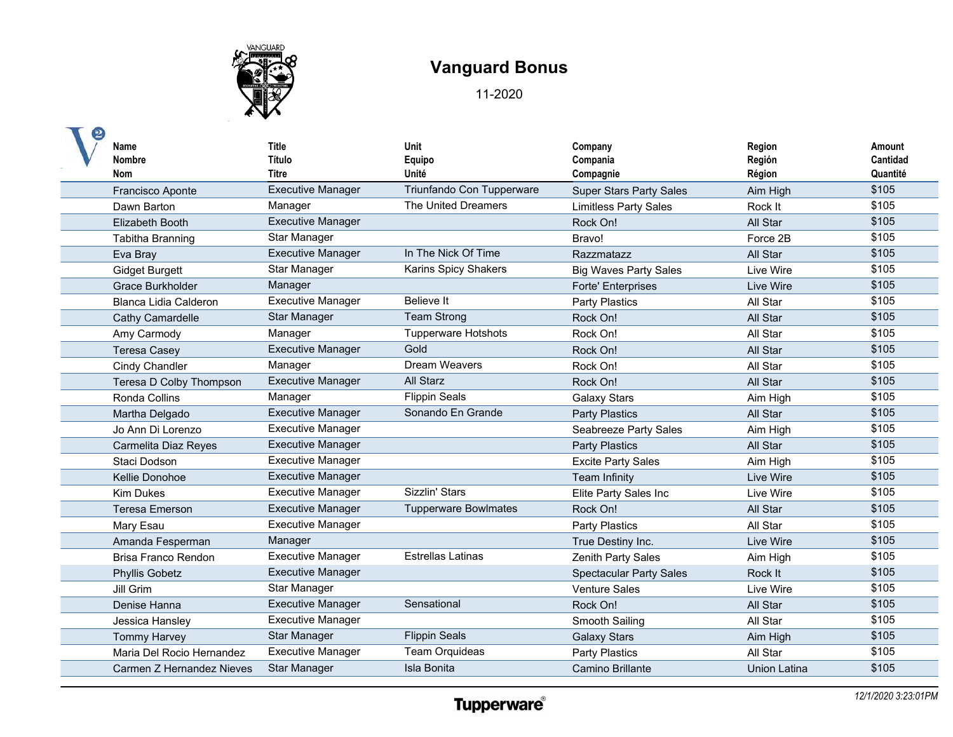

| Name<br><b>Nombre</b><br><b>Nom</b> | Title<br>Título<br>Titre | Unit<br>Equipo<br>Unité     | Company<br>Compania<br>Compagnie | Region<br>Región<br>Région | Amount<br>Cantidad<br>Quantité |
|-------------------------------------|--------------------------|-----------------------------|----------------------------------|----------------------------|--------------------------------|
| Francisco Aponte                    | <b>Executive Manager</b> | Triunfando Con Tupperware   | <b>Super Stars Party Sales</b>   | Aim High                   | \$105                          |
| Dawn Barton                         | Manager                  | The United Dreamers         | <b>Limitless Party Sales</b>     | Rock It                    | \$105                          |
| Elizabeth Booth                     | <b>Executive Manager</b> |                             | Rock On!                         | All Star                   | \$105                          |
| <b>Tabitha Branning</b>             | Star Manager             |                             | Bravo!                           | Force 2B                   | \$105                          |
| Eva Bray                            | <b>Executive Manager</b> | In The Nick Of Time         | Razzmatazz                       | All Star                   | \$105                          |
| Gidget Burgett                      | Star Manager             | Karins Spicy Shakers        | <b>Big Waves Party Sales</b>     | Live Wire                  | \$105                          |
| Grace Burkholder                    | Manager                  |                             | <b>Forte' Enterprises</b>        | Live Wire                  | \$105                          |
| <b>Blanca Lidia Calderon</b>        | <b>Executive Manager</b> | <b>Believe It</b>           | Party Plastics                   | All Star                   | \$105                          |
| Cathy Camardelle                    | Star Manager             | <b>Team Strong</b>          | Rock On!                         | All Star                   | \$105                          |
| Amy Carmody                         | Manager                  | <b>Tupperware Hotshots</b>  | Rock On!                         | All Star                   | \$105                          |
| <b>Teresa Casey</b>                 | <b>Executive Manager</b> | Gold                        | Rock On!                         | All Star                   | \$105                          |
| Cindy Chandler                      | Manager                  | Dream Weavers               | Rock On!                         | All Star                   | \$105                          |
| Teresa D Colby Thompson             | <b>Executive Manager</b> | <b>All Starz</b>            | Rock On!                         | All Star                   | \$105                          |
| Ronda Collins                       | Manager                  | <b>Flippin Seals</b>        | <b>Galaxy Stars</b>              | Aim High                   | \$105                          |
| Martha Delgado                      | <b>Executive Manager</b> | Sonando En Grande           | <b>Party Plastics</b>            | All Star                   | \$105                          |
| Jo Ann Di Lorenzo                   | <b>Executive Manager</b> |                             | Seabreeze Party Sales            | Aim High                   | \$105                          |
| Carmelita Diaz Reyes                | <b>Executive Manager</b> |                             | <b>Party Plastics</b>            | All Star                   | \$105                          |
| Staci Dodson                        | <b>Executive Manager</b> |                             | <b>Excite Party Sales</b>        | Aim High                   | \$105                          |
| Kellie Donohoe                      | <b>Executive Manager</b> |                             | Team Infinity                    | Live Wire                  | \$105                          |
| <b>Kim Dukes</b>                    | <b>Executive Manager</b> | Sizzlin' Stars              | Elite Party Sales Inc            | Live Wire                  | \$105                          |
| <b>Teresa Emerson</b>               | <b>Executive Manager</b> | <b>Tupperware Bowlmates</b> | Rock On!                         | All Star                   | \$105                          |
| Mary Esau                           | <b>Executive Manager</b> |                             | <b>Party Plastics</b>            | All Star                   | \$105                          |
| Amanda Fesperman                    | Manager                  |                             | True Destiny Inc.                | Live Wire                  | \$105                          |
| Brisa Franco Rendon                 | <b>Executive Manager</b> | <b>Estrellas Latinas</b>    | <b>Zenith Party Sales</b>        | Aim High                   | \$105                          |
| <b>Phyllis Gobetz</b>               | <b>Executive Manager</b> |                             | <b>Spectacular Party Sales</b>   | Rock It                    | \$105                          |
| Jill Grim                           | Star Manager             |                             | <b>Venture Sales</b>             | Live Wire                  | \$105                          |
| Denise Hanna                        | <b>Executive Manager</b> | Sensational                 | Rock On!                         | All Star                   | \$105                          |
| Jessica Hansley                     | <b>Executive Manager</b> |                             | Smooth Sailing                   | All Star                   | \$105                          |
| <b>Tommy Harvey</b>                 | <b>Star Manager</b>      | <b>Flippin Seals</b>        | <b>Galaxy Stars</b>              | Aim High                   | \$105                          |
| Maria Del Rocio Hernandez           | <b>Executive Manager</b> | <b>Team Orquideas</b>       | <b>Party Plastics</b>            | All Star                   | \$105                          |
| Carmen Z Hernandez Nieves           | Star Manager             | Isla Bonita                 | Camino Brillante                 | <b>Union Latina</b>        | \$105                          |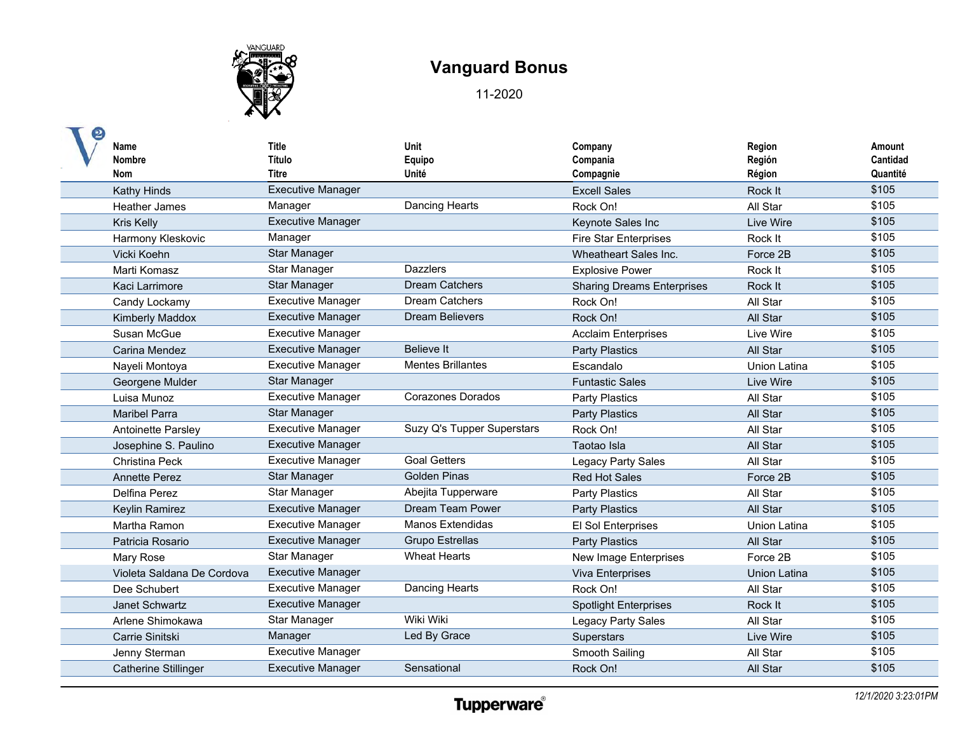

| Name<br><b>Nombre</b><br>Nom | <b>Title</b><br>Título<br>Titre | Unit<br>Equipo<br>Unité    | Company<br>Compania<br>Compagnie  | Region<br>Región<br>Région | Amount<br>Cantidad<br>Quantité |
|------------------------------|---------------------------------|----------------------------|-----------------------------------|----------------------------|--------------------------------|
| Kathy Hinds                  | <b>Executive Manager</b>        |                            | <b>Excell Sales</b>               | Rock It                    | \$105                          |
| <b>Heather James</b>         | Manager                         | Dancing Hearts             | Rock On!                          | All Star                   | \$105                          |
| Kris Kelly                   | <b>Executive Manager</b>        |                            | Keynote Sales Inc                 | Live Wire                  | \$105                          |
| Harmony Kleskovic            | Manager                         |                            | <b>Fire Star Enterprises</b>      | Rock It                    | \$105                          |
| Vicki Koehn                  | Star Manager                    |                            | Wheatheart Sales Inc.             | Force 2B                   | \$105                          |
| Marti Komasz                 | Star Manager                    | <b>Dazzlers</b>            | <b>Explosive Power</b>            | Rock It                    | \$105                          |
| Kaci Larrimore               | Star Manager                    | <b>Dream Catchers</b>      | <b>Sharing Dreams Enterprises</b> | Rock It                    | \$105                          |
| Candy Lockamy                | <b>Executive Manager</b>        | <b>Dream Catchers</b>      | Rock On!                          | All Star                   | \$105                          |
| <b>Kimberly Maddox</b>       | <b>Executive Manager</b>        | <b>Dream Believers</b>     | Rock On!                          | All Star                   | \$105                          |
| Susan McGue                  | <b>Executive Manager</b>        |                            | <b>Acclaim Enterprises</b>        | Live Wire                  | \$105                          |
| Carina Mendez                | <b>Executive Manager</b>        | <b>Believe It</b>          | <b>Party Plastics</b>             | All Star                   | \$105                          |
| Nayeli Montoya               | <b>Executive Manager</b>        | <b>Mentes Brillantes</b>   | Escandalo                         | <b>Union Latina</b>        | \$105                          |
| Georgene Mulder              | <b>Star Manager</b>             |                            | <b>Funtastic Sales</b>            | I ive Wire                 | \$105                          |
| Luisa Munoz                  | <b>Executive Manager</b>        | Corazones Dorados          | <b>Party Plastics</b>             | All Star                   | \$105                          |
| <b>Maribel Parra</b>         | <b>Star Manager</b>             |                            | <b>Party Plastics</b>             | All Star                   | \$105                          |
| <b>Antoinette Parsley</b>    | <b>Executive Manager</b>        | Suzy Q's Tupper Superstars | Rock On!                          | All Star                   | \$105                          |
| Josephine S. Paulino         | <b>Executive Manager</b>        |                            | Taotao Isla                       | All Star                   | \$105                          |
| <b>Christina Peck</b>        | <b>Executive Manager</b>        | <b>Goal Getters</b>        | <b>Legacy Party Sales</b>         | All Star                   | \$105                          |
| <b>Annette Perez</b>         | Star Manager                    | <b>Golden Pinas</b>        | <b>Red Hot Sales</b>              | Force 2B                   | \$105                          |
| Delfina Perez                | Star Manager                    | Abejita Tupperware         | <b>Party Plastics</b>             | All Star                   | \$105                          |
| Keylin Ramirez               | <b>Executive Manager</b>        | <b>Dream Team Power</b>    | <b>Party Plastics</b>             | All Star                   | \$105                          |
| Martha Ramon                 | <b>Executive Manager</b>        | <b>Manos Extendidas</b>    | El Sol Enterprises                | <b>Union Latina</b>        | \$105                          |
| Patricia Rosario             | <b>Executive Manager</b>        | <b>Grupo Estrellas</b>     | <b>Party Plastics</b>             | All Star                   | \$105                          |
| Mary Rose                    | Star Manager                    | <b>Wheat Hearts</b>        | New Image Enterprises             | Force 2B                   | \$105                          |
| Violeta Saldana De Cordova   | <b>Executive Manager</b>        |                            | Viva Enterprises                  | <b>Union Latina</b>        | \$105                          |
| Dee Schubert                 | <b>Executive Manager</b>        | Dancing Hearts             | Rock On!                          | All Star                   | \$105                          |
| Janet Schwartz               | <b>Executive Manager</b>        |                            | <b>Spotlight Enterprises</b>      | Rock It                    | \$105                          |
| Arlene Shimokawa             | Star Manager                    | Wiki Wiki                  | Legacy Party Sales                | All Star                   | \$105                          |
| Carrie Sinitski              | Manager                         | Led By Grace               | Superstars                        | Live Wire                  | \$105                          |
| Jenny Sterman                | <b>Executive Manager</b>        |                            | Smooth Sailing                    | All Star                   | \$105                          |
| <b>Catherine Stillinger</b>  | <b>Executive Manager</b>        | Sensational                | Rock On!                          | All Star                   | \$105                          |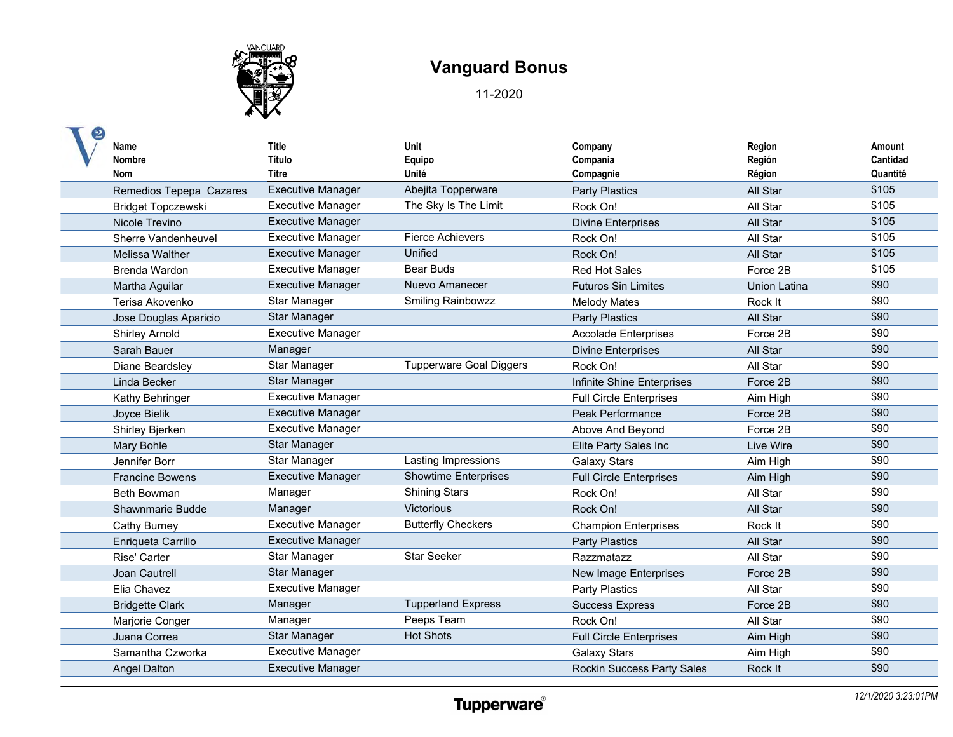

| Name<br><b>Nombre</b><br>Nom | Title<br>Título<br><b>Titre</b> | Unit<br>Equipo<br>Unité        | Company<br>Compania<br>Compagnie  | Region<br>Región<br>Région | Amount<br>Cantidad<br>Quantité |
|------------------------------|---------------------------------|--------------------------------|-----------------------------------|----------------------------|--------------------------------|
| Remedios Tepepa Cazares      | <b>Executive Manager</b>        | Abejita Topperware             | <b>Party Plastics</b>             | All Star                   | \$105                          |
| Bridget Topczewski           | <b>Executive Manager</b>        | The Sky Is The Limit           | Rock On!                          | All Star                   | \$105                          |
| Nicole Trevino               | <b>Executive Manager</b>        |                                | <b>Divine Enterprises</b>         | All Star                   | \$105                          |
| Sherre Vandenheuvel          | <b>Executive Manager</b>        | <b>Fierce Achievers</b>        | Rock On!                          | All Star                   | \$105                          |
| Melissa Walther              | <b>Executive Manager</b>        | Unified                        | Rock On!                          | All Star                   | \$105                          |
| Brenda Wardon                | <b>Executive Manager</b>        | <b>Bear Buds</b>               | <b>Red Hot Sales</b>              | Force 2B                   | \$105                          |
| Martha Aguilar               | <b>Executive Manager</b>        | Nuevo Amanecer                 | <b>Futuros Sin Limites</b>        | <b>Union Latina</b>        | \$90                           |
| Terisa Akovenko              | Star Manager                    | <b>Smiling Rainbowzz</b>       | <b>Melody Mates</b>               | Rock It                    | \$90                           |
| Jose Douglas Aparicio        | Star Manager                    |                                | <b>Party Plastics</b>             | All Star                   | \$90                           |
| <b>Shirley Arnold</b>        | <b>Executive Manager</b>        |                                | <b>Accolade Enterprises</b>       | Force 2B                   | \$90                           |
| Sarah Bauer                  | Manager                         |                                | <b>Divine Enterprises</b>         | All Star                   | \$90                           |
| Diane Beardsley              | Star Manager                    | <b>Tupperware Goal Diggers</b> | Rock On!                          | All Star                   | \$90                           |
| Linda Becker                 | Star Manager                    |                                | Infinite Shine Enterprises        | Force 2B                   | \$90                           |
| Kathy Behringer              | <b>Executive Manager</b>        |                                | <b>Full Circle Enterprises</b>    | Aim High                   | \$90                           |
| Joyce Bielik                 | <b>Executive Manager</b>        |                                | Peak Performance                  | Force 2B                   | \$90                           |
| Shirley Bjerken              | <b>Executive Manager</b>        |                                | Above And Beyond                  | Force 2B                   | \$90                           |
| Mary Bohle                   | Star Manager                    |                                | Elite Party Sales Inc             | Live Wire                  | \$90                           |
| Jennifer Borr                | Star Manager                    | Lasting Impressions            | <b>Galaxy Stars</b>               | Aim High                   | \$90                           |
| <b>Francine Bowens</b>       | <b>Executive Manager</b>        | <b>Showtime Enterprises</b>    | <b>Full Circle Enterprises</b>    | Aim High                   | \$90                           |
| <b>Beth Bowman</b>           | Manager                         | <b>Shining Stars</b>           | Rock On!                          | All Star                   | \$90                           |
| Shawnmarie Budde             | Manager                         | Victorious                     | Rock On!                          | All Star                   | \$90                           |
| Cathy Burney                 | <b>Executive Manager</b>        | <b>Butterfly Checkers</b>      | <b>Champion Enterprises</b>       | Rock It                    | \$90                           |
| Enrigueta Carrillo           | <b>Executive Manager</b>        |                                | <b>Party Plastics</b>             | All Star                   | \$90                           |
| Rise' Carter                 | Star Manager                    | <b>Star Seeker</b>             | Razzmatazz                        | All Star                   | \$90                           |
| Joan Cautrell                | <b>Star Manager</b>             |                                | New Image Enterprises             | Force 2B                   | \$90                           |
| Elia Chavez                  | <b>Executive Manager</b>        |                                | <b>Party Plastics</b>             | All Star                   | \$90                           |
| <b>Bridgette Clark</b>       | Manager                         | <b>Tupperland Express</b>      | <b>Success Express</b>            | Force 2B                   | \$90                           |
| Marjorie Conger              | Manager                         | Peeps Team                     | Rock On!                          | All Star                   | \$90                           |
| Juana Correa                 | <b>Star Manager</b>             | <b>Hot Shots</b>               | <b>Full Circle Enterprises</b>    | Aim High                   | \$90                           |
| Samantha Czworka             | <b>Executive Manager</b>        |                                | <b>Galaxy Stars</b>               | Aim High                   | \$90                           |
| <b>Angel Dalton</b>          | <b>Executive Manager</b>        |                                | <b>Rockin Success Party Sales</b> | Rock It                    | \$90                           |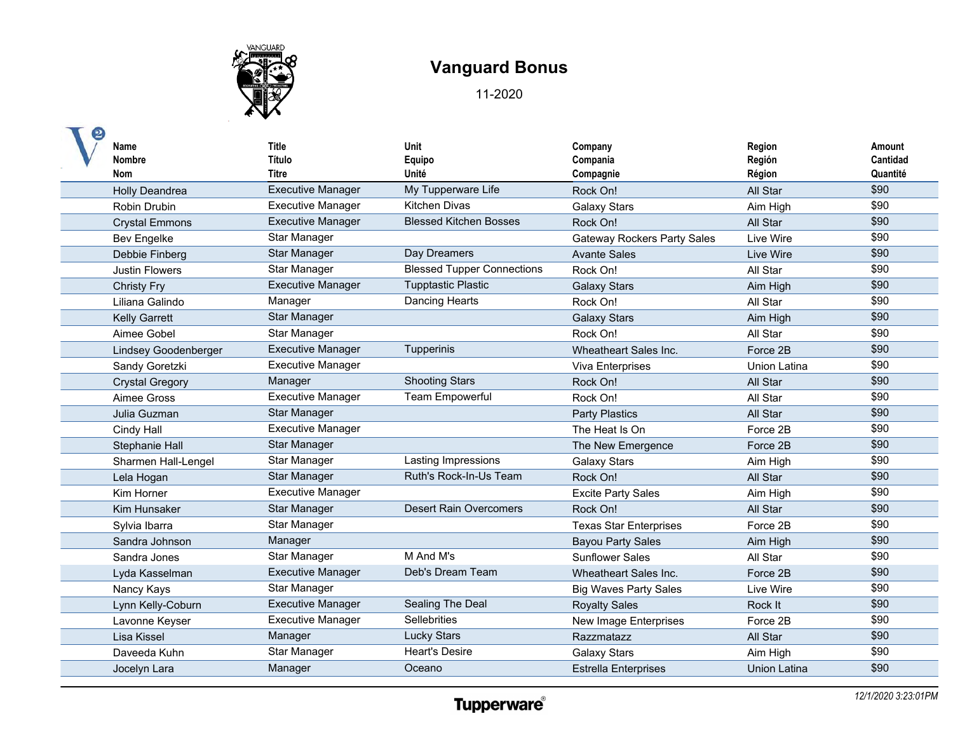

| Name<br><b>Nombre</b><br>Nom | <b>Title</b><br>Título<br>Titre | <b>Unit</b><br>Equipo<br>Unité    | Company<br>Compania<br>Compagnie   | Region<br>Región<br>Région | Amount<br>Cantidad<br>Quantité |
|------------------------------|---------------------------------|-----------------------------------|------------------------------------|----------------------------|--------------------------------|
| Holly Deandrea               | <b>Executive Manager</b>        | My Tupperware Life                | Rock On!                           | All Star                   | \$90                           |
| Robin Drubin                 | <b>Executive Manager</b>        | <b>Kitchen Divas</b>              | <b>Galaxy Stars</b>                | Aim High                   | \$90                           |
| <b>Crystal Emmons</b>        | <b>Executive Manager</b>        | <b>Blessed Kitchen Bosses</b>     | Rock On!                           | All Star                   | \$90                           |
| <b>Bev Engelke</b>           | Star Manager                    |                                   | <b>Gateway Rockers Party Sales</b> | Live Wire                  | \$90                           |
| Debbie Finberg               | Star Manager                    | Day Dreamers                      | <b>Avante Sales</b>                | Live Wire                  | \$90                           |
| <b>Justin Flowers</b>        | Star Manager                    | <b>Blessed Tupper Connections</b> | Rock On!                           | All Star                   | \$90                           |
| <b>Christy Fry</b>           | <b>Executive Manager</b>        | <b>Tupptastic Plastic</b>         | <b>Galaxy Stars</b>                | Aim High                   | \$90                           |
| Liliana Galindo              | Manager                         | Dancing Hearts                    | Rock On!                           | All Star                   | \$90                           |
| <b>Kelly Garrett</b>         | <b>Star Manager</b>             |                                   | <b>Galaxy Stars</b>                | Aim High                   | \$90                           |
| Aimee Gobel                  | Star Manager                    |                                   | Rock On!                           | All Star                   | \$90                           |
| <b>Lindsey Goodenberger</b>  | <b>Executive Manager</b>        | Tupperinis                        | Wheatheart Sales Inc.              | Force 2B                   | \$90                           |
| Sandy Goretzki               | <b>Executive Manager</b>        |                                   | Viva Enterprises                   | <b>Union Latina</b>        | \$90                           |
| <b>Crystal Gregory</b>       | Manager                         | <b>Shooting Stars</b>             | Rock On!                           | All Star                   | \$90                           |
| Aimee Gross                  | <b>Executive Manager</b>        | <b>Team Empowerful</b>            | Rock On!                           | All Star                   | \$90                           |
| Julia Guzman                 | <b>Star Manager</b>             |                                   | <b>Party Plastics</b>              | All Star                   | \$90                           |
| <b>Cindy Hall</b>            | <b>Executive Manager</b>        |                                   | The Heat Is On                     | Force 2B                   | \$90                           |
| Stephanie Hall               | <b>Star Manager</b>             |                                   | The New Emergence                  | Force 2B                   | \$90                           |
| Sharmen Hall-Lengel          | Star Manager                    | Lasting Impressions               | <b>Galaxy Stars</b>                | Aim High                   | \$90                           |
| Lela Hogan                   | Star Manager                    | Ruth's Rock-In-Us Team            | Rock On!                           | All Star                   | \$90                           |
| Kim Horner                   | <b>Executive Manager</b>        |                                   | <b>Excite Party Sales</b>          | Aim High                   | \$90                           |
| Kim Hunsaker                 | <b>Star Manager</b>             | <b>Desert Rain Overcomers</b>     | Rock On!                           | All Star                   | \$90                           |
| Sylvia Ibarra                | Star Manager                    |                                   | <b>Texas Star Enterprises</b>      | Force 2B                   | \$90                           |
| Sandra Johnson               | Manager                         |                                   | <b>Bayou Party Sales</b>           | Aim High                   | \$90                           |
| Sandra Jones                 | Star Manager                    | M And M's                         | <b>Sunflower Sales</b>             | All Star                   | \$90                           |
| Lyda Kasselman               | <b>Executive Manager</b>        | Deb's Dream Team                  | Wheatheart Sales Inc.              | Force 2B                   | \$90                           |
| Nancy Kays                   | <b>Star Manager</b>             |                                   | <b>Big Waves Party Sales</b>       | Live Wire                  | \$90                           |
| Lynn Kelly-Coburn            | <b>Executive Manager</b>        | <b>Sealing The Deal</b>           | <b>Royalty Sales</b>               | Rock It                    | \$90                           |
| Lavonne Keyser               | <b>Executive Manager</b>        | Sellebrities                      | <b>New Image Enterprises</b>       | Force 2B                   | \$90                           |
| Lisa Kissel                  | Manager                         | <b>Lucky Stars</b>                | Razzmatazz                         | All Star                   | \$90                           |
| Daveeda Kuhn                 | <b>Star Manager</b>             | <b>Heart's Desire</b>             | <b>Galaxy Stars</b>                | Aim High                   | \$90                           |
| Jocelyn Lara                 | Manager                         | Oceano                            | <b>Estrella Enterprises</b>        | Union Latina               | \$90                           |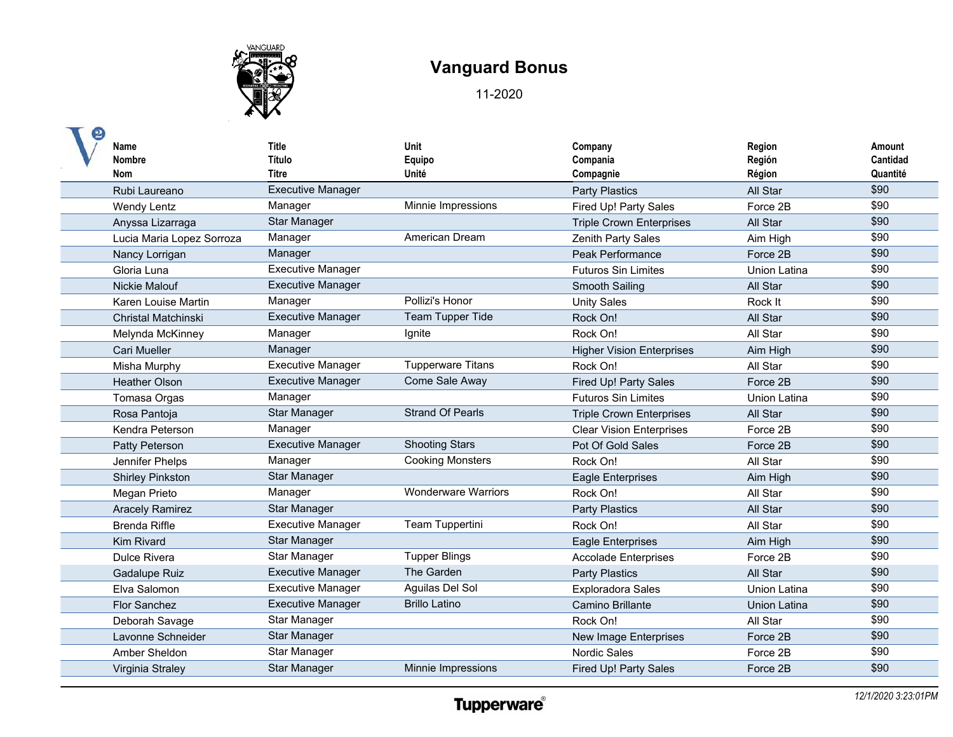

| Name<br><b>Nombre</b><br><b>Nom</b> | <b>Title</b><br>Título<br><b>Titre</b> | Unit<br>Equipo<br>Unité    | Company<br>Compania<br>Compagnie | Region<br>Región<br>Région | Amount<br>Cantidad<br>Quantité |
|-------------------------------------|----------------------------------------|----------------------------|----------------------------------|----------------------------|--------------------------------|
| Rubi Laureano                       | <b>Executive Manager</b>               |                            | <b>Party Plastics</b>            | All Star                   | \$90                           |
| <b>Wendy Lentz</b>                  | Manager                                | Minnie Impressions         | Fired Up! Party Sales            | Force 2B                   | \$90                           |
| Anyssa Lizarraga                    | Star Manager                           |                            | <b>Triple Crown Enterprises</b>  | All Star                   | \$90                           |
| Lucia Maria Lopez Sorroza           | Manager                                | American Dream             | Zenith Party Sales               | Aim High                   | \$90                           |
| Nancy Lorrigan                      | Manager                                |                            | <b>Peak Performance</b>          | Force 2B                   | \$90                           |
| Gloria Luna                         | <b>Executive Manager</b>               |                            | <b>Futuros Sin Limites</b>       | Union Latina               | \$90                           |
| <b>Nickie Malouf</b>                | <b>Executive Manager</b>               |                            | Smooth Sailing                   | All Star                   | \$90                           |
| Karen Louise Martin                 | Manager                                | Pollizi's Honor            | <b>Unity Sales</b>               | Rock It                    | \$90                           |
| <b>Christal Matchinski</b>          | <b>Executive Manager</b>               | <b>Team Tupper Tide</b>    | Rock On!                         | All Star                   | \$90                           |
| Melynda McKinney                    | Manager                                | Ignite                     | Rock On!                         | All Star                   | \$90                           |
| <b>Cari Mueller</b>                 | Manager                                |                            | <b>Higher Vision Enterprises</b> | Aim High                   | \$90                           |
| Misha Murphy                        | <b>Executive Manager</b>               | <b>Tupperware Titans</b>   | Rock On!                         | All Star                   | \$90                           |
| <b>Heather Olson</b>                | <b>Executive Manager</b>               | Come Sale Away             | Fired Up! Party Sales            | Force 2B                   | \$90                           |
| Tomasa Orgas                        | Manager                                |                            | <b>Futuros Sin Limites</b>       | <b>Union Latina</b>        | \$90                           |
| Rosa Pantoja                        | Star Manager                           | <b>Strand Of Pearls</b>    | <b>Triple Crown Enterprises</b>  | All Star                   | \$90                           |
| Kendra Peterson                     | Manager                                |                            | <b>Clear Vision Enterprises</b>  | Force 2B                   | \$90                           |
| Patty Peterson                      | <b>Executive Manager</b>               | <b>Shooting Stars</b>      | Pot Of Gold Sales                | Force 2B                   | \$90                           |
| Jennifer Phelps                     | Manager                                | <b>Cooking Monsters</b>    | Rock On!                         | All Star                   | \$90                           |
| <b>Shirley Pinkston</b>             | <b>Star Manager</b>                    |                            | <b>Eagle Enterprises</b>         | Aim High                   | \$90                           |
| Megan Prieto                        | Manager                                | <b>Wonderware Warriors</b> | Rock On!                         | All Star                   | \$90                           |
| <b>Aracely Ramirez</b>              | <b>Star Manager</b>                    |                            | <b>Party Plastics</b>            | All Star                   | \$90                           |
| <b>Brenda Riffle</b>                | <b>Executive Manager</b>               | Team Tuppertini            | Rock On!                         | All Star                   | \$90                           |
| <b>Kim Rivard</b>                   | <b>Star Manager</b>                    |                            | <b>Eagle Enterprises</b>         | Aim High                   | \$90                           |
| Dulce Rivera                        | Star Manager                           | <b>Tupper Blings</b>       | <b>Accolade Enterprises</b>      | Force 2B                   | \$90                           |
| Gadalupe Ruiz                       | <b>Executive Manager</b>               | The Garden                 | <b>Party Plastics</b>            | All Star                   | \$90                           |
| Elva Salomon                        | <b>Executive Manager</b>               | Aguilas Del Sol            | <b>Exploradora Sales</b>         | Union Latina               | \$90                           |
| <b>Flor Sanchez</b>                 | <b>Executive Manager</b>               | <b>Brillo Latino</b>       | Camino Brillante                 | Union Latina               | \$90                           |
| Deborah Savage                      | Star Manager                           |                            | Rock On!                         | All Star                   | \$90                           |
| Lavonne Schneider                   | <b>Star Manager</b>                    |                            | New Image Enterprises            | Force 2B                   | \$90                           |
| Amber Sheldon                       | <b>Star Manager</b>                    |                            | <b>Nordic Sales</b>              | Force 2B                   | \$90                           |
| Virginia Straley                    | <b>Star Manager</b>                    | Minnie Impressions         | Fired Up! Party Sales            | Force 2B                   | \$90                           |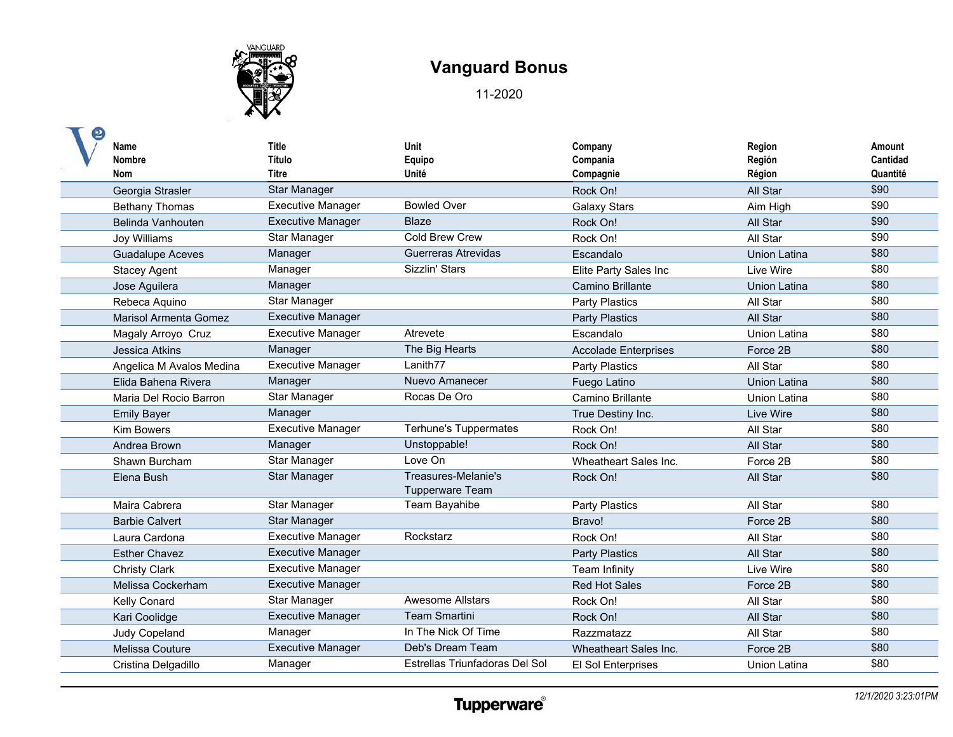

| Name<br><b>Nombre</b><br><b>Nom</b> | <b>Title</b><br>Título<br><b>Titre</b> | Unit<br>Equipo<br>Unité                | Company<br>Compania<br>Compagnie | Region<br>Región<br>Région | Amount<br>Cantidad<br>Quantité |
|-------------------------------------|----------------------------------------|----------------------------------------|----------------------------------|----------------------------|--------------------------------|
| Georgia Strasler                    | Star Manager                           |                                        | Rock On!                         | All Star                   | \$90                           |
| <b>Bethany Thomas</b>               | <b>Executive Manager</b>               | <b>Bowled Over</b>                     | <b>Galaxy Stars</b>              | Aim High                   | \$90                           |
| Belinda Vanhouten                   | <b>Executive Manager</b>               | <b>Blaze</b>                           | Rock On!                         | All Star                   | \$90                           |
| Joy Williams                        | Star Manager                           | Cold Brew Crew                         | Rock On!                         | All Star                   | \$90                           |
| <b>Guadalupe Aceves</b>             | Manager                                | Guerreras Atrevidas                    | Escandalo                        | <b>Union Latina</b>        | \$80                           |
| <b>Stacey Agent</b>                 | Manager                                | Sizzlin' Stars                         | Elite Party Sales Inc            | Live Wire                  | \$80                           |
| Jose Aguilera                       | Manager                                |                                        | Camino Brillante                 | <b>Union Latina</b>        | \$80                           |
| Rebeca Aquino                       | Star Manager                           |                                        | <b>Party Plastics</b>            | All Star                   | \$80                           |
| <b>Marisol Armenta Gomez</b>        | <b>Executive Manager</b>               |                                        | <b>Party Plastics</b>            | All Star                   | \$80                           |
| Magaly Arroyo Cruz                  | <b>Executive Manager</b>               | Atrevete                               | Escandalo                        | Union Latina               | \$80                           |
| Jessica Atkins                      | Manager                                | The Big Hearts                         | <b>Accolade Enterprises</b>      | Force 2B                   | \$80                           |
| Angelica M Avalos Medina            | <b>Executive Manager</b>               | Lanith77                               | <b>Party Plastics</b>            | All Star                   | \$80                           |
| Elida Bahena Rivera                 | Manager                                | Nuevo Amanecer                         | Fuego Latino                     | Union Latina               | \$80                           |
| Maria Del Rocio Barron              | Star Manager                           | Rocas De Oro                           | Camino Brillante                 | Union Latina               | \$80                           |
| <b>Emily Bayer</b>                  | Manager                                |                                        | True Destiny Inc.                | Live Wire                  | \$80                           |
| <b>Kim Bowers</b>                   | Executive Manager                      | <b>Terhune's Tuppermates</b>           | Rock On!                         | All Star                   | \$80                           |
| Andrea Brown                        | Manager                                | Unstoppable!                           | Rock On!                         | All Star                   | \$80                           |
| Shawn Burcham                       | <b>Star Manager</b>                    | Love On                                | Wheatheart Sales Inc.            | Force 2B                   | \$80                           |
| Elena Bush                          | Star Manager                           | Treasures-Melanie's<br>Tupperware Team | Rock On!                         | All Star                   | \$80                           |
| Maira Cabrera                       | Star Manager                           | Team Bayahibe                          | <b>Party Plastics</b>            | All Star                   | \$80                           |
| <b>Barbie Calvert</b>               | <b>Star Manager</b>                    |                                        | Bravo!                           | Force 2B                   | \$80                           |
| Laura Cardona                       | <b>Executive Manager</b>               | Rockstarz                              | Rock On!                         | All Star                   | \$80                           |
| <b>Esther Chavez</b>                | <b>Executive Manager</b>               |                                        | <b>Party Plastics</b>            | All Star                   | \$80                           |
| <b>Christy Clark</b>                | <b>Executive Manager</b>               |                                        | <b>Team Infinity</b>             | Live Wire                  | \$80                           |
| Melissa Cockerham                   | <b>Executive Manager</b>               |                                        | <b>Red Hot Sales</b>             | Force 2B                   | \$80                           |
| Kelly Conard                        | Star Manager                           | <b>Awesome Allstars</b>                | Rock On!                         | All Star                   | \$80                           |
| Kari Coolidge                       | <b>Executive Manager</b>               | <b>Team Smartini</b>                   | Rock On!                         | All Star                   | \$80                           |
| <b>Judy Copeland</b>                | Manager                                | In The Nick Of Time                    | Razzmatazz                       | All Star                   | \$80                           |
| Melissa Couture                     | <b>Executive Manager</b>               | Deb's Dream Team                       | Wheatheart Sales Inc.            | Force 2B                   | \$80                           |
| Cristina Delgadillo                 | Manager                                | Estrellas Triunfadoras Del Sol         | El Sol Enterprises               | Union Latina               | \$80                           |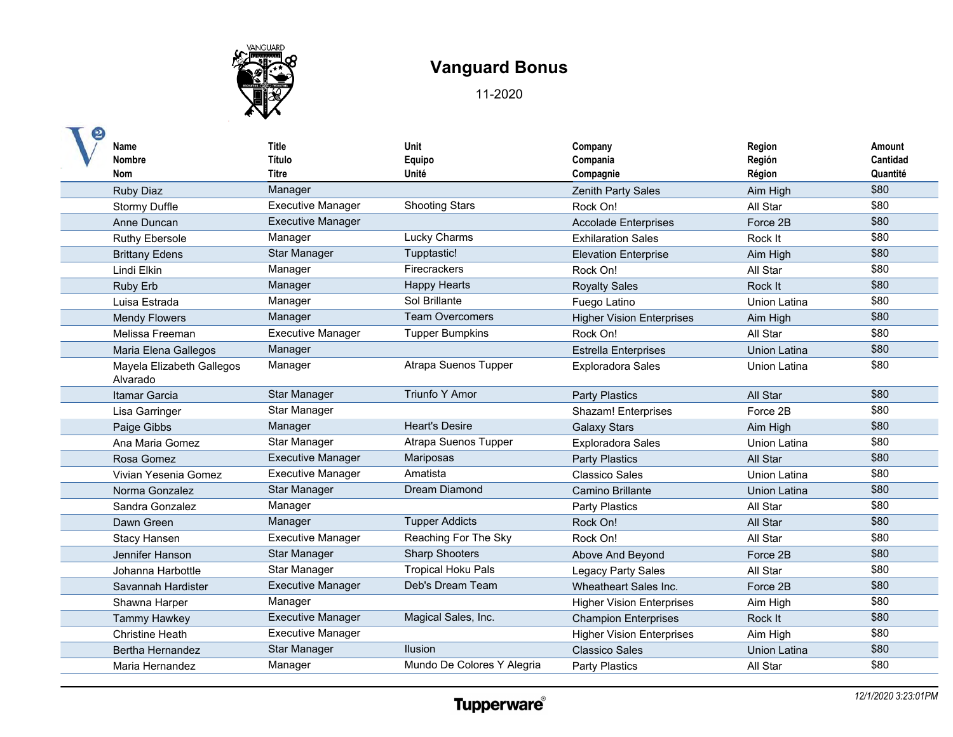

| Name<br><b>Nombre</b><br><b>Nom</b>   | <b>Title</b><br>Título<br><b>Titre</b> | Unit<br>Equipo<br>Unité    | Company<br>Compania<br>Compagnie | Region<br>Región<br>Région | Amount<br>Cantidad<br>Quantité |
|---------------------------------------|----------------------------------------|----------------------------|----------------------------------|----------------------------|--------------------------------|
| <b>Ruby Diaz</b>                      | Manager                                |                            | Zenith Party Sales               | Aim High                   | \$80                           |
| <b>Stormy Duffle</b>                  | <b>Executive Manager</b>               | <b>Shooting Stars</b>      | Rock On!                         | All Star                   | \$80                           |
| Anne Duncan                           | <b>Executive Manager</b>               |                            | <b>Accolade Enterprises</b>      | Force 2B                   | \$80                           |
| <b>Ruthy Ebersole</b>                 | Manager                                | <b>Lucky Charms</b>        | <b>Exhilaration Sales</b>        | Rock It                    | \$80                           |
| <b>Brittany Edens</b>                 | <b>Star Manager</b>                    | Tupptastic!                | <b>Elevation Enterprise</b>      | Aim High                   | \$80                           |
| Lindi Elkin                           | Manager                                | <b>Firecrackers</b>        | Rock On!                         | All Star                   | \$80                           |
| Ruby Erb                              | Manager                                | <b>Happy Hearts</b>        | <b>Royalty Sales</b>             | Rock It                    | \$80                           |
| Luisa Estrada                         | Manager                                | Sol Brillante              | Fuego Latino                     | <b>Union Latina</b>        | \$80                           |
| <b>Mendy Flowers</b>                  | Manager                                | <b>Team Overcomers</b>     | <b>Higher Vision Enterprises</b> | Aim High                   | \$80                           |
| Melissa Freeman                       | <b>Executive Manager</b>               | <b>Tupper Bumpkins</b>     | Rock On!                         | All Star                   | \$80                           |
| Maria Elena Gallegos                  | Manager                                |                            | <b>Estrella Enterprises</b>      | <b>Union Latina</b>        | \$80                           |
| Mayela Elizabeth Gallegos<br>Alvarado | Manager                                | Atrapa Suenos Tupper       | <b>Exploradora Sales</b>         | Union Latina               | \$80                           |
| Itamar Garcia                         | <b>Star Manager</b>                    | <b>Triunfo Y Amor</b>      | <b>Party Plastics</b>            | All Star                   | \$80                           |
| Lisa Garringer                        | Star Manager                           |                            | <b>Shazam! Enterprises</b>       | Force 2B                   | \$80                           |
| Paige Gibbs                           | Manager                                | <b>Heart's Desire</b>      | <b>Galaxy Stars</b>              | Aim High                   | \$80                           |
| Ana Maria Gomez                       | Star Manager                           | Atrapa Suenos Tupper       | <b>Exploradora Sales</b>         | <b>Union Latina</b>        | \$80                           |
| Rosa Gomez                            | <b>Executive Manager</b>               | Mariposas                  | <b>Party Plastics</b>            | All Star                   | \$80                           |
| Vivian Yesenia Gomez                  | <b>Executive Manager</b>               | Amatista                   | <b>Classico Sales</b>            | <b>Union Latina</b>        | \$80                           |
| Norma Gonzalez                        | Star Manager                           | Dream Diamond              | Camino Brillante                 | <b>Union Latina</b>        | \$80                           |
| Sandra Gonzalez                       | Manager                                |                            | <b>Party Plastics</b>            | All Star                   | \$80                           |
| Dawn Green                            | Manager                                | <b>Tupper Addicts</b>      | Rock On!                         | All Star                   | \$80                           |
| <b>Stacy Hansen</b>                   | <b>Executive Manager</b>               | Reaching For The Sky       | Rock On!                         | All Star                   | \$80                           |
| Jennifer Hanson                       | <b>Star Manager</b>                    | <b>Sharp Shooters</b>      | Above And Beyond                 | Force 2B                   | \$80                           |
| Johanna Harbottle                     | Star Manager                           | <b>Tropical Hoku Pals</b>  | Legacy Party Sales               | All Star                   | \$80                           |
| Savannah Hardister                    | <b>Executive Manager</b>               | Deb's Dream Team           | Wheatheart Sales Inc.            | Force 2B                   | \$80                           |
| Shawna Harper                         | Manager                                |                            | <b>Higher Vision Enterprises</b> | Aim High                   | \$80                           |
| <b>Tammy Hawkey</b>                   | <b>Executive Manager</b>               | Magical Sales, Inc.        | <b>Champion Enterprises</b>      | Rock It                    | \$80                           |
| <b>Christine Heath</b>                | <b>Executive Manager</b>               |                            | <b>Higher Vision Enterprises</b> | Aim High                   | \$80                           |
| Bertha Hernandez                      | <b>Star Manager</b>                    | <b>Ilusion</b>             | <b>Classico Sales</b>            | Union Latina               | \$80                           |
| Maria Hernandez                       | Manager                                | Mundo De Colores Y Alegria | <b>Party Plastics</b>            | All Star                   | \$80                           |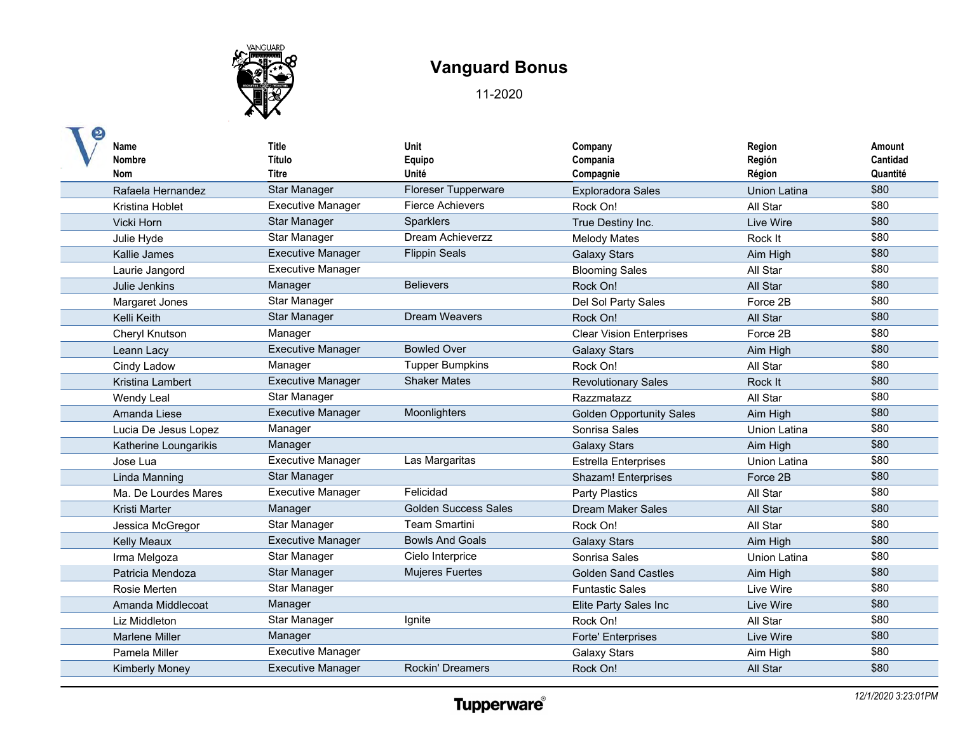

| Name<br><b>Nombre</b><br>Nom | <b>Title</b><br>Título<br>Titre | Unit<br>Equipo<br>Unité     | Company<br>Compania<br>Compagnie | Region<br>Región<br>Région | Amount<br>Cantidad<br>Quantité |
|------------------------------|---------------------------------|-----------------------------|----------------------------------|----------------------------|--------------------------------|
| Rafaela Hernandez            | <b>Star Manager</b>             | <b>Floreser Tupperware</b>  | <b>Exploradora Sales</b>         | <b>Union Latina</b>        | \$80                           |
| Kristina Hoblet              | <b>Executive Manager</b>        | <b>Fierce Achievers</b>     | Rock On!                         | All Star                   | \$80                           |
| Vicki Horn                   | Star Manager                    | <b>Sparklers</b>            | True Destiny Inc.                | Live Wire                  | \$80                           |
| Julie Hyde                   | Star Manager                    | Dream Achieverzz            | <b>Melody Mates</b>              | Rock It                    | \$80                           |
| Kallie James                 | <b>Executive Manager</b>        | <b>Flippin Seals</b>        | <b>Galaxy Stars</b>              | Aim High                   | \$80                           |
| Laurie Jangord               | <b>Executive Manager</b>        |                             | <b>Blooming Sales</b>            | All Star                   | \$80                           |
| Julie Jenkins                | Manager                         | <b>Believers</b>            | Rock On!                         | All Star                   | \$80                           |
| Margaret Jones               | Star Manager                    |                             | Del Sol Party Sales              | Force 2B                   | \$80                           |
| Kelli Keith                  | <b>Star Manager</b>             | <b>Dream Weavers</b>        | Rock On!                         | All Star                   | \$80                           |
| Cheryl Knutson               | Manager                         |                             | <b>Clear Vision Enterprises</b>  | Force 2B                   | \$80                           |
| Leann Lacy                   | <b>Executive Manager</b>        | <b>Bowled Over</b>          | <b>Galaxy Stars</b>              | Aim High                   | \$80                           |
| Cindy Ladow                  | Manager                         | <b>Tupper Bumpkins</b>      | Rock On!                         | All Star                   | \$80                           |
| Kristina Lambert             | <b>Executive Manager</b>        | <b>Shaker Mates</b>         | <b>Revolutionary Sales</b>       | Rock It                    | \$80                           |
| Wendy Leal                   | Star Manager                    |                             | Razzmatazz                       | All Star                   | \$80                           |
| Amanda Liese                 | <b>Executive Manager</b>        | Moonlighters                | <b>Golden Opportunity Sales</b>  | Aim High                   | \$80                           |
| Lucia De Jesus Lopez         | Manager                         |                             | Sonrisa Sales                    | Union Latina               | \$80                           |
| Katherine Loungarikis        | Manager                         |                             | <b>Galaxy Stars</b>              | Aim High                   | \$80                           |
| Jose Lua                     | <b>Executive Manager</b>        | Las Margaritas              | <b>Estrella Enterprises</b>      | <b>Union Latina</b>        | \$80                           |
| Linda Manning                | <b>Star Manager</b>             |                             | Shazam! Enterprises              | Force 2B                   | \$80                           |
| Ma. De Lourdes Mares         | <b>Executive Manager</b>        | Felicidad                   | <b>Party Plastics</b>            | All Star                   | \$80                           |
| <b>Kristi Marter</b>         | Manager                         | <b>Golden Success Sales</b> | Dream Maker Sales                | All Star                   | \$80                           |
| Jessica McGregor             | <b>Star Manager</b>             | <b>Team Smartini</b>        | Rock On!                         | All Star                   | \$80                           |
| <b>Kelly Meaux</b>           | <b>Executive Manager</b>        | <b>Bowls And Goals</b>      | <b>Galaxy Stars</b>              | Aim High                   | \$80                           |
| Irma Melgoza                 | Star Manager                    | Cielo Interprice            | Sonrisa Sales                    | Union Latina               | \$80                           |
| Patricia Mendoza             | <b>Star Manager</b>             | <b>Mujeres Fuertes</b>      | <b>Golden Sand Castles</b>       | Aim High                   | \$80                           |
| Rosie Merten                 | Star Manager                    |                             | <b>Funtastic Sales</b>           | Live Wire                  | \$80                           |
| Amanda Middlecoat            | Manager                         |                             | Elite Party Sales Inc            | Live Wire                  | \$80                           |
| Liz Middleton                | Star Manager                    | Ignite                      | Rock On!                         | All Star                   | \$80                           |
| <b>Marlene Miller</b>        | Manager                         |                             | <b>Forte' Enterprises</b>        | Live Wire                  | \$80                           |
| Pamela Miller                | <b>Executive Manager</b>        |                             | <b>Galaxy Stars</b>              | Aim High                   | \$80                           |
| <b>Kimberly Money</b>        | <b>Executive Manager</b>        | <b>Rockin' Dreamers</b>     | Rock On!                         | All Star                   | \$80                           |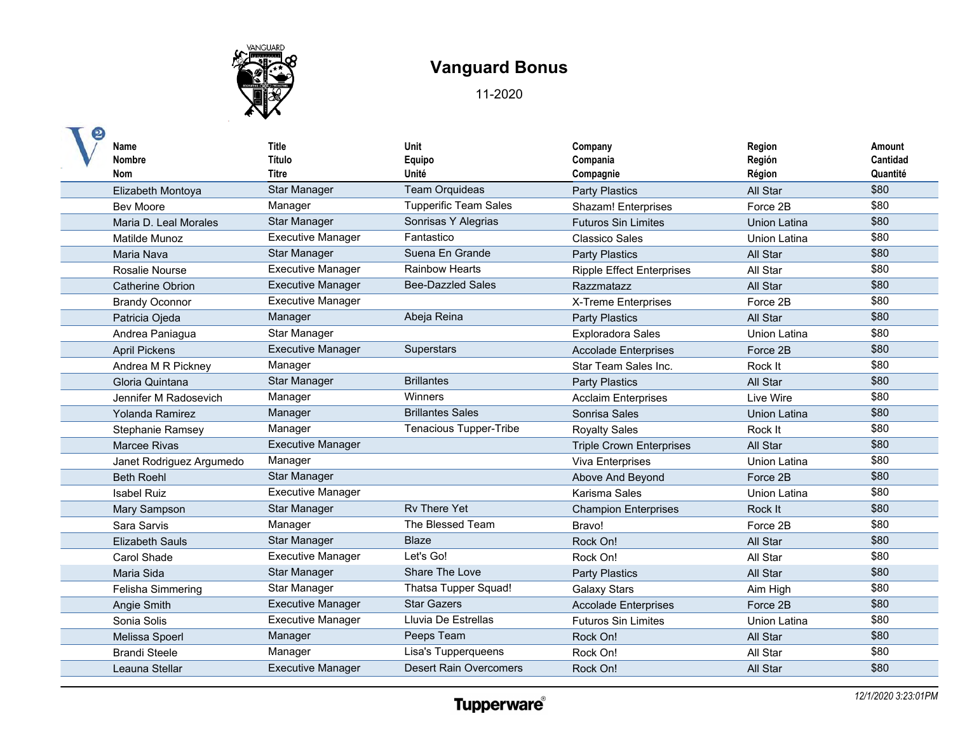

| Name<br><b>Nombre</b><br>Nom | <b>Title</b><br>Título<br><b>Titre</b> | Unit<br>Equipo<br>Unité       | Company<br>Compania<br>Compagnie | Region<br>Región<br>Région | Amount<br>Cantidad<br>Quantité |
|------------------------------|----------------------------------------|-------------------------------|----------------------------------|----------------------------|--------------------------------|
| Elizabeth Montoya            | <b>Star Manager</b>                    | <b>Team Orquideas</b>         | <b>Party Plastics</b>            | All Star                   | \$80                           |
| <b>Bev Moore</b>             | Manager                                | <b>Tupperific Team Sales</b>  | <b>Shazam! Enterprises</b>       | Force 2B                   | \$80                           |
| Maria D. Leal Morales        | <b>Star Manager</b>                    | Sonrisas Y Alegrias           | <b>Futuros Sin Limites</b>       | Union Latina               | \$80                           |
| Matilde Munoz                | <b>Executive Manager</b>               | Fantastico                    | <b>Classico Sales</b>            | Union Latina               | \$80                           |
| Maria Nava                   | <b>Star Manager</b>                    | Suena En Grande               | <b>Party Plastics</b>            | All Star                   | \$80                           |
| Rosalie Nourse               | <b>Executive Manager</b>               | <b>Rainbow Hearts</b>         | <b>Ripple Effect Enterprises</b> | All Star                   | \$80                           |
| <b>Catherine Obrion</b>      | <b>Executive Manager</b>               | <b>Bee-Dazzled Sales</b>      | Razzmatazz                       | All Star                   | \$80                           |
| <b>Brandy Oconnor</b>        | <b>Executive Manager</b>               |                               | X-Treme Enterprises              | Force 2B                   | \$80                           |
| Patricia Ojeda               | Manager                                | Abeja Reina                   | <b>Party Plastics</b>            | All Star                   | \$80                           |
| Andrea Paniagua              | Star Manager                           |                               | <b>Exploradora Sales</b>         | Union Latina               | \$80                           |
| <b>April Pickens</b>         | <b>Executive Manager</b>               | <b>Superstars</b>             | <b>Accolade Enterprises</b>      | Force 2B                   | \$80                           |
| Andrea M R Pickney           | Manager                                |                               | Star Team Sales Inc.             | Rock It                    | \$80                           |
| Gloria Quintana              | <b>Star Manager</b>                    | <b>Brillantes</b>             | <b>Party Plastics</b>            | All Star                   | \$80                           |
| Jennifer M Radosevich        | Manager                                | <b>Winners</b>                | <b>Acclaim Enterprises</b>       | Live Wire                  | \$80                           |
| Yolanda Ramirez              | Manager                                | <b>Brillantes Sales</b>       | Sonrisa Sales                    | <b>Union Latina</b>        | \$80                           |
| Stephanie Ramsey             | Manager                                | Tenacious Tupper-Tribe        | <b>Royalty Sales</b>             | Rock It                    | \$80                           |
| Marcee Rivas                 | <b>Executive Manager</b>               |                               | <b>Triple Crown Enterprises</b>  | All Star                   | \$80                           |
| Janet Rodriguez Argumedo     | Manager                                |                               | Viva Enterprises                 | <b>Union Latina</b>        | \$80                           |
| <b>Beth Roehl</b>            | <b>Star Manager</b>                    |                               | Above And Beyond                 | Force 2B                   | \$80                           |
| <b>Isabel Ruiz</b>           | <b>Executive Manager</b>               |                               | Karisma Sales                    | Union Latina               | \$80                           |
| Mary Sampson                 | <b>Star Manager</b>                    | <b>Rv There Yet</b>           | <b>Champion Enterprises</b>      | Rock It                    | \$80                           |
| Sara Sarvis                  | Manager                                | The Blessed Team              | Bravo!                           | Force 2B                   | \$80                           |
| <b>Elizabeth Sauls</b>       | <b>Star Manager</b>                    | <b>Blaze</b>                  | Rock On!                         | All Star                   | \$80                           |
| Carol Shade                  | <b>Executive Manager</b>               | Let's Go!                     | Rock On!                         | All Star                   | \$80                           |
| Maria Sida                   | Star Manager                           | Share The Love                | <b>Party Plastics</b>            | All Star                   | \$80                           |
| Felisha Simmering            | Star Manager                           | Thatsa Tupper Squad!          | <b>Galaxy Stars</b>              | Aim High                   | \$80                           |
| Angie Smith                  | <b>Executive Manager</b>               | <b>Star Gazers</b>            | <b>Accolade Enterprises</b>      | Force 2B                   | \$80                           |
| Sonia Solis                  | <b>Executive Manager</b>               | Lluvia De Estrellas           | <b>Futuros Sin Limites</b>       | <b>Union Latina</b>        | \$80                           |
| Melissa Spoerl               | Manager                                | Peeps Team                    | Rock On!                         | All Star                   | \$80                           |
| <b>Brandi Steele</b>         | Manager                                | Lisa's Tupperqueens           | Rock On!                         | All Star                   | \$80                           |
| Leauna Stellar               | <b>Executive Manager</b>               | <b>Desert Rain Overcomers</b> | Rock On!                         | All Star                   | \$80                           |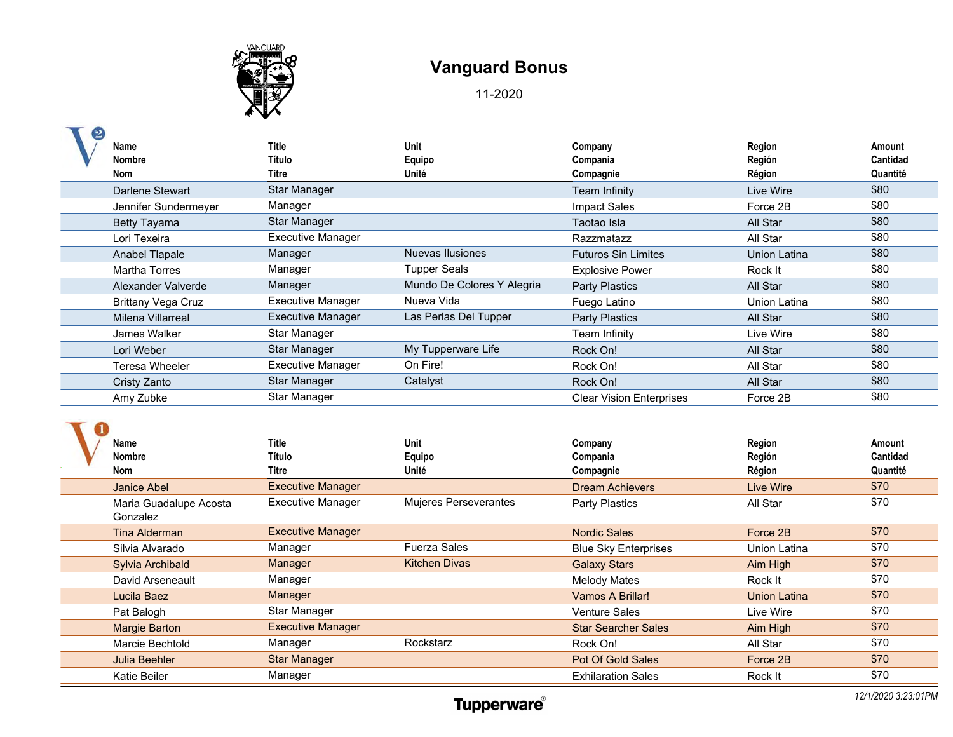

| Name<br><b>Nombre</b><br>Nom       | <b>Title</b><br>Título<br><b>Titre</b> | Unit<br>Equipo<br>Unité      | Company<br>Compania<br>Compagnie | Region<br>Región<br>Région | Amount<br>Cantidad<br>Quantité |
|------------------------------------|----------------------------------------|------------------------------|----------------------------------|----------------------------|--------------------------------|
| <b>Darlene Stewart</b>             | <b>Star Manager</b>                    |                              | <b>Team Infinity</b>             | Live Wire                  | \$80                           |
| Jennifer Sundermeyer               | Manager                                |                              | <b>Impact Sales</b>              | Force 2B                   | \$80                           |
| <b>Betty Tayama</b>                | Star Manager                           |                              | Taotao Isla                      | All Star                   | \$80                           |
| Lori Texeira                       | <b>Executive Manager</b>               |                              | Razzmatazz                       | All Star                   | \$80                           |
| Anabel Tlapale                     | Manager                                | Nuevas Ilusiones             | <b>Futuros Sin Limites</b>       | <b>Union Latina</b>        | \$80                           |
| <b>Martha Torres</b>               | Manager                                | <b>Tupper Seals</b>          | <b>Explosive Power</b>           | Rock It                    | \$80                           |
| Alexander Valverde                 | Manager                                | Mundo De Colores Y Alegria   | <b>Party Plastics</b>            | All Star                   | \$80                           |
| <b>Brittany Vega Cruz</b>          | <b>Executive Manager</b>               | Nueva Vida                   | Fuego Latino                     | <b>Union Latina</b>        | \$80                           |
| Milena Villarreal                  | <b>Executive Manager</b>               | Las Perlas Del Tupper        | <b>Party Plastics</b>            | All Star                   | \$80                           |
| James Walker                       | <b>Star Manager</b>                    |                              | Team Infinity                    | Live Wire                  | \$80                           |
| Lori Weber                         | <b>Star Manager</b>                    | My Tupperware Life           | Rock On!                         | All Star                   | \$80                           |
| <b>Teresa Wheeler</b>              | <b>Executive Manager</b>               | On Fire!                     | Rock On!                         | All Star                   | \$80                           |
| Cristy Zanto                       | <b>Star Manager</b>                    | Catalyst                     | Rock On!                         | All Star                   | \$80                           |
| Amy Zubke                          | Star Manager                           |                              | <b>Clear Vision Enterprises</b>  | Force 2B                   | \$80                           |
| Name<br><b>Nombre</b>              | <b>Title</b><br>Título                 | Unit<br>Equipo               | Company<br>Compania              | Region<br>Región           | Amount<br>Cantidad             |
| Nom                                | <b>Titre</b>                           | Unité                        | Compagnie                        | Région                     | Quantité                       |
| <b>Janice Abel</b>                 | <b>Executive Manager</b>               |                              | <b>Dream Achievers</b>           | <b>Live Wire</b>           | \$70                           |
| Maria Guadalupe Acosta<br>Gonzalez | <b>Executive Manager</b>               | <b>Mujeres Perseverantes</b> | <b>Party Plastics</b>            | All Star                   | \$70                           |
| <b>Tina Alderman</b>               | <b>Executive Manager</b>               |                              | <b>Nordic Sales</b>              | Force 2B                   | \$70                           |
| Silvia Alvarado                    | Manager                                | <b>Fuerza Sales</b>          | <b>Blue Sky Enterprises</b>      | Union Latina               | \$70                           |
| <b>Sylvia Archibald</b>            | Manager                                | <b>Kitchen Divas</b>         | <b>Galaxy Stars</b>              | Aim High                   | \$70                           |
| David Arseneault                   | Manager                                |                              | <b>Melody Mates</b>              | Rock It                    | \$70                           |
| Lucila Baez                        | Manager                                |                              | Vamos A Brillar!                 | <b>Union Latina</b>        | \$70                           |
| Pat Balogh                         | Star Manager                           |                              | <b>Venture Sales</b>             | Live Wire                  | \$70                           |
| <b>Margie Barton</b>               | <b>Executive Manager</b>               |                              | <b>Star Searcher Sales</b>       | Aim High                   | \$70                           |
| Marcie Bechtold                    | Manager                                | Rockstarz                    | Rock On!                         | All Star                   | \$70                           |
| <b>Julia Beehler</b>               | <b>Star Manager</b>                    |                              | Pot Of Gold Sales                | Force 2B                   | \$70                           |
| <b>Katie Beiler</b>                | Manager                                |                              | <b>Exhilaration Sales</b>        | Rock It                    | \$70                           |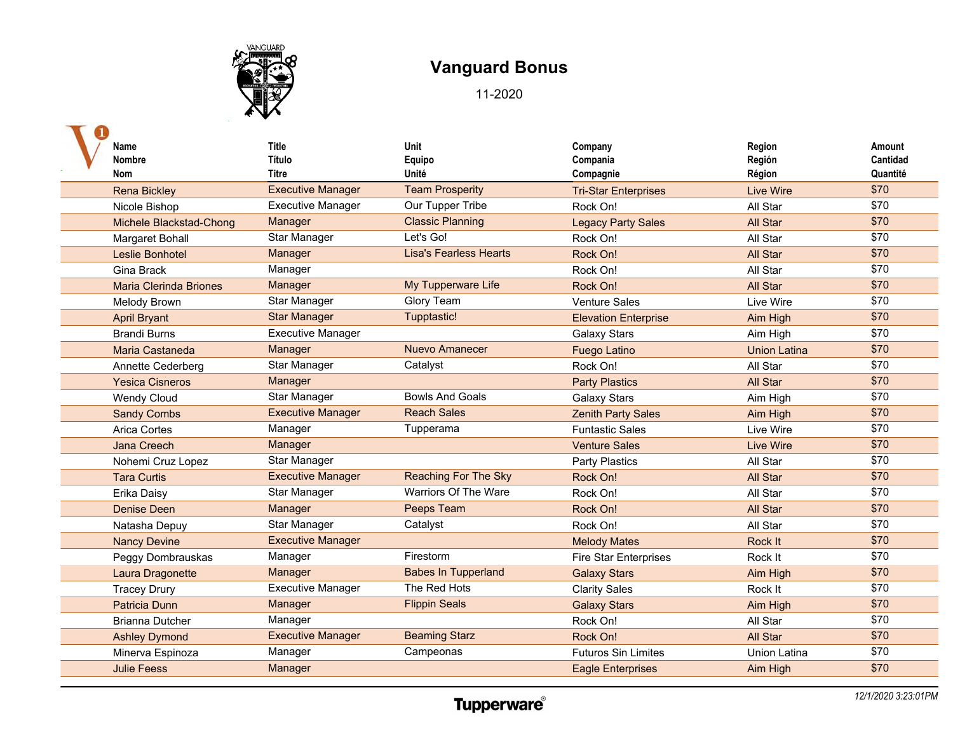

| Name<br><b>Nombre</b><br>Nom  | <b>Title</b><br>Título<br>Titre | Unit<br>Equipo<br>Unité       | Company<br>Compania<br>Compagnie | Region<br>Región<br>Région | Amount<br><b>Cantidad</b><br>Quantité |
|-------------------------------|---------------------------------|-------------------------------|----------------------------------|----------------------------|---------------------------------------|
| <b>Rena Bickley</b>           | <b>Executive Manager</b>        | <b>Team Prosperity</b>        | <b>Tri-Star Enterprises</b>      | <b>Live Wire</b>           | \$70                                  |
| Nicole Bishop                 | <b>Executive Manager</b>        | Our Tupper Tribe              | Rock On!                         | All Star                   | \$70                                  |
| Michele Blackstad-Chong       | Manager                         | <b>Classic Planning</b>       | <b>Legacy Party Sales</b>        | All Star                   | \$70                                  |
| Margaret Bohall               | Star Manager                    | Let's Go!                     | Rock On!                         | All Star                   | \$70                                  |
| Leslie Bonhotel               | Manager                         | <b>Lisa's Fearless Hearts</b> | Rock On!                         | All Star                   | \$70                                  |
| Gina Brack                    | Manager                         |                               | Rock On!                         | All Star                   | \$70                                  |
| <b>Maria Clerinda Briones</b> | Manager                         | My Tupperware Life            | Rock On!                         | All Star                   | \$70                                  |
| Melody Brown                  | Star Manager                    | Glory Team                    | <b>Venture Sales</b>             | Live Wire                  | \$70                                  |
| <b>April Bryant</b>           | <b>Star Manager</b>             | Tupptastic!                   | <b>Elevation Enterprise</b>      | Aim High                   | \$70                                  |
| <b>Brandi Burns</b>           | <b>Executive Manager</b>        |                               | <b>Galaxy Stars</b>              | Aim High                   | \$70                                  |
| Maria Castaneda               | Manager                         | <b>Nuevo Amanecer</b>         | <b>Fuego Latino</b>              | <b>Union Latina</b>        | \$70                                  |
| Annette Cederberg             | Star Manager                    | Catalyst                      | Rock On!                         | All Star                   | \$70                                  |
| <b>Yesica Cisneros</b>        | Manager                         |                               | <b>Party Plastics</b>            | All Star                   | \$70                                  |
| <b>Wendy Cloud</b>            | Star Manager                    | <b>Bowls And Goals</b>        | <b>Galaxy Stars</b>              | Aim High                   | \$70                                  |
| <b>Sandy Combs</b>            | <b>Executive Manager</b>        | <b>Reach Sales</b>            | <b>Zenith Party Sales</b>        | Aim High                   | \$70                                  |
| Arica Cortes                  | Manager                         | Tupperama                     | <b>Funtastic Sales</b>           | Live Wire                  | \$70                                  |
| <b>Jana Creech</b>            | Manager                         |                               | <b>Venture Sales</b>             | <b>Live Wire</b>           | \$70                                  |
| Nohemi Cruz Lopez             | Star Manager                    |                               | Party Plastics                   | All Star                   | \$70                                  |
| <b>Tara Curtis</b>            | <b>Executive Manager</b>        | <b>Reaching For The Sky</b>   | Rock On!                         | All Star                   | \$70                                  |
| Erika Daisy                   | Star Manager                    | Warriors Of The Ware          | Rock On!                         | All Star                   | \$70                                  |
| <b>Denise Deen</b>            | Manager                         | Peeps Team                    | Rock On!                         | All Star                   | \$70                                  |
| Natasha Depuy                 | Star Manager                    | Catalyst                      | Rock On!                         | All Star                   | \$70                                  |
| <b>Nancy Devine</b>           | <b>Executive Manager</b>        |                               | <b>Melody Mates</b>              | Rock It                    | \$70                                  |
| Peggy Dombrauskas             | Manager                         | Firestorm                     | <b>Fire Star Enterprises</b>     | Rock It                    | \$70                                  |
| Laura Dragonette              | Manager                         | <b>Babes In Tupperland</b>    | <b>Galaxy Stars</b>              | Aim High                   | \$70                                  |
| <b>Tracey Drury</b>           | <b>Executive Manager</b>        | The Red Hots                  | <b>Clarity Sales</b>             | Rock It                    | \$70                                  |
| <b>Patricia Dunn</b>          | Manager                         | <b>Flippin Seals</b>          | <b>Galaxy Stars</b>              | Aim High                   | \$70                                  |
| <b>Brianna Dutcher</b>        | Manager                         |                               | Rock On!                         | All Star                   | \$70                                  |
| <b>Ashley Dymond</b>          | <b>Executive Manager</b>        | <b>Beaming Starz</b>          | Rock On!                         | <b>All Star</b>            | \$70                                  |
| Minerva Espinoza              | Manager                         | Campeonas                     | <b>Futuros Sin Limites</b>       | Union Latina               | \$70                                  |
| <b>Julie Feess</b>            | Manager                         |                               | <b>Eagle Enterprises</b>         | Aim High                   | \$70                                  |
|                               |                                 |                               |                                  |                            |                                       |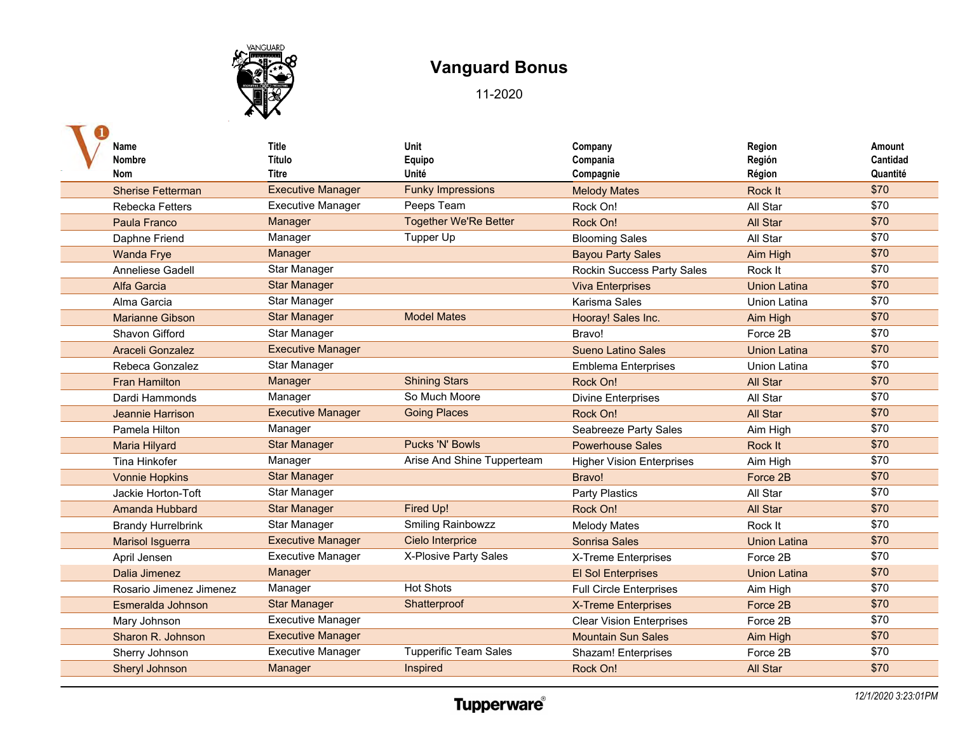

| Name<br><b>Nombre</b><br>Nom | <b>Title</b><br>Título<br>Titre | Unit<br>Equipo<br>Unité      | Company<br>Compania<br>Compagnie  | Region<br>Región<br>Région | Amount<br>Cantidad<br>Quantité |
|------------------------------|---------------------------------|------------------------------|-----------------------------------|----------------------------|--------------------------------|
| <b>Sherise Fetterman</b>     | <b>Executive Manager</b>        | <b>Funky Impressions</b>     | <b>Melody Mates</b>               | <b>Rock It</b>             | \$70                           |
| <b>Rebecka Fetters</b>       | <b>Executive Manager</b>        | Peeps Team                   | Rock On!                          | All Star                   | \$70                           |
| Paula Franco                 | Manager                         | <b>Together We'Re Better</b> | Rock On!                          | All Star                   | \$70                           |
| Daphne Friend                | Manager                         | Tupper Up                    | <b>Blooming Sales</b>             | All Star                   | \$70                           |
| <b>Wanda Frye</b>            | Manager                         |                              | <b>Bayou Party Sales</b>          | Aim High                   | \$70                           |
| <b>Anneliese Gadell</b>      | Star Manager                    |                              | <b>Rockin Success Party Sales</b> | Rock It                    | \$70                           |
| Alfa Garcia                  | <b>Star Manager</b>             |                              | <b>Viva Enterprises</b>           | <b>Union Latina</b>        | \$70                           |
| Alma Garcia                  | Star Manager                    |                              | Karisma Sales                     | Union Latina               | \$70                           |
| <b>Marianne Gibson</b>       | <b>Star Manager</b>             | <b>Model Mates</b>           | Hooray! Sales Inc.                | Aim High                   | \$70                           |
| Shavon Gifford               | <b>Star Manager</b>             |                              | Bravo!                            | Force 2B                   | \$70                           |
| Araceli Gonzalez             | <b>Executive Manager</b>        |                              | <b>Sueno Latino Sales</b>         | <b>Union Latina</b>        | \$70                           |
| Rebeca Gonzalez              | Star Manager                    |                              | <b>Emblema Enterprises</b>        | <b>Union Latina</b>        | \$70                           |
| <b>Fran Hamilton</b>         | Manager                         | <b>Shining Stars</b>         | Rock On!                          | All Star                   | \$70                           |
| Dardi Hammonds               | Manager                         | So Much Moore                | <b>Divine Enterprises</b>         | All Star                   | \$70                           |
| Jeannie Harrison             | <b>Executive Manager</b>        | <b>Going Places</b>          | Rock On!                          | All Star                   | \$70                           |
| Pamela Hilton                | Manager                         |                              | Seabreeze Party Sales             | Aim High                   | \$70                           |
| Maria Hilyard                | <b>Star Manager</b>             | <b>Pucks 'N' Bowls</b>       | <b>Powerhouse Sales</b>           | Rock It                    | \$70                           |
| Tina Hinkofer                | Manager                         | Arise And Shine Tupperteam   | <b>Higher Vision Enterprises</b>  | Aim High                   | \$70                           |
| <b>Vonnie Hopkins</b>        | <b>Star Manager</b>             |                              | Bravo!                            | Force 2B                   | \$70                           |
| Jackie Horton-Toft           | <b>Star Manager</b>             |                              | Party Plastics                    | All Star                   | \$70                           |
| Amanda Hubbard               | <b>Star Manager</b>             | Fired Up!                    | Rock On!                          | All Star                   | \$70                           |
| <b>Brandy Hurrelbrink</b>    | Star Manager                    | <b>Smiling Rainbowzz</b>     | <b>Melody Mates</b>               | Rock It                    | \$70                           |
| Marisol Isguerra             | <b>Executive Manager</b>        | Cielo Interprice             | Sonrisa Sales                     | <b>Union Latina</b>        | \$70                           |
| April Jensen                 | <b>Executive Manager</b>        | X-Plosive Party Sales        | X-Treme Enterprises               | Force 2B                   | \$70                           |
| Dalia Jimenez                | Manager                         |                              | <b>El Sol Enterprises</b>         | <b>Union Latina</b>        | \$70                           |
| Rosario Jimenez Jimenez      | Manager                         | <b>Hot Shots</b>             | <b>Full Circle Enterprises</b>    | Aim High                   | \$70                           |
| Esmeralda Johnson            | <b>Star Manager</b>             | Shatterproof                 | <b>X-Treme Enterprises</b>        | Force 2B                   | \$70                           |
| Mary Johnson                 | <b>Executive Manager</b>        |                              | <b>Clear Vision Enterprises</b>   | Force 2B                   | \$70                           |
| Sharon R. Johnson            | <b>Executive Manager</b>        |                              | <b>Mountain Sun Sales</b>         | Aim High                   | \$70                           |
| Sherry Johnson               | <b>Executive Manager</b>        | <b>Tupperific Team Sales</b> | Shazam! Enterprises               | Force 2B                   | \$70                           |
| Sheryl Johnson               | Manager                         | Inspired                     | Rock On!                          | <b>All Star</b>            | \$70                           |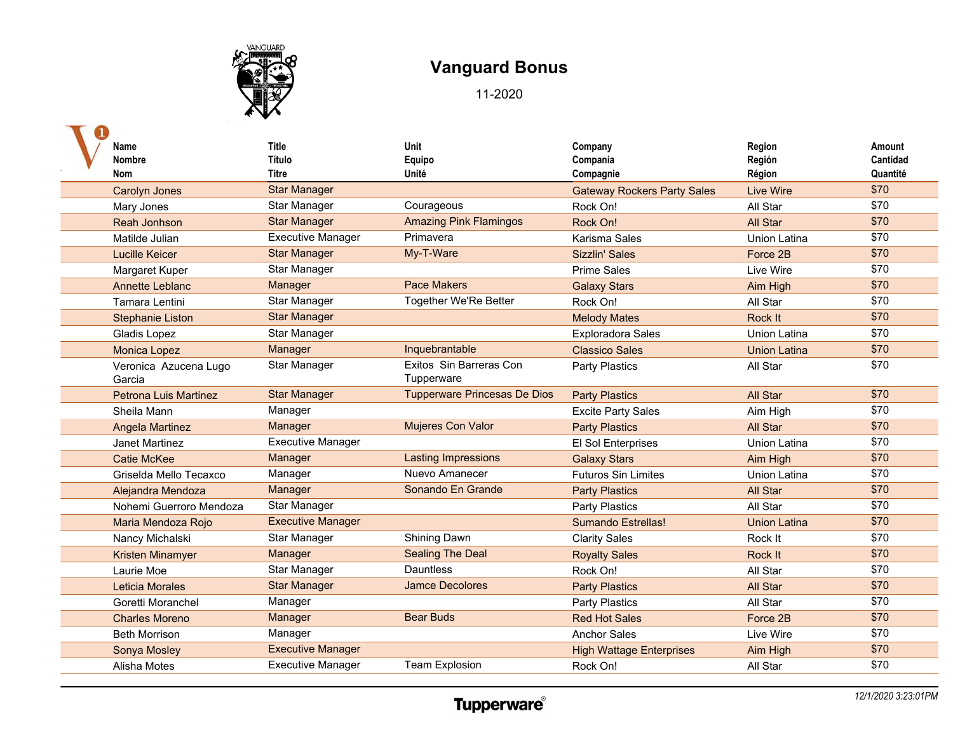

| <b>Nombre</b><br><b>Nom</b>     | Título<br><b>Titre</b><br><b>Star Manager</b> | Equipo<br>Unité                       | Compania<br>Compagnie              | Región<br>Région    | Cantidad<br>Quantité |
|---------------------------------|-----------------------------------------------|---------------------------------------|------------------------------------|---------------------|----------------------|
|                                 |                                               |                                       |                                    |                     |                      |
|                                 |                                               |                                       |                                    |                     |                      |
| <b>Carolyn Jones</b>            |                                               |                                       | <b>Gateway Rockers Party Sales</b> | <b>Live Wire</b>    | \$70                 |
| Mary Jones                      | Star Manager                                  | Courageous                            | Rock On!                           | All Star            | \$70                 |
| Reah Jonhson                    | <b>Star Manager</b>                           | <b>Amazing Pink Flamingos</b>         | Rock On!                           | <b>All Star</b>     | \$70                 |
| Matilde Julian                  | <b>Executive Manager</b>                      | Primavera                             | Karisma Sales                      | Union Latina        | \$70                 |
| <b>Lucille Keicer</b>           | <b>Star Manager</b>                           | My-T-Ware                             | <b>Sizzlin' Sales</b>              | Force 2B            | \$70                 |
| Margaret Kuper                  | Star Manager                                  |                                       | <b>Prime Sales</b>                 | Live Wire           | \$70                 |
| <b>Annette Leblanc</b>          | Manager                                       | <b>Pace Makers</b>                    | <b>Galaxy Stars</b>                | Aim High            | \$70                 |
| Tamara Lentini                  | Star Manager                                  | Together We'Re Better                 | Rock On!                           | All Star            | \$70                 |
| <b>Stephanie Liston</b>         | <b>Star Manager</b>                           |                                       | <b>Melody Mates</b>                | Rock It             | \$70                 |
| Gladis Lopez                    | Star Manager                                  |                                       | <b>Exploradora Sales</b>           | Union Latina        | \$70                 |
| <b>Monica Lopez</b>             | Manager                                       | Inquebrantable                        | <b>Classico Sales</b>              | <b>Union Latina</b> | \$70                 |
| Veronica Azucena Lugo<br>Garcia | Star Manager                                  | Exitos Sin Barreras Con<br>Tupperware | Party Plastics                     | All Star            | \$70                 |
| <b>Petrona Luis Martinez</b>    | <b>Star Manager</b>                           | <b>Tupperware Princesas De Dios</b>   | <b>Party Plastics</b>              | All Star            | \$70                 |
| Sheila Mann                     | Manager                                       |                                       | <b>Excite Party Sales</b>          | Aim High            | \$70                 |
| <b>Angela Martinez</b>          | Manager                                       | Mujeres Con Valor                     | <b>Party Plastics</b>              | All Star            | \$70                 |
| Janet Martinez                  | <b>Executive Manager</b>                      |                                       | El Sol Enterprises                 | <b>Union Latina</b> | \$70                 |
| <b>Catie McKee</b>              | Manager                                       | <b>Lasting Impressions</b>            | <b>Galaxy Stars</b>                | Aim High            | \$70                 |
| Griselda Mello Tecaxco          | Manager                                       | Nuevo Amanecer                        | <b>Futuros Sin Limites</b>         | Union Latina        | \$70                 |
| Alejandra Mendoza               | Manager                                       | Sonando En Grande                     | <b>Party Plastics</b>              | All Star            | \$70                 |
| Nohemi Guerroro Mendoza         | Star Manager                                  |                                       | <b>Party Plastics</b>              | All Star            | \$70                 |
| Maria Mendoza Rojo              | <b>Executive Manager</b>                      |                                       | <b>Sumando Estrellas!</b>          | <b>Union Latina</b> | \$70                 |
| Nancy Michalski                 | Star Manager                                  | Shining Dawn                          | <b>Clarity Sales</b>               | Rock It             | \$70                 |
| <b>Kristen Minamyer</b>         | Manager                                       | <b>Sealing The Deal</b>               | <b>Royalty Sales</b>               | Rock It             | \$70                 |
| Laurie Moe                      | Star Manager                                  | <b>Dauntless</b>                      | Rock On!                           | All Star            | \$70                 |
| Leticia Morales                 | <b>Star Manager</b>                           | <b>Jamce Decolores</b>                | <b>Party Plastics</b>              | All Star            | \$70                 |
| Goretti Moranchel               | Manager                                       |                                       | <b>Party Plastics</b>              | All Star            | \$70                 |
| <b>Charles Moreno</b>           | Manager                                       | <b>Bear Buds</b>                      | <b>Red Hot Sales</b>               | Force 2B            | \$70                 |
| <b>Beth Morrison</b>            | Manager                                       |                                       | <b>Anchor Sales</b>                | Live Wire           | \$70                 |
| Sonya Mosley                    | <b>Executive Manager</b>                      |                                       | <b>High Wattage Enterprises</b>    | Aim High            | \$70                 |
| Alisha Motes                    | <b>Executive Manager</b>                      | <b>Team Explosion</b>                 | Rock On!                           | All Star            | \$70                 |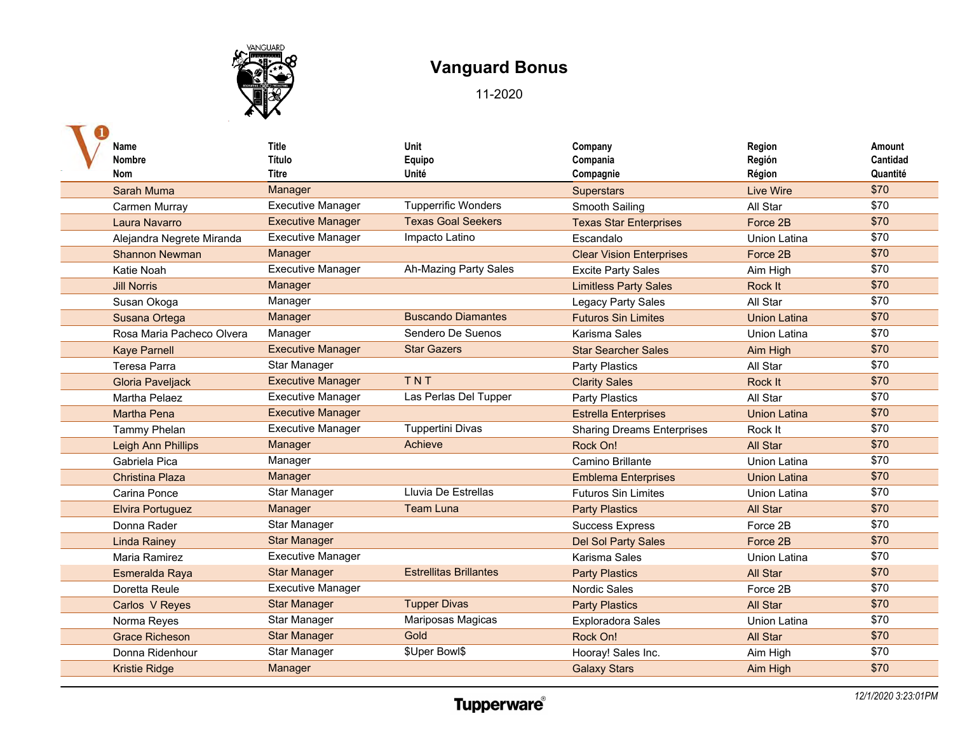

| <b>Name</b>               | <b>Title</b>             | Unit                          | Company                           | Region              | Amount   |
|---------------------------|--------------------------|-------------------------------|-----------------------------------|---------------------|----------|
| <b>Nombre</b>             | Título                   | Equipo                        | Compania                          | Región              | Cantidad |
| <b>Nom</b>                | <b>Titre</b>             | Unité                         | Compagnie                         | Région              | Quantité |
| <b>Sarah Muma</b>         | Manager                  |                               | <b>Superstars</b>                 | <b>Live Wire</b>    | \$70     |
| Carmen Murray             | <b>Executive Manager</b> | <b>Tupperrific Wonders</b>    | Smooth Sailing                    | All Star            | \$70     |
| Laura Navarro             | <b>Executive Manager</b> | <b>Texas Goal Seekers</b>     | <b>Texas Star Enterprises</b>     | Force 2B            | \$70     |
| Alejandra Negrete Miranda | <b>Executive Manager</b> | Impacto Latino                | Escandalo                         | <b>Union Latina</b> | \$70     |
| <b>Shannon Newman</b>     | Manager                  |                               | <b>Clear Vision Enterprises</b>   | Force 2B            | \$70     |
| Katie Noah                | <b>Executive Manager</b> | Ah-Mazing Party Sales         | <b>Excite Party Sales</b>         | Aim High            | \$70     |
| <b>Jill Norris</b>        | Manager                  |                               | <b>Limitless Party Sales</b>      | Rock It             | \$70     |
| Susan Okoga               | Manager                  |                               | Legacy Party Sales                | All Star            | \$70     |
| Susana Ortega             | Manager                  | <b>Buscando Diamantes</b>     | <b>Futuros Sin Limites</b>        | <b>Union Latina</b> | \$70     |
| Rosa Maria Pacheco Olvera | Manager                  | Sendero De Suenos             | Karisma Sales                     | <b>Union Latina</b> | \$70     |
| <b>Kaye Parnell</b>       | <b>Executive Manager</b> | <b>Star Gazers</b>            | <b>Star Searcher Sales</b>        | Aim High            | \$70     |
| Teresa Parra              | Star Manager             |                               | <b>Party Plastics</b>             | All Star            | \$70     |
| <b>Gloria Paveljack</b>   | <b>Executive Manager</b> | TNT                           | <b>Clarity Sales</b>              | Rock It             | \$70     |
| <b>Martha Pelaez</b>      | <b>Executive Manager</b> | Las Perlas Del Tupper         | <b>Party Plastics</b>             | All Star            | \$70     |
| <b>Martha Pena</b>        | <b>Executive Manager</b> |                               | <b>Estrella Enterprises</b>       | <b>Union Latina</b> | \$70     |
| Tammy Phelan              | <b>Executive Manager</b> | <b>Tuppertini Divas</b>       | <b>Sharing Dreams Enterprises</b> | Rock It             | \$70     |
| Leigh Ann Phillips        | Manager                  | Achieve                       | Rock On!                          | All Star            | \$70     |
| Gabriela Pica             | Manager                  |                               | Camino Brillante                  | <b>Union Latina</b> | \$70     |
| <b>Christina Plaza</b>    | Manager                  |                               | <b>Emblema Enterprises</b>        | <b>Union Latina</b> | \$70     |
| Carina Ponce              | <b>Star Manager</b>      | Lluvia De Estrellas           | <b>Futuros Sin Limites</b>        | <b>Union Latina</b> | \$70     |
| <b>Elvira Portuguez</b>   | Manager                  | <b>Team Luna</b>              | <b>Party Plastics</b>             | <b>All Star</b>     | \$70     |
| Donna Rader               | <b>Star Manager</b>      |                               | <b>Success Express</b>            | Force 2B            | \$70     |
| <b>Linda Rainey</b>       | <b>Star Manager</b>      |                               | <b>Del Sol Party Sales</b>        | Force 2B            | \$70     |
| Maria Ramirez             | <b>Executive Manager</b> |                               | Karisma Sales                     | Union Latina        | \$70     |
| Esmeralda Raya            | <b>Star Manager</b>      | <b>Estrellitas Brillantes</b> | <b>Party Plastics</b>             | All Star            | \$70     |
| Doretta Reule             | <b>Executive Manager</b> |                               | <b>Nordic Sales</b>               | Force 2B            | \$70     |
| Carlos V Reyes            | <b>Star Manager</b>      | <b>Tupper Divas</b>           | <b>Party Plastics</b>             | All Star            | \$70     |
| Norma Reyes               | <b>Star Manager</b>      | Mariposas Magicas             | <b>Exploradora Sales</b>          | <b>Union Latina</b> | \$70     |
| <b>Grace Richeson</b>     | <b>Star Manager</b>      | Gold                          | Rock On!                          | All Star            | \$70     |
| Donna Ridenhour           | <b>Star Manager</b>      | \$Uper Bowl\$                 | Hooray! Sales Inc.                | Aim High            | \$70     |
| <b>Kristie Ridge</b>      | Manager                  |                               | <b>Galaxy Stars</b>               | Aim High            | \$70     |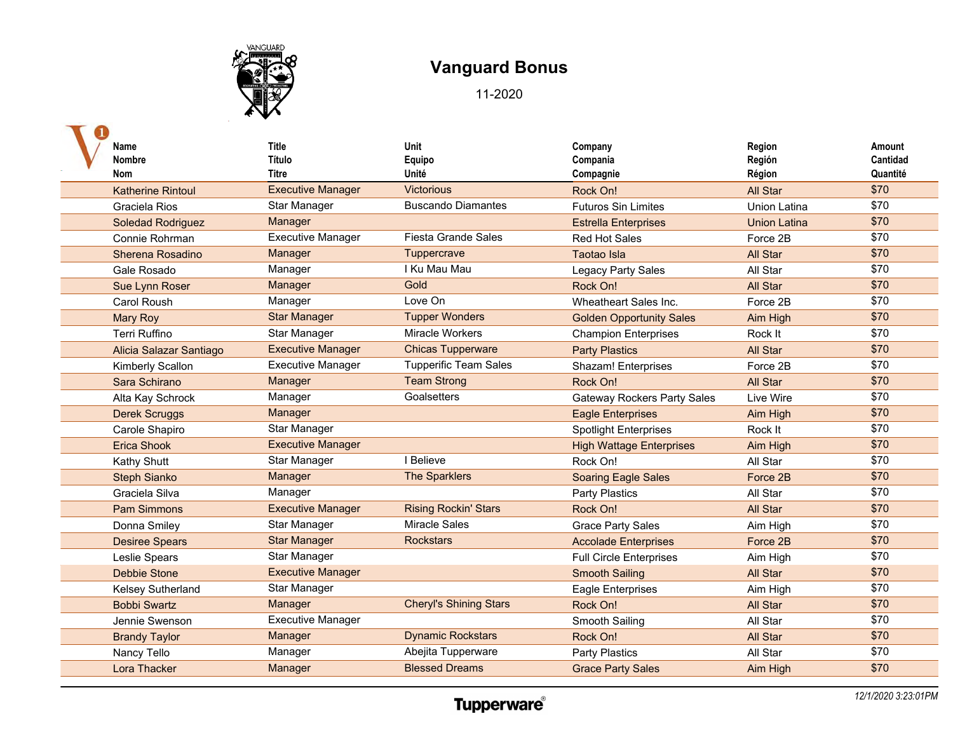

| Name<br><b>Nombre</b><br><b>Nom</b> | <b>Title</b><br>Título<br>Titre | Unit<br>Equipo<br>Unité       | Company<br>Compania<br>Compagnie   | Region<br>Región<br>Région | Amount<br>Cantidad<br>Quantité |
|-------------------------------------|---------------------------------|-------------------------------|------------------------------------|----------------------------|--------------------------------|
| <b>Katherine Rintoul</b>            | <b>Executive Manager</b>        | <b>Victorious</b>             | Rock On!                           | <b>All Star</b>            | \$70                           |
| Graciela Rios                       | Star Manager                    | <b>Buscando Diamantes</b>     | <b>Futuros Sin Limites</b>         | <b>Union Latina</b>        | \$70                           |
| Soledad Rodriguez                   | Manager                         |                               | <b>Estrella Enterprises</b>        | <b>Union Latina</b>        | \$70                           |
| Connie Rohrman                      | <b>Executive Manager</b>        | Fiesta Grande Sales           | <b>Red Hot Sales</b>               | Force 2B                   | \$70                           |
| Sherena Rosadino                    | Manager                         | Tuppercrave                   | <b>Taotao Isla</b>                 | All Star                   | \$70                           |
| Gale Rosado                         | Manager                         | I Ku Mau Mau                  | Legacy Party Sales                 | All Star                   | \$70                           |
| Sue Lynn Roser                      | Manager                         | Gold                          | Rock On!                           | All Star                   | \$70                           |
| <b>Carol Roush</b>                  | Manager                         | Love On                       | Wheatheart Sales Inc.              | Force 2B                   | \$70                           |
| <b>Mary Roy</b>                     | <b>Star Manager</b>             | <b>Tupper Wonders</b>         | <b>Golden Opportunity Sales</b>    | Aim High                   | \$70                           |
| <b>Terri Ruffino</b>                | Star Manager                    | <b>Miracle Workers</b>        | <b>Champion Enterprises</b>        | Rock It                    | \$70                           |
| Alicia Salazar Santiago             | <b>Executive Manager</b>        | <b>Chicas Tupperware</b>      | <b>Party Plastics</b>              | All Star                   | \$70                           |
| Kimberly Scallon                    | <b>Executive Manager</b>        | <b>Tupperific Team Sales</b>  | Shazam! Enterprises                | Force 2B                   | \$70                           |
| Sara Schirano                       | Manager                         | <b>Team Strong</b>            | Rock On!                           | All Star                   | \$70                           |
| Alta Kay Schrock                    | Manager                         | Goalsetters                   | <b>Gateway Rockers Party Sales</b> | Live Wire                  | \$70                           |
| <b>Derek Scruggs</b>                | Manager                         |                               | <b>Eagle Enterprises</b>           | Aim High                   | \$70                           |
| Carole Shapiro                      | Star Manager                    |                               | <b>Spotlight Enterprises</b>       | Rock It                    | \$70                           |
| <b>Erica Shook</b>                  | <b>Executive Manager</b>        |                               | <b>High Wattage Enterprises</b>    | Aim High                   | \$70                           |
| Kathy Shutt                         | Star Manager                    | I Believe                     | Rock On!                           | All Star                   | \$70                           |
| <b>Steph Sianko</b>                 | Manager                         | The Sparklers                 | <b>Soaring Eagle Sales</b>         | Force 2B                   | \$70                           |
| Graciela Silva                      | Manager                         |                               | Party Plastics                     | All Star                   | \$70                           |
| <b>Pam Simmons</b>                  | <b>Executive Manager</b>        | <b>Rising Rockin' Stars</b>   | Rock On!                           | All Star                   | \$70                           |
| Donna Smiley                        | Star Manager                    | <b>Miracle Sales</b>          | <b>Grace Party Sales</b>           | Aim High                   | \$70                           |
| <b>Desiree Spears</b>               | <b>Star Manager</b>             | <b>Rockstars</b>              | <b>Accolade Enterprises</b>        | Force 2B                   | \$70                           |
| Leslie Spears                       | Star Manager                    |                               | <b>Full Circle Enterprises</b>     | Aim High                   | \$70                           |
| <b>Debbie Stone</b>                 | <b>Executive Manager</b>        |                               | <b>Smooth Sailing</b>              | All Star                   | \$70                           |
| <b>Kelsey Sutherland</b>            | Star Manager                    |                               | <b>Eagle Enterprises</b>           | Aim High                   | \$70                           |
| <b>Bobbi Swartz</b>                 | Manager                         | <b>Cheryl's Shining Stars</b> | Rock On!                           | <b>All Star</b>            | \$70                           |
| Jennie Swenson                      | <b>Executive Manager</b>        |                               | Smooth Sailing                     | All Star                   | \$70                           |
| <b>Brandy Taylor</b>                | Manager                         | <b>Dynamic Rockstars</b>      | Rock On!                           | <b>All Star</b>            | \$70                           |
| Nancy Tello                         | Manager                         | Abejita Tupperware            | Party Plastics                     | All Star                   | \$70                           |
| Lora Thacker                        | Manager                         | <b>Blessed Dreams</b>         | <b>Grace Party Sales</b>           | Aim High                   | \$70                           |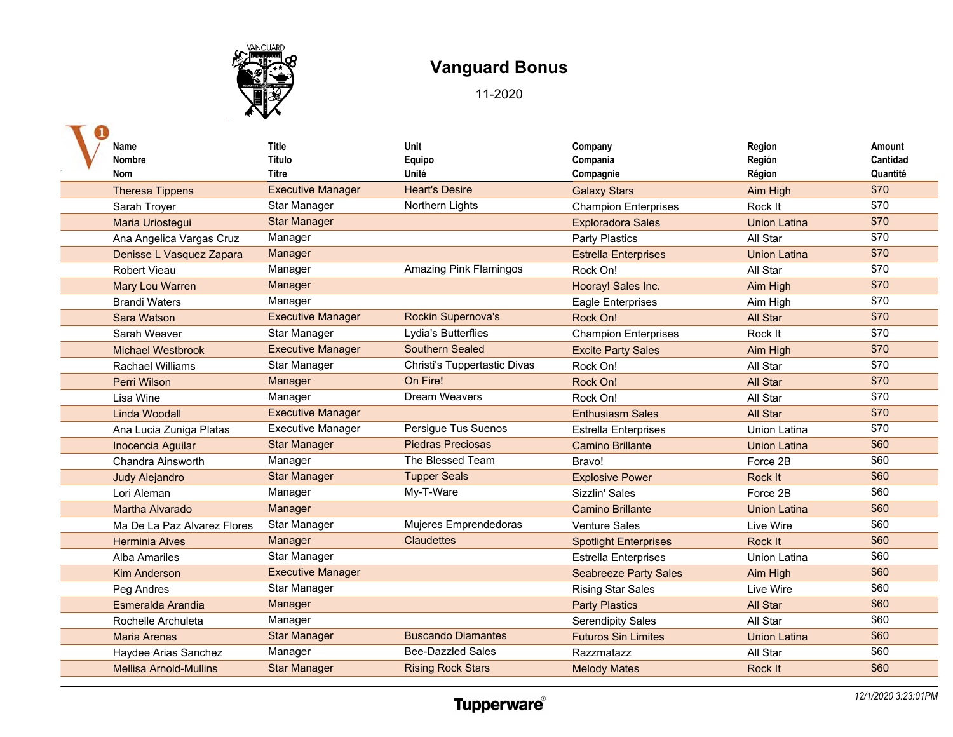

| Name                          | <b>Title</b>             | Unit                          | Company                      | Region              | Amount   |
|-------------------------------|--------------------------|-------------------------------|------------------------------|---------------------|----------|
| Nombre                        | Título                   | Equipo                        | Compania                     | Región              | Cantidad |
| Nom                           | Titre                    | Unité                         | Compagnie                    | Région              | Quantité |
| <b>Theresa Tippens</b>        | <b>Executive Manager</b> | <b>Heart's Desire</b>         | <b>Galaxy Stars</b>          | Aim High            | \$70     |
| Sarah Troyer                  | Star Manager             | Northern Lights               | <b>Champion Enterprises</b>  | Rock It             | \$70     |
| Maria Uriostegui              | <b>Star Manager</b>      |                               | <b>Exploradora Sales</b>     | <b>Union Latina</b> | \$70     |
| Ana Angelica Vargas Cruz      | Manager                  |                               | <b>Party Plastics</b>        | All Star            | \$70     |
| Denisse L Vasquez Zapara      | Manager                  |                               | <b>Estrella Enterprises</b>  | <b>Union Latina</b> | \$70     |
| Robert Vieau                  | Manager                  | <b>Amazing Pink Flamingos</b> | Rock On!                     | All Star            | \$70     |
| Mary Lou Warren               | Manager                  |                               | Hooray! Sales Inc.           | Aim High            | \$70     |
| <b>Brandi Waters</b>          | Manager                  |                               | <b>Eagle Enterprises</b>     | Aim High            | \$70     |
| Sara Watson                   | <b>Executive Manager</b> | <b>Rockin Supernova's</b>     | Rock On!                     | All Star            | \$70     |
| Sarah Weaver                  | Star Manager             | Lydia's Butterflies           | <b>Champion Enterprises</b>  | Rock It             | \$70     |
| <b>Michael Westbrook</b>      | <b>Executive Manager</b> | <b>Southern Sealed</b>        | <b>Excite Party Sales</b>    | Aim High            | \$70     |
| <b>Rachael Williams</b>       | Star Manager             | Christi's Tuppertastic Divas  | Rock On!                     | All Star            | \$70     |
| <b>Perri Wilson</b>           | Manager                  | On Fire!                      | Rock On!                     | All Star            | \$70     |
| Lisa Wine                     | Manager                  | Dream Weavers                 | Rock On!                     | All Star            | \$70     |
| Linda Woodall                 | <b>Executive Manager</b> |                               | <b>Enthusiasm Sales</b>      | All Star            | \$70     |
| Ana Lucia Zuniga Platas       | <b>Executive Manager</b> | Persigue Tus Suenos           | <b>Estrella Enterprises</b>  | <b>Union Latina</b> | \$70     |
| Inocencia Aguilar             | <b>Star Manager</b>      | <b>Piedras Preciosas</b>      | <b>Camino Brillante</b>      | <b>Union Latina</b> | \$60     |
| Chandra Ainsworth             | Manager                  | The Blessed Team              | Bravo!                       | Force 2B            | \$60     |
| <b>Judy Alejandro</b>         | <b>Star Manager</b>      | <b>Tupper Seals</b>           | <b>Explosive Power</b>       | Rock It             | \$60     |
| Lori Aleman                   | Manager                  | My-T-Ware                     | Sizzlin' Sales               | Force 2B            | \$60     |
| Martha Alvarado               | Manager                  |                               | <b>Camino Brillante</b>      | <b>Union Latina</b> | \$60     |
| Ma De La Paz Alvarez Flores   | Star Manager             | Mujeres Emprendedoras         | <b>Venture Sales</b>         | Live Wire           | \$60     |
| <b>Herminia Alves</b>         | Manager                  | <b>Claudettes</b>             | <b>Spotlight Enterprises</b> | Rock It             | \$60     |
| <b>Alba Amariles</b>          | Star Manager             |                               | <b>Estrella Enterprises</b>  | <b>Union Latina</b> | \$60     |
| <b>Kim Anderson</b>           | <b>Executive Manager</b> |                               | <b>Seabreeze Party Sales</b> | Aim High            | \$60     |
| Peg Andres                    | Star Manager             |                               | <b>Rising Star Sales</b>     | Live Wire           | \$60     |
| Esmeralda Arandia             | Manager                  |                               | <b>Party Plastics</b>        | All Star            | \$60     |
| Rochelle Archuleta            | Manager                  |                               | <b>Serendipity Sales</b>     | All Star            | \$60     |
| <b>Maria Arenas</b>           | <b>Star Manager</b>      | <b>Buscando Diamantes</b>     | <b>Futuros Sin Limites</b>   | <b>Union Latina</b> | \$60     |
| Haydee Arias Sanchez          | Manager                  | <b>Bee-Dazzled Sales</b>      | Razzmatazz                   | All Star            | \$60     |
| <b>Mellisa Arnold-Mullins</b> | <b>Star Manager</b>      | <b>Rising Rock Stars</b>      | <b>Melody Mates</b>          | Rock It             | \$60     |
|                               |                          |                               |                              |                     |          |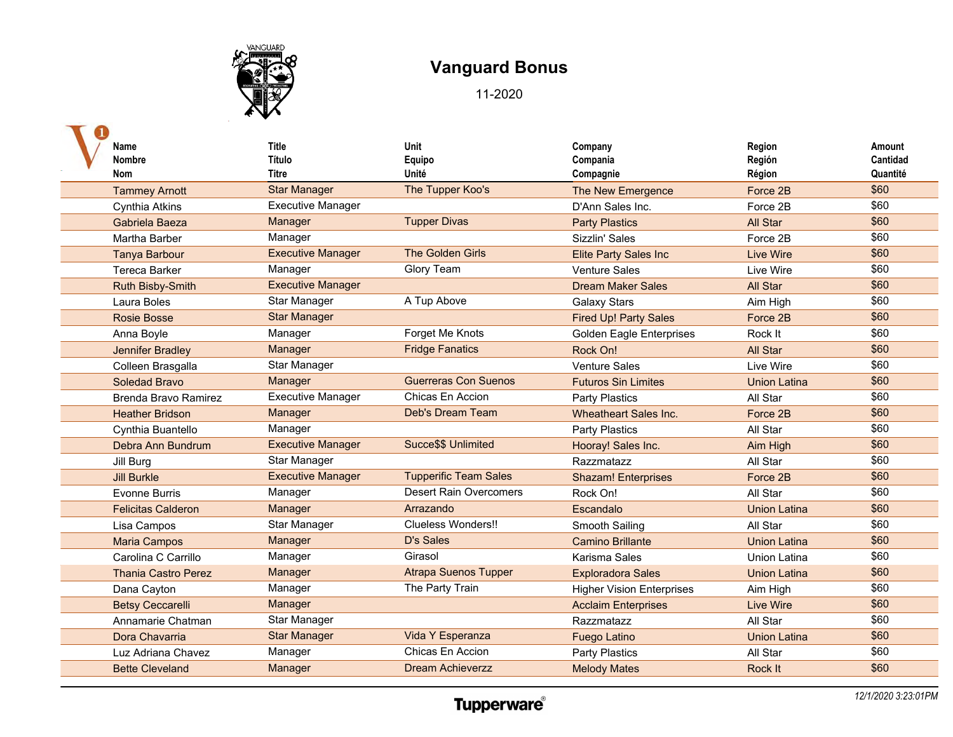

| Name<br>Nombre<br>Nom      | <b>Title</b><br>Título<br>Titre | Unit<br>Equipo<br>Unité       | Company<br>Compania<br>Compagnie | Region<br>Región<br>Région | Amount<br>Cantidad<br>Quantité |
|----------------------------|---------------------------------|-------------------------------|----------------------------------|----------------------------|--------------------------------|
| <b>Tammey Arnott</b>       | <b>Star Manager</b>             | The Tupper Koo's              | The New Emergence                | Force 2B                   | \$60                           |
| Cynthia Atkins             | <b>Executive Manager</b>        |                               | D'Ann Sales Inc.                 | Force 2B                   | \$60                           |
| Gabriela Baeza             | Manager                         | <b>Tupper Divas</b>           | <b>Party Plastics</b>            | All Star                   | \$60                           |
| Martha Barber              | Manager                         |                               | Sizzlin' Sales                   | Force 2B                   | \$60                           |
| <b>Tanya Barbour</b>       | <b>Executive Manager</b>        | <b>The Golden Girls</b>       | <b>Elite Party Sales Inc</b>     | <b>Live Wire</b>           | \$60                           |
| <b>Tereca Barker</b>       | Manager                         | <b>Glory Team</b>             | <b>Venture Sales</b>             | Live Wire                  | \$60                           |
| Ruth Bisby-Smith           | <b>Executive Manager</b>        |                               | <b>Dream Maker Sales</b>         | <b>All Star</b>            | \$60                           |
| Laura Boles                | Star Manager                    | A Tup Above                   | <b>Galaxy Stars</b>              | Aim High                   | \$60                           |
| <b>Rosie Bosse</b>         | <b>Star Manager</b>             |                               | <b>Fired Up! Party Sales</b>     | Force 2B                   | \$60                           |
| Anna Boyle                 | Manager                         | Forget Me Knots               | <b>Golden Eagle Enterprises</b>  | Rock It                    | \$60                           |
| Jennifer Bradley           | Manager                         | <b>Fridge Fanatics</b>        | Rock On!                         | All Star                   | \$60                           |
| Colleen Brasgalla          | Star Manager                    |                               | <b>Venture Sales</b>             | Live Wire                  | \$60                           |
| Soledad Bravo              | Manager                         | <b>Guerreras Con Suenos</b>   | <b>Futuros Sin Limites</b>       | <b>Union Latina</b>        | \$60                           |
| Brenda Bravo Ramirez       | <b>Executive Manager</b>        | Chicas En Accion              | Party Plastics                   | All Star                   | \$60                           |
| <b>Heather Bridson</b>     | Manager                         | Deb's Dream Team              | <b>Wheatheart Sales Inc.</b>     | Force 2B                   | \$60                           |
| Cynthia Buantello          | Manager                         |                               | Party Plastics                   | All Star                   | \$60                           |
| Debra Ann Bundrum          | <b>Executive Manager</b>        | Succe\$\$ Unlimited           | Hooray! Sales Inc.               | Aim High                   | \$60                           |
| Jill Burg                  | Star Manager                    |                               | Razzmatazz                       | All Star                   | \$60                           |
| <b>Jill Burkle</b>         | <b>Executive Manager</b>        | <b>Tupperific Team Sales</b>  | <b>Shazam! Enterprises</b>       | Force 2B                   | \$60                           |
| <b>Evonne Burris</b>       | Manager                         | <b>Desert Rain Overcomers</b> | Rock On!                         | All Star                   | \$60                           |
| <b>Felicitas Calderon</b>  | Manager                         | Arrazando                     | Escandalo                        | <b>Union Latina</b>        | \$60                           |
| Lisa Campos                | Star Manager                    | Clueless Wonders!!            | Smooth Sailing                   | All Star                   | \$60                           |
| <b>Maria Campos</b>        | Manager                         | D's Sales                     | <b>Camino Brillante</b>          | <b>Union Latina</b>        | \$60                           |
| Carolina C Carrillo        | Manager                         | Girasol                       | Karisma Sales                    | <b>Union Latina</b>        | \$60                           |
| <b>Thania Castro Perez</b> | Manager                         | <b>Atrapa Suenos Tupper</b>   | <b>Exploradora Sales</b>         | <b>Union Latina</b>        | \$60                           |
| Dana Cayton                | Manager                         | The Party Train               | <b>Higher Vision Enterprises</b> | Aim High                   | \$60                           |
| <b>Betsy Ceccarelli</b>    | Manager                         |                               | <b>Acclaim Enterprises</b>       | <b>Live Wire</b>           | \$60                           |
| Annamarie Chatman          | Star Manager                    |                               | Razzmatazz                       | All Star                   | \$60                           |
| Dora Chavarria             | <b>Star Manager</b>             | Vida Y Esperanza              | <b>Fuego Latino</b>              | <b>Union Latina</b>        | \$60                           |
| Luz Adriana Chavez         | Manager                         | Chicas En Accion              | <b>Party Plastics</b>            | All Star                   | \$60                           |
| <b>Bette Cleveland</b>     | Manager                         | <b>Dream Achieverzz</b>       | <b>Melody Mates</b>              | Rock It                    | \$60                           |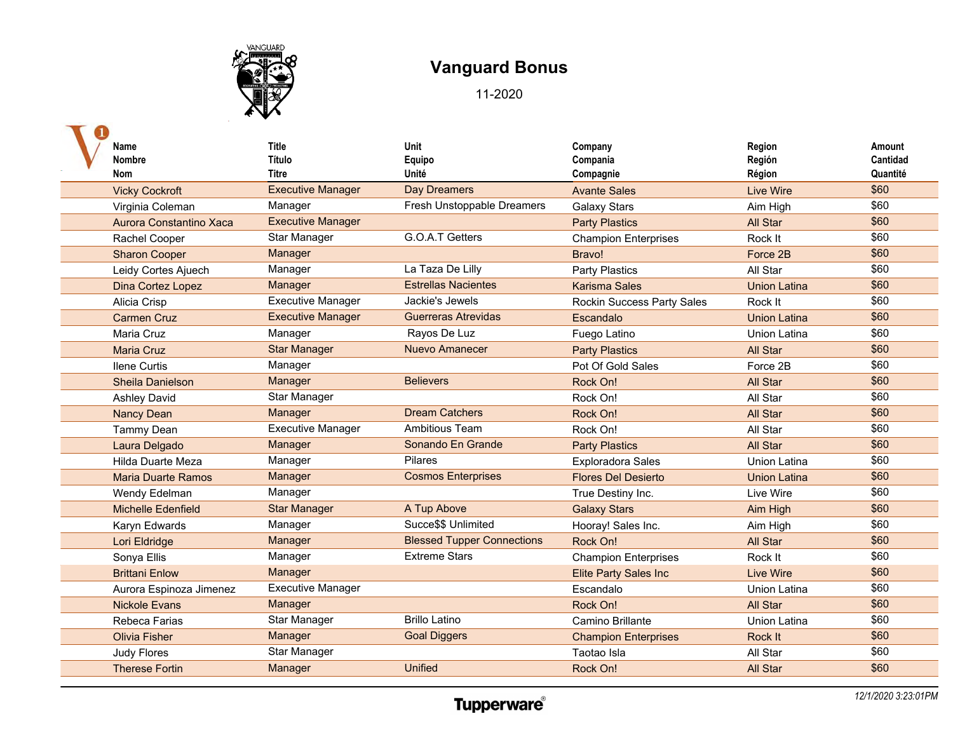

| Name<br>Nombre<br>Nom     | <b>Title</b><br>Título<br>Titre | Unit<br>Equipo<br>Unité           | Company<br>Compania<br>Compagnie  | Region<br>Región<br>Région | Amount<br>Cantidad<br>Quantité |
|---------------------------|---------------------------------|-----------------------------------|-----------------------------------|----------------------------|--------------------------------|
| <b>Vicky Cockroft</b>     | <b>Executive Manager</b>        | <b>Day Dreamers</b>               | <b>Avante Sales</b>               | Live Wire                  | \$60                           |
| Virginia Coleman          | Manager                         | Fresh Unstoppable Dreamers        | <b>Galaxy Stars</b>               | Aim High                   | \$60                           |
| Aurora Constantino Xaca   | <b>Executive Manager</b>        |                                   | <b>Party Plastics</b>             | All Star                   | \$60                           |
| Rachel Cooper             | Star Manager                    | G.O.A.T Getters                   | <b>Champion Enterprises</b>       | Rock It                    | \$60                           |
| <b>Sharon Cooper</b>      | Manager                         |                                   | Bravo!                            | Force 2B                   | \$60                           |
| Leidy Cortes Ajuech       | Manager                         | La Taza De Lilly                  | Party Plastics                    | All Star                   | \$60                           |
| Dina Cortez Lopez         | Manager                         | <b>Estrellas Nacientes</b>        | <b>Karisma Sales</b>              | <b>Union Latina</b>        | \$60                           |
| Alicia Crisp              | <b>Executive Manager</b>        | Jackie's Jewels                   | <b>Rockin Success Party Sales</b> | Rock It                    | \$60                           |
| <b>Carmen Cruz</b>        | <b>Executive Manager</b>        | <b>Guerreras Atrevidas</b>        | Escandalo                         | <b>Union Latina</b>        | \$60                           |
| Maria Cruz                | Manager                         | Rayos De Luz                      | Fuego Latino                      | Union Latina               | \$60                           |
| <b>Maria Cruz</b>         | <b>Star Manager</b>             | <b>Nuevo Amanecer</b>             | <b>Party Plastics</b>             | All Star                   | \$60                           |
| <b>Ilene Curtis</b>       | Manager                         |                                   | Pot Of Gold Sales                 | Force 2B                   | \$60                           |
| Sheila Danielson          | Manager                         | <b>Believers</b>                  | Rock On!                          | All Star                   | \$60                           |
| Ashley David              | Star Manager                    |                                   | Rock On!                          | All Star                   | \$60                           |
| <b>Nancy Dean</b>         | Manager                         | <b>Dream Catchers</b>             | Rock On!                          | All Star                   | \$60                           |
| <b>Tammy Dean</b>         | <b>Executive Manager</b>        | <b>Ambitious Team</b>             | Rock On!                          | All Star                   | \$60                           |
| Laura Delgado             | Manager                         | Sonando En Grande                 | <b>Party Plastics</b>             | All Star                   | \$60                           |
| Hilda Duarte Meza         | Manager                         | <b>Pilares</b>                    | <b>Exploradora Sales</b>          | Union Latina               | \$60                           |
| <b>Maria Duarte Ramos</b> | Manager                         | <b>Cosmos Enterprises</b>         | <b>Flores Del Desierto</b>        | <b>Union Latina</b>        | \$60                           |
| Wendy Edelman             | Manager                         |                                   | True Destiny Inc.                 | Live Wire                  | \$60                           |
| <b>Michelle Edenfield</b> | <b>Star Manager</b>             | A Tup Above                       | <b>Galaxy Stars</b>               | Aim High                   | \$60                           |
| Karyn Edwards             | Manager                         | Succe\$\$ Unlimited               | Hooray! Sales Inc.                | Aim High                   | \$60                           |
| Lori Eldridge             | Manager                         | <b>Blessed Tupper Connections</b> | Rock On!                          | All Star                   | \$60                           |
| Sonya Ellis               | Manager                         | <b>Extreme Stars</b>              | <b>Champion Enterprises</b>       | Rock It                    | \$60                           |
| <b>Brittani Enlow</b>     | Manager                         |                                   | <b>Elite Party Sales Inc</b>      | <b>Live Wire</b>           | \$60                           |
| Aurora Espinoza Jimenez   | <b>Executive Manager</b>        |                                   | Escandalo                         | <b>Union Latina</b>        | \$60                           |
| <b>Nickole Evans</b>      | Manager                         |                                   | Rock On!                          | All Star                   | \$60                           |
| Rebeca Farias             | Star Manager                    | <b>Brillo Latino</b>              | Camino Brillante                  | <b>Union Latina</b>        | \$60                           |
| <b>Olivia Fisher</b>      | Manager                         | <b>Goal Diggers</b>               | <b>Champion Enterprises</b>       | Rock It                    | \$60                           |
| <b>Judy Flores</b>        | Star Manager                    |                                   | Taotao Isla                       | All Star                   | \$60                           |
| <b>Therese Fortin</b>     | Manager                         | <b>Unified</b>                    | Rock On!                          | <b>All Star</b>            | \$60                           |
|                           |                                 |                                   |                                   |                            |                                |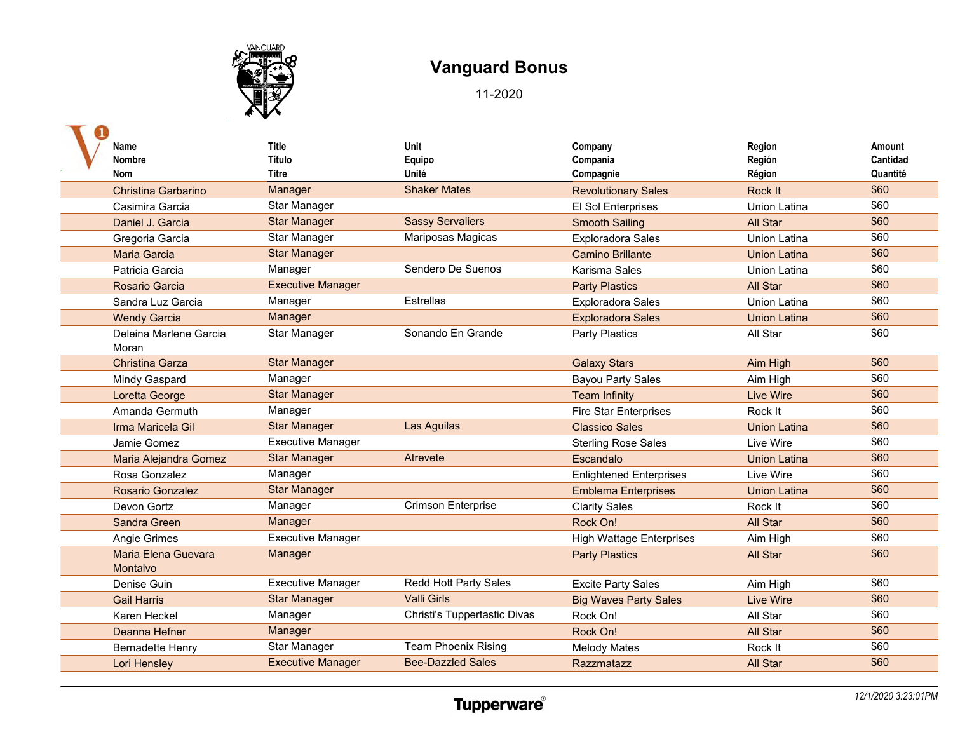

| Name                            | <b>Title</b>             | Unit                         | Company                         | Region              | Amount          |
|---------------------------------|--------------------------|------------------------------|---------------------------------|---------------------|-----------------|
| Nombre                          | Título                   | Equipo                       | Compania                        | Región              | <b>Cantidad</b> |
| <b>Nom</b>                      | Titre                    | Unité                        | Compagnie                       | Région              | Quantité        |
| <b>Christina Garbarino</b>      | Manager                  | <b>Shaker Mates</b>          | <b>Revolutionary Sales</b>      | <b>Rock It</b>      | \$60            |
| Casimira Garcia                 | Star Manager             |                              | El Sol Enterprises              | <b>Union Latina</b> | \$60            |
| Daniel J. Garcia                | <b>Star Manager</b>      | <b>Sassy Servaliers</b>      | <b>Smooth Sailing</b>           | All Star            | \$60            |
| Gregoria Garcia                 | Star Manager             | Mariposas Magicas            | <b>Exploradora Sales</b>        | <b>Union Latina</b> | \$60            |
| <b>Maria Garcia</b>             | <b>Star Manager</b>      |                              | <b>Camino Brillante</b>         | <b>Union Latina</b> | \$60            |
| Patricia Garcia                 | Manager                  | Sendero De Suenos            | Karisma Sales                   | <b>Union Latina</b> | \$60            |
| Rosario Garcia                  | <b>Executive Manager</b> |                              | <b>Party Plastics</b>           | <b>All Star</b>     | \$60            |
| Sandra Luz Garcia               | Manager                  | Estrellas                    | <b>Exploradora Sales</b>        | <b>Union Latina</b> | \$60            |
| <b>Wendy Garcia</b>             | Manager                  |                              | <b>Exploradora Sales</b>        | <b>Union Latina</b> | \$60            |
| Deleina Marlene Garcia          | Star Manager             | Sonando En Grande            | Party Plastics                  | All Star            | \$60            |
| Moran                           |                          |                              |                                 |                     |                 |
| <b>Christina Garza</b>          | <b>Star Manager</b>      |                              | <b>Galaxy Stars</b>             | Aim High            | \$60            |
| Mindy Gaspard                   | Manager                  |                              | <b>Bayou Party Sales</b>        | Aim High            | \$60            |
| Loretta George                  | <b>Star Manager</b>      |                              | <b>Team Infinity</b>            | <b>Live Wire</b>    | \$60            |
| Amanda Germuth                  | Manager                  |                              | <b>Fire Star Enterprises</b>    | Rock It             | \$60            |
| Irma Maricela Gil               | <b>Star Manager</b>      | Las Aguilas                  | <b>Classico Sales</b>           | <b>Union Latina</b> | \$60            |
| Jamie Gomez                     | <b>Executive Manager</b> |                              | <b>Sterling Rose Sales</b>      | Live Wire           | \$60            |
| Maria Alejandra Gomez           | <b>Star Manager</b>      | Atrevete                     | Escandalo                       | <b>Union Latina</b> | \$60            |
| Rosa Gonzalez                   | Manager                  |                              | <b>Enlightened Enterprises</b>  | Live Wire           | \$60            |
| <b>Rosario Gonzalez</b>         | <b>Star Manager</b>      |                              | <b>Emblema Enterprises</b>      | <b>Union Latina</b> | \$60            |
| Devon Gortz                     | Manager                  | <b>Crimson Enterprise</b>    | <b>Clarity Sales</b>            | Rock It             | \$60            |
| Sandra Green                    | Manager                  |                              | Rock On!                        | All Star            | \$60            |
| Angie Grimes                    | <b>Executive Manager</b> |                              | <b>High Wattage Enterprises</b> | Aim High            | \$60            |
| Maria Elena Guevara<br>Montalvo | Manager                  |                              | <b>Party Plastics</b>           | All Star            | \$60            |
| Denise Guin                     | <b>Executive Manager</b> | Redd Hott Party Sales        | <b>Excite Party Sales</b>       | Aim High            | \$60            |
| <b>Gail Harris</b>              | <b>Star Manager</b>      | <b>Valli Girls</b>           | <b>Big Waves Party Sales</b>    | <b>Live Wire</b>    | \$60            |
| Karen Heckel                    | Manager                  | Christi's Tuppertastic Divas | Rock On!                        | All Star            | \$60            |
| Deanna Hefner                   | Manager                  |                              | Rock On!                        | All Star            | \$60            |
| <b>Bernadette Henry</b>         | Star Manager             | <b>Team Phoenix Rising</b>   | <b>Melody Mates</b>             | Rock It             | \$60            |
| Lori Hensley                    | <b>Executive Manager</b> | <b>Bee-Dazzled Sales</b>     | Razzmatazz                      | <b>All Star</b>     | \$60            |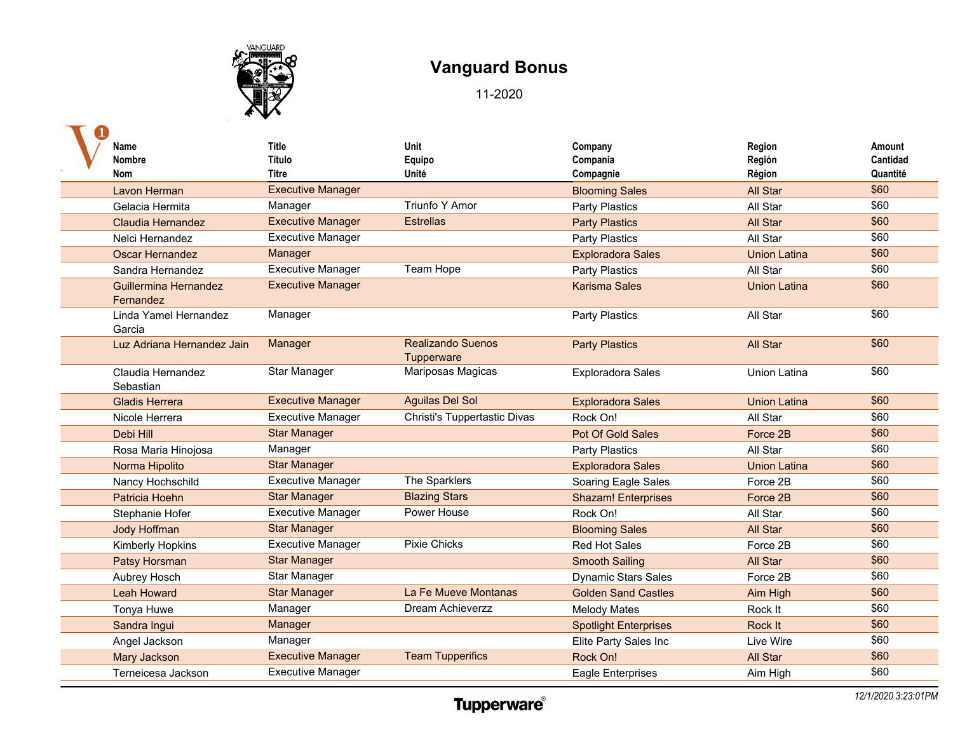

| Name<br>Nombre<br><b>Nom</b>       | Title<br>Título<br>Titre | Unit<br>Equipo<br>Unité                | Company<br>Compania<br>Compagnie | Region<br>Región<br>Région | Amount<br>Cantidad<br>Quantité |
|------------------------------------|--------------------------|----------------------------------------|----------------------------------|----------------------------|--------------------------------|
| Lavon Herman                       | <b>Executive Manager</b> |                                        | <b>Blooming Sales</b>            | All Star                   | \$60                           |
| Gelacia Hermita                    | Manager                  | <b>Triunfo Y Amor</b>                  | Party Plastics                   | All Star                   | \$60                           |
| Claudia Hernandez                  | <b>Executive Manager</b> | <b>Estrellas</b>                       | <b>Party Plastics</b>            | All Star                   | \$60                           |
| Nelci Hernandez                    | <b>Executive Manager</b> |                                        | <b>Party Plastics</b>            | All Star                   | \$60                           |
| <b>Oscar Hernandez</b>             | Manager                  |                                        | <b>Exploradora Sales</b>         | <b>Union Latina</b>        | \$60                           |
| Sandra Hernandez                   | <b>Executive Manager</b> | Team Hope                              | Party Plastics                   | All Star                   | \$60                           |
| Guillermina Hernandez<br>Fernandez | <b>Executive Manager</b> |                                        | <b>Karisma Sales</b>             | <b>Union Latina</b>        | \$60                           |
| Linda Yamel Hernandez<br>Garcia    | Manager                  |                                        | Party Plastics                   | All Star                   | \$60                           |
| Luz Adriana Hernandez Jain         | Manager                  | <b>Realizando Suenos</b><br>Tupperware | <b>Party Plastics</b>            | All Star                   | \$60                           |
| Claudia Hernandez<br>Sebastian     | Star Manager             | Mariposas Magicas                      | <b>Exploradora Sales</b>         | <b>Union Latina</b>        | \$60                           |
| <b>Gladis Herrera</b>              | <b>Executive Manager</b> | <b>Aguilas Del Sol</b>                 | <b>Exploradora Sales</b>         | <b>Union Latina</b>        | \$60                           |
| Nicole Herrera                     | <b>Executive Manager</b> | Christi's Tuppertastic Divas           | Rock On!                         | All Star                   | \$60                           |
| Debi Hill                          | <b>Star Manager</b>      |                                        | Pot Of Gold Sales                | Force 2B                   | \$60                           |
| Rosa Maria Hinojosa                | Manager                  |                                        | <b>Party Plastics</b>            | All Star                   | \$60                           |
| Norma Hipolito                     | <b>Star Manager</b>      |                                        | <b>Exploradora Sales</b>         | <b>Union Latina</b>        | \$60                           |
| Nancy Hochschild                   | <b>Executive Manager</b> | The Sparklers                          | Soaring Eagle Sales              | Force 2B                   | \$60                           |
| Patricia Hoehn                     | <b>Star Manager</b>      | <b>Blazing Stars</b>                   | <b>Shazam! Enterprises</b>       | Force 2B                   | \$60                           |
| Stephanie Hofer                    | <b>Executive Manager</b> | Power House                            | Rock On!                         | All Star                   | \$60                           |
| <b>Jody Hoffman</b>                | <b>Star Manager</b>      |                                        | <b>Blooming Sales</b>            | All Star                   | \$60                           |
| Kimberly Hopkins                   | <b>Executive Manager</b> | <b>Pixie Chicks</b>                    | <b>Red Hot Sales</b>             | Force 2B                   | \$60                           |
| Patsy Horsman                      | <b>Star Manager</b>      |                                        | <b>Smooth Sailing</b>            | All Star                   | \$60                           |
| Aubrey Hosch                       | Star Manager             |                                        | <b>Dynamic Stars Sales</b>       | Force 2B                   | \$60                           |
| <b>Leah Howard</b>                 | <b>Star Manager</b>      | La Fe Mueve Montanas                   | <b>Golden Sand Castles</b>       | Aim High                   | \$60                           |
| Tonya Huwe                         | Manager                  | Dream Achieverzz                       | <b>Melody Mates</b>              | Rock It                    | \$60                           |
| Sandra Ingui                       | Manager                  |                                        | <b>Spotlight Enterprises</b>     | Rock It                    | \$60                           |
| Angel Jackson                      | Manager                  |                                        | Elite Party Sales Inc            | Live Wire                  | \$60                           |
| <b>Mary Jackson</b>                | <b>Executive Manager</b> | <b>Team Tupperifics</b>                | Rock On!                         | All Star                   | \$60                           |
| Terneicesa Jackson                 | <b>Executive Manager</b> |                                        | <b>Eagle Enterprises</b>         | Aim High                   | \$60                           |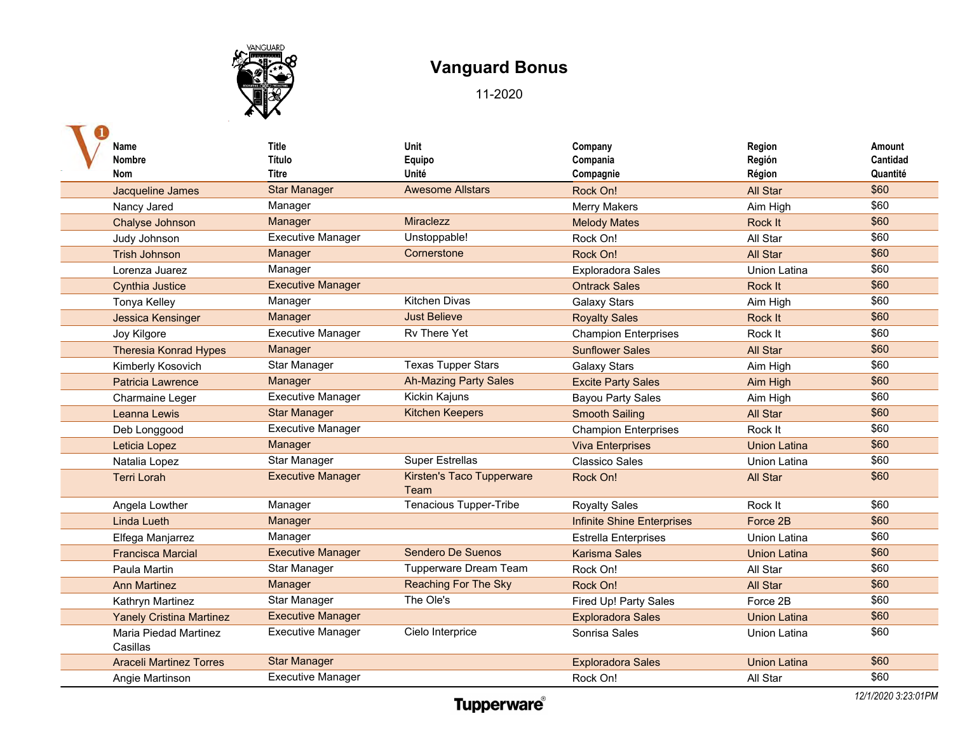

| Name                              | <b>Title</b>             | Unit                              | Company                           | Region              | Amount   |
|-----------------------------------|--------------------------|-----------------------------------|-----------------------------------|---------------------|----------|
| Nombre                            | Título                   | Equipo                            | Compania                          | Región              | Cantidad |
| <b>Nom</b>                        | <b>Titre</b>             | Unité                             | Compagnie                         | Région              | Quantité |
| Jacqueline James                  | <b>Star Manager</b>      | <b>Awesome Allstars</b>           | Rock On!                          | <b>All Star</b>     | \$60     |
| Nancy Jared                       | Manager                  |                                   | <b>Merry Makers</b>               | Aim High            | \$60     |
| Chalyse Johnson                   | Manager                  | <b>Miraclezz</b>                  | <b>Melody Mates</b>               | Rock It             | \$60     |
| Judy Johnson                      | <b>Executive Manager</b> | Unstoppable!                      | Rock On!                          | All Star            | \$60     |
| <b>Trish Johnson</b>              | Manager                  | Cornerstone                       | Rock On!                          | <b>All Star</b>     | \$60     |
| Lorenza Juarez                    | Manager                  |                                   | <b>Exploradora Sales</b>          | <b>Union Latina</b> | \$60     |
| <b>Cynthia Justice</b>            | <b>Executive Manager</b> |                                   | <b>Ontrack Sales</b>              | Rock It             | \$60     |
| <b>Tonya Kelley</b>               | Manager                  | <b>Kitchen Divas</b>              | <b>Galaxy Stars</b>               | Aim High            | \$60     |
| Jessica Kensinger                 | Manager                  | <b>Just Believe</b>               | <b>Royalty Sales</b>              | Rock It             | \$60     |
| Joy Kilgore                       | <b>Executive Manager</b> | Rv There Yet                      | <b>Champion Enterprises</b>       | Rock It             | \$60     |
| <b>Theresia Konrad Hypes</b>      | Manager                  |                                   | <b>Sunflower Sales</b>            | All Star            | \$60     |
| Kimberly Kosovich                 | Star Manager             | <b>Texas Tupper Stars</b>         | <b>Galaxy Stars</b>               | Aim High            | \$60     |
| <b>Patricia Lawrence</b>          | Manager                  | <b>Ah-Mazing Party Sales</b>      | <b>Excite Party Sales</b>         | Aim High            | \$60     |
| Charmaine Leger                   | <b>Executive Manager</b> | Kickin Kajuns                     | <b>Bayou Party Sales</b>          | Aim High            | \$60     |
| Leanna Lewis                      | <b>Star Manager</b>      | <b>Kitchen Keepers</b>            | <b>Smooth Sailing</b>             | All Star            | \$60     |
| Deb Longgood                      | <b>Executive Manager</b> |                                   | <b>Champion Enterprises</b>       | Rock It             | \$60     |
| Leticia Lopez                     | Manager                  |                                   | <b>Viva Enterprises</b>           | <b>Union Latina</b> | \$60     |
| Natalia Lopez                     | Star Manager             | <b>Super Estrellas</b>            | <b>Classico Sales</b>             | <b>Union Latina</b> | \$60     |
| <b>Terri Lorah</b>                | <b>Executive Manager</b> | Kirsten's Taco Tupperware<br>Team | Rock On!                          | All Star            | \$60     |
| Angela Lowther                    | Manager                  | Tenacious Tupper-Tribe            | <b>Royalty Sales</b>              | Rock It             | \$60     |
| <b>Linda Lueth</b>                | Manager                  |                                   | <b>Infinite Shine Enterprises</b> | Force 2B            | \$60     |
| Elfega Manjarrez                  | Manager                  |                                   | <b>Estrella Enterprises</b>       | <b>Union Latina</b> | \$60     |
| <b>Francisca Marcial</b>          | <b>Executive Manager</b> | Sendero De Suenos                 | <b>Karisma Sales</b>              | <b>Union Latina</b> | \$60     |
| Paula Martin                      | Star Manager             | <b>Tupperware Dream Team</b>      | Rock On!                          | All Star            | \$60     |
| <b>Ann Martinez</b>               | Manager                  | <b>Reaching For The Sky</b>       | Rock On!                          | All Star            | \$60     |
| Kathryn Martinez                  | Star Manager             | The Ole's                         | <b>Fired Up! Party Sales</b>      | Force 2B            | \$60     |
| <b>Yanely Cristina Martinez</b>   | <b>Executive Manager</b> |                                   | <b>Exploradora Sales</b>          | <b>Union Latina</b> | \$60     |
| Maria Piedad Martinez<br>Casillas | <b>Executive Manager</b> | Cielo Interprice                  | Sonrisa Sales                     | <b>Union Latina</b> | \$60     |
| <b>Araceli Martinez Torres</b>    | <b>Star Manager</b>      |                                   | <b>Exploradora Sales</b>          | <b>Union Latina</b> | \$60     |
| Angie Martinson                   | <b>Executive Manager</b> |                                   | Rock On!                          | All Star            | \$60     |
|                                   |                          |                                   |                                   |                     |          |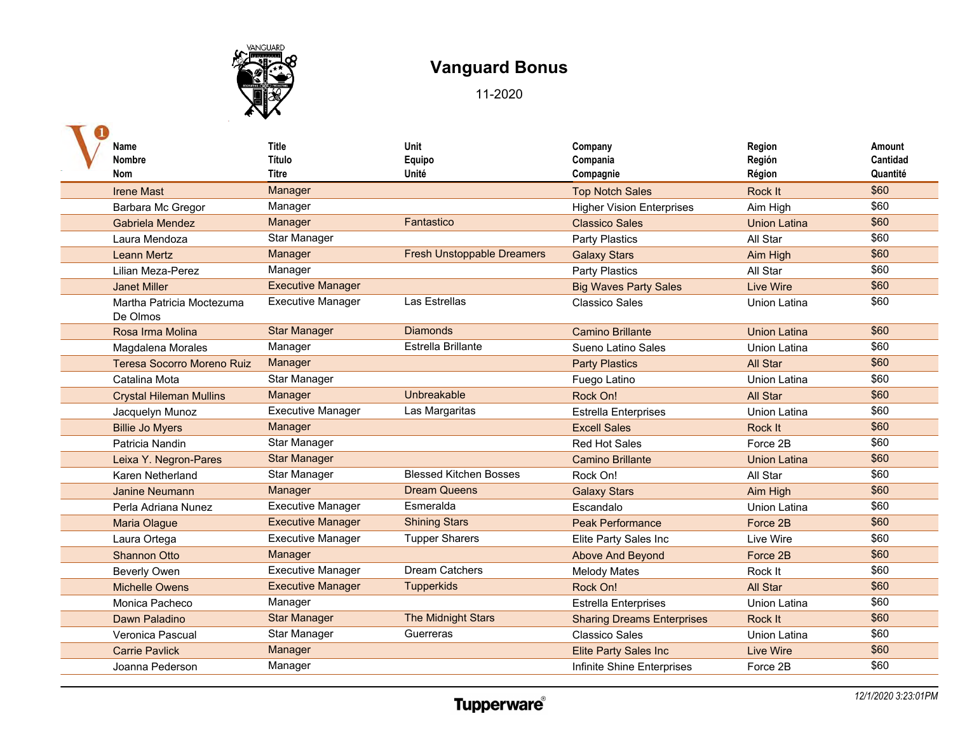

| Name                                  | <b>Title</b>             | Unit                              | Company                           | Region              | Amount   |
|---------------------------------------|--------------------------|-----------------------------------|-----------------------------------|---------------------|----------|
| Nombre                                | <b>Título</b>            | Equipo                            | Compania                          | Región              | Cantidad |
| <b>Nom</b>                            | <b>Titre</b>             | Unité                             | Compagnie                         | Région              | Quantité |
| <b>Irene Mast</b>                     | <b>Manager</b>           |                                   | <b>Top Notch Sales</b>            | Rock It             | \$60     |
| Barbara Mc Gregor                     | Manager                  |                                   | <b>Higher Vision Enterprises</b>  | Aim High            | \$60     |
| Gabriela Mendez                       | Manager                  | Fantastico                        | <b>Classico Sales</b>             | <b>Union Latina</b> | \$60     |
| Laura Mendoza                         | Star Manager             |                                   | <b>Party Plastics</b>             | All Star            | \$60     |
| <b>Leann Mertz</b>                    | Manager                  | <b>Fresh Unstoppable Dreamers</b> | <b>Galaxy Stars</b>               | Aim High            | \$60     |
| Lilian Meza-Perez                     | Manager                  |                                   | <b>Party Plastics</b>             | All Star            | \$60     |
| <b>Janet Miller</b>                   | <b>Executive Manager</b> |                                   | <b>Big Waves Party Sales</b>      | <b>Live Wire</b>    | \$60     |
| Martha Patricia Moctezuma<br>De Olmos | <b>Executive Manager</b> | Las Estrellas                     | <b>Classico Sales</b>             | <b>Union Latina</b> | \$60     |
| Rosa Irma Molina                      | <b>Star Manager</b>      | <b>Diamonds</b>                   | <b>Camino Brillante</b>           | <b>Union Latina</b> | \$60     |
| Magdalena Morales                     | Manager                  | Estrella Brillante                | Sueno Latino Sales                | <b>Union Latina</b> | \$60     |
| Teresa Socorro Moreno Ruiz            | Manager                  |                                   | <b>Party Plastics</b>             | <b>All Star</b>     | \$60     |
| Catalina Mota                         | Star Manager             |                                   | Fuego Latino                      | <b>Union Latina</b> | \$60     |
| <b>Crystal Hileman Mullins</b>        | Manager                  | Unbreakable                       | Rock On!                          | All Star            | \$60     |
| Jacquelyn Munoz                       | <b>Executive Manager</b> | Las Margaritas                    | <b>Estrella Enterprises</b>       | <b>Union Latina</b> | \$60     |
| <b>Billie Jo Myers</b>                | Manager                  |                                   | <b>Excell Sales</b>               | Rock It             | \$60     |
| Patricia Nandin                       | Star Manager             |                                   | <b>Red Hot Sales</b>              | Force 2B            | \$60     |
| Leixa Y. Negron-Pares                 | <b>Star Manager</b>      |                                   | <b>Camino Brillante</b>           | <b>Union Latina</b> | \$60     |
| Karen Netherland                      | Star Manager             | <b>Blessed Kitchen Bosses</b>     | Rock On!                          | All Star            | \$60     |
| <b>Janine Neumann</b>                 | Manager                  | <b>Dream Queens</b>               | <b>Galaxy Stars</b>               | Aim High            | \$60     |
| Perla Adriana Nunez                   | <b>Executive Manager</b> | Esmeralda                         | Escandalo                         | <b>Union Latina</b> | \$60     |
| <b>Maria Olague</b>                   | <b>Executive Manager</b> | <b>Shining Stars</b>              | <b>Peak Performance</b>           | Force 2B            | \$60     |
| Laura Ortega                          | <b>Executive Manager</b> | <b>Tupper Sharers</b>             | Elite Party Sales Inc             | Live Wire           | \$60     |
| <b>Shannon Otto</b>                   | Manager                  |                                   | Above And Beyond                  | Force 2B            | \$60     |
| <b>Beverly Owen</b>                   | <b>Executive Manager</b> | <b>Dream Catchers</b>             | <b>Melody Mates</b>               | Rock It             | \$60     |
| <b>Michelle Owens</b>                 | <b>Executive Manager</b> | <b>Tupperkids</b>                 | Rock On!                          | <b>All Star</b>     | \$60     |
| Monica Pacheco                        | Manager                  |                                   | <b>Estrella Enterprises</b>       | <b>Union Latina</b> | \$60     |
| Dawn Paladino                         | <b>Star Manager</b>      | <b>The Midnight Stars</b>         | <b>Sharing Dreams Enterprises</b> | Rock It             | \$60     |
| Veronica Pascual                      | Star Manager             | Guerreras                         | <b>Classico Sales</b>             | <b>Union Latina</b> | \$60     |
| <b>Carrie Pavlick</b>                 | Manager                  |                                   | <b>Elite Party Sales Inc</b>      | <b>Live Wire</b>    | \$60     |
| Joanna Pederson                       | Manager                  |                                   | Infinite Shine Enterprises        | Force 2B            | \$60     |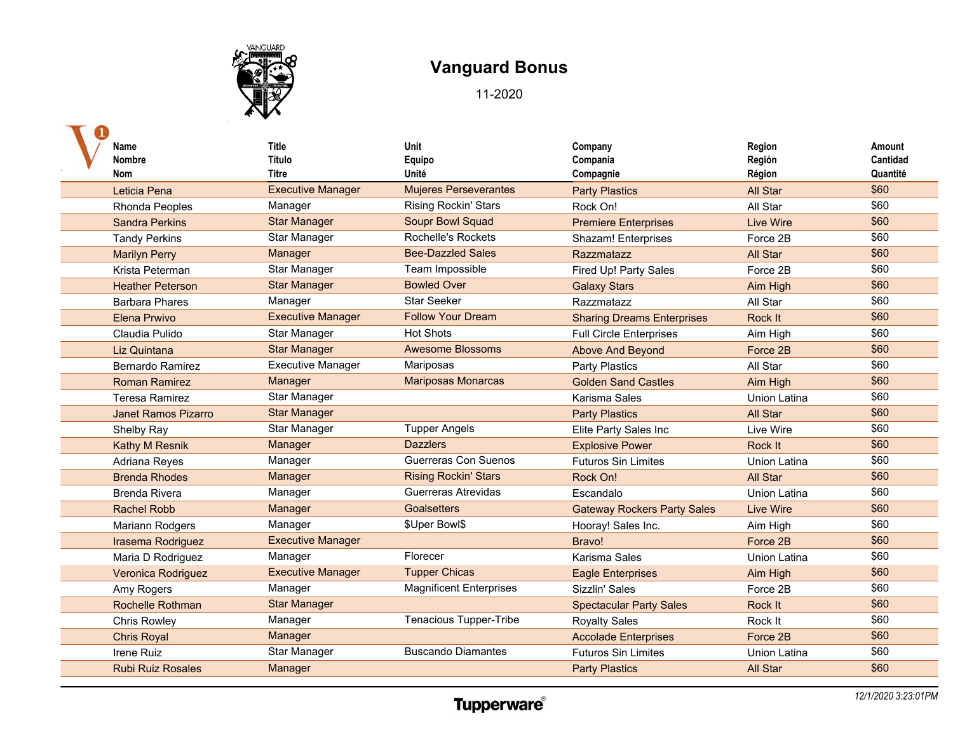

| Name<br><b>Nombre</b>    | <b>Title</b><br>Título            | Unit<br>Equipo                        | Company<br>Compania                | Region<br>Región   | Amount<br>Cantidad |
|--------------------------|-----------------------------------|---------------------------------------|------------------------------------|--------------------|--------------------|
| Nom<br>Leticia Pena      | Titre<br><b>Executive Manager</b> | Unité<br><b>Mujeres Perseverantes</b> | Compagnie<br><b>Party Plastics</b> | Région<br>All Star | Quantité<br>\$60   |
| Rhonda Peoples           | Manager                           | Rising Rockin' Stars                  | Rock On!                           | All Star           | \$60               |
| <b>Sandra Perkins</b>    | <b>Star Manager</b>               | <b>Soupr Bowl Squad</b>               | <b>Premiere Enterprises</b>        | <b>Live Wire</b>   | \$60               |
| <b>Tandy Perkins</b>     | <b>Star Manager</b>               | <b>Rochelle's Rockets</b>             | <b>Shazam! Enterprises</b>         | Force 2B           | \$60               |
| <b>Marilyn Perry</b>     | Manager                           | <b>Bee-Dazzled Sales</b>              | <b>Razzmatazz</b>                  | <b>All Star</b>    | \$60               |
| Krista Peterman          | Star Manager                      | Team Impossible                       | Fired Up! Party Sales              | Force 2B           | \$60               |
| <b>Heather Peterson</b>  | <b>Star Manager</b>               | <b>Bowled Over</b>                    | <b>Galaxy Stars</b>                | Aim High           | \$60               |
| <b>Barbara Phares</b>    | Manager                           | <b>Star Seeker</b>                    | Razzmatazz                         | All Star           | \$60               |
| <b>Elena Prwivo</b>      | <b>Executive Manager</b>          | <b>Follow Your Dream</b>              | <b>Sharing Dreams Enterprises</b>  | Rock It            | \$60               |
| Claudia Pulido           | Star Manager                      | <b>Hot Shots</b>                      | <b>Full Circle Enterprises</b>     | Aim High           | \$60               |
| Liz Quintana             | <b>Star Manager</b>               | <b>Awesome Blossoms</b>               | Above And Beyond                   | Force 2B           | \$60               |
| <b>Bernardo Ramirez</b>  | <b>Executive Manager</b>          | Mariposas                             | Party Plastics                     | All Star           | \$60               |
| <b>Roman Ramirez</b>     | Manager                           | <b>Mariposas Monarcas</b>             | <b>Golden Sand Castles</b>         | Aim High           | \$60               |
| Teresa Ramirez           | Star Manager                      |                                       | Karisma Sales                      | Union Latina       | \$60               |
| Janet Ramos Pizarro      | <b>Star Manager</b>               |                                       | <b>Party Plastics</b>              | All Star           | \$60               |
| Shelby Ray               | Star Manager                      | <b>Tupper Angels</b>                  | Elite Party Sales Inc              | Live Wire          | \$60               |
| <b>Kathy M Resnik</b>    | Manager                           | <b>Dazzlers</b>                       | <b>Explosive Power</b>             | Rock It            | \$60               |
| Adriana Reyes            | Manager                           | Guerreras Con Suenos                  | <b>Futuros Sin Limites</b>         | Union Latina       | \$60               |
| <b>Brenda Rhodes</b>     | Manager                           | <b>Rising Rockin' Stars</b>           | Rock On!                           | <b>All Star</b>    | \$60               |
| <b>Brenda Rivera</b>     | Manager                           | Guerreras Atrevidas                   | Escandalo                          | Union Latina       | \$60               |
| <b>Rachel Robb</b>       | Manager                           | <b>Goalsetters</b>                    | <b>Gateway Rockers Party Sales</b> | <b>Live Wire</b>   | \$60               |
| Mariann Rodgers          | Manager                           | \$Uper Bowl\$                         | Hooray! Sales Inc.                 | Aim High           | \$60               |
| Irasema Rodriguez        | <b>Executive Manager</b>          |                                       | Bravo!                             | Force 2B           | \$60               |
| Maria D Rodriguez        | Manager                           | Florecer                              | Karisma Sales                      | Union Latina       | \$60               |
| Veronica Rodriguez       | <b>Executive Manager</b>          | <b>Tupper Chicas</b>                  | <b>Eagle Enterprises</b>           | Aim High           | \$60               |
| Amy Rogers               | Manager                           | <b>Magnificent Enterprises</b>        | Sizzlin' Sales                     | Force 2B           | \$60               |
| <b>Rochelle Rothman</b>  | <b>Star Manager</b>               |                                       | <b>Spectacular Party Sales</b>     | Rock It            | \$60               |
| <b>Chris Rowley</b>      | Manager                           | Tenacious Tupper-Tribe                | <b>Royalty Sales</b>               | Rock It            | \$60               |
| <b>Chris Royal</b>       | Manager                           |                                       | <b>Accolade Enterprises</b>        | Force 2B           | \$60               |
| Irene Ruiz               | Star Manager                      | <b>Buscando Diamantes</b>             | <b>Futuros Sin Limites</b>         | Union Latina       | \$60               |
| <b>Rubi Ruiz Rosales</b> | Manager                           |                                       | <b>Party Plastics</b>              | <b>All Star</b>    | \$60               |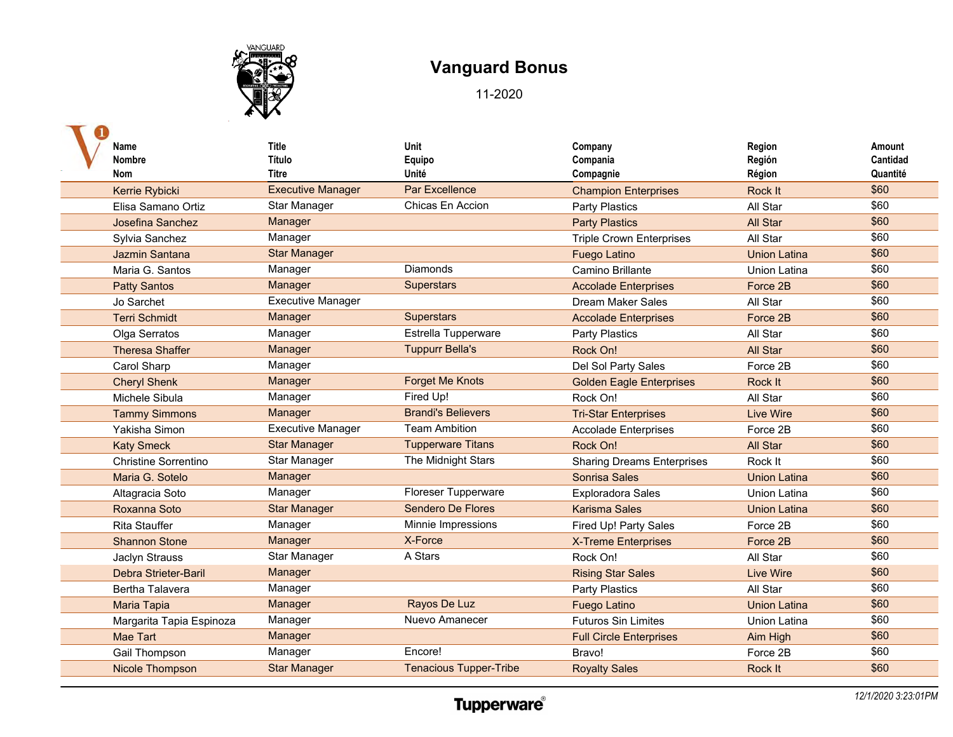

| Name                        | <b>Title</b>             | Unit                          | Company                           | Region              | Amount   |
|-----------------------------|--------------------------|-------------------------------|-----------------------------------|---------------------|----------|
| Nombre                      | Título                   | Equipo                        | Compania                          | Región              | Cantidad |
| <b>Nom</b>                  | Titre                    | Unité                         | Compagnie                         | Région              | Quantité |
| Kerrie Rybicki              | <b>Executive Manager</b> | Par Excellence                | <b>Champion Enterprises</b>       | Rock It             | \$60     |
| Elisa Samano Ortiz          | Star Manager             | Chicas En Accion              | <b>Party Plastics</b>             | All Star            | \$60     |
| Josefina Sanchez            | Manager                  |                               | <b>Party Plastics</b>             | All Star            | \$60     |
| Sylvia Sanchez              | Manager                  |                               | <b>Triple Crown Enterprises</b>   | All Star            | \$60     |
| Jazmin Santana              | <b>Star Manager</b>      |                               | <b>Fuego Latino</b>               | <b>Union Latina</b> | \$60     |
| Maria G. Santos             | Manager                  | <b>Diamonds</b>               | Camino Brillante                  | <b>Union Latina</b> | \$60     |
| <b>Patty Santos</b>         | Manager                  | <b>Superstars</b>             | <b>Accolade Enterprises</b>       | Force 2B            | \$60     |
| Jo Sarchet                  | <b>Executive Manager</b> |                               | <b>Dream Maker Sales</b>          | All Star            | \$60     |
| <b>Terri Schmidt</b>        | Manager                  | <b>Superstars</b>             | <b>Accolade Enterprises</b>       | Force 2B            | \$60     |
| Olga Serratos               | Manager                  | Estrella Tupperware           | <b>Party Plastics</b>             | All Star            | \$60     |
| <b>Theresa Shaffer</b>      | Manager                  | <b>Tuppurr Bella's</b>        | Rock On!                          | <b>All Star</b>     | \$60     |
| <b>Carol Sharp</b>          | Manager                  |                               | Del Sol Party Sales               | Force 2B            | \$60     |
| <b>Cheryl Shenk</b>         | Manager                  | <b>Forget Me Knots</b>        | <b>Golden Eagle Enterprises</b>   | Rock It             | \$60     |
| Michele Sibula              | Manager                  | Fired Up!                     | Rock On!                          | All Star            | \$60     |
| <b>Tammy Simmons</b>        | Manager                  | <b>Brandi's Believers</b>     | <b>Tri-Star Enterprises</b>       | Live Wire           | \$60     |
| Yakisha Simon               | <b>Executive Manager</b> | <b>Team Ambition</b>          | <b>Accolade Enterprises</b>       | Force 2B            | \$60     |
| <b>Katy Smeck</b>           | <b>Star Manager</b>      | <b>Tupperware Titans</b>      | Rock On!                          | <b>All Star</b>     | \$60     |
| <b>Christine Sorrentino</b> | Star Manager             | The Midnight Stars            | <b>Sharing Dreams Enterprises</b> | Rock It             | \$60     |
| Maria G. Sotelo             | Manager                  |                               | Sonrisa Sales                     | <b>Union Latina</b> | \$60     |
| Altagracia Soto             | Manager                  | Floreser Tupperware           | <b>Exploradora Sales</b>          | Union Latina        | \$60     |
| Roxanna Soto                | <b>Star Manager</b>      | <b>Sendero De Flores</b>      | <b>Karisma Sales</b>              | <b>Union Latina</b> | \$60     |
| <b>Rita Stauffer</b>        | Manager                  | Minnie Impressions            | Fired Up! Party Sales             | Force 2B            | \$60     |
| <b>Shannon Stone</b>        | Manager                  | X-Force                       | <b>X-Treme Enterprises</b>        | Force 2B            | \$60     |
| Jaclyn Strauss              | Star Manager             | A Stars                       | Rock On!                          | All Star            | \$60     |
| <b>Debra Strieter-Baril</b> | Manager                  |                               | <b>Rising Star Sales</b>          | Live Wire           | \$60     |
| <b>Bertha Talavera</b>      | Manager                  |                               | <b>Party Plastics</b>             | All Star            | \$60     |
| <b>Maria Tapia</b>          | Manager                  | Rayos De Luz                  | <b>Fuego Latino</b>               | <b>Union Latina</b> | \$60     |
| Margarita Tapia Espinoza    | Manager                  | Nuevo Amanecer                | <b>Futuros Sin Limites</b>        | <b>Union Latina</b> | \$60     |
| <b>Mae Tart</b>             | Manager                  |                               | <b>Full Circle Enterprises</b>    | Aim High            | \$60     |
| Gail Thompson               | Manager                  | Encore!                       | Bravo!                            | Force 2B            | \$60     |
| Nicole Thompson             | <b>Star Manager</b>      | <b>Tenacious Tupper-Tribe</b> | <b>Royalty Sales</b>              | Rock It             | \$60     |
|                             |                          |                               |                                   |                     |          |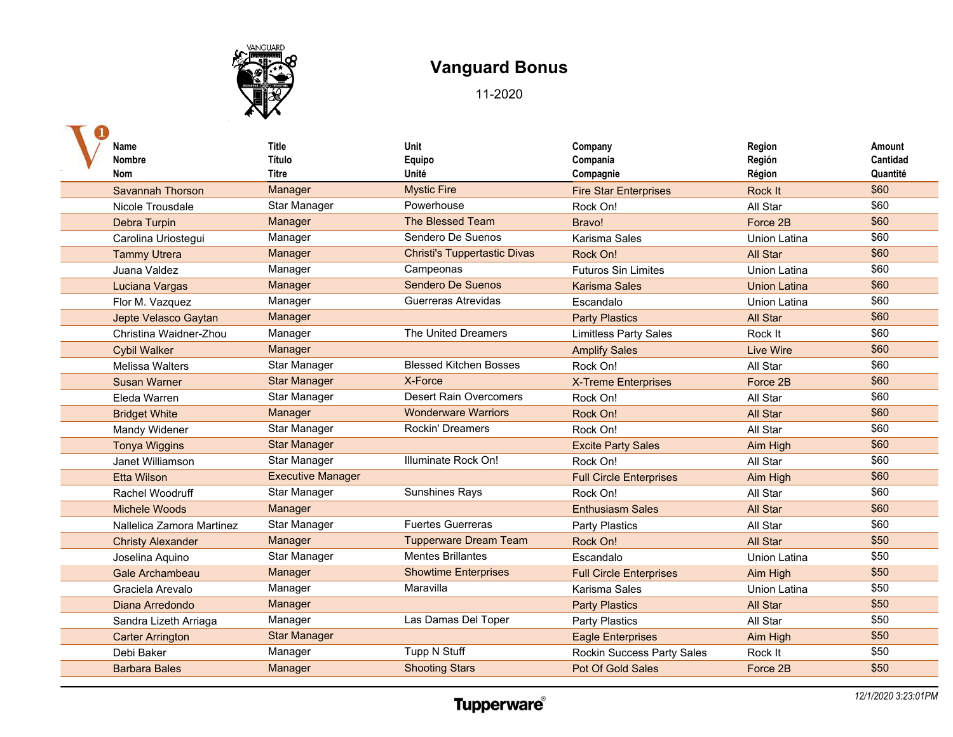

| Name                      | <b>Title</b>             | Unit                                | Company                        | Region              | Amount   |
|---------------------------|--------------------------|-------------------------------------|--------------------------------|---------------------|----------|
| Nombre                    | Título                   | Equipo                              | Compania                       | Región              | Cantidad |
| <b>Nom</b>                | <b>Titre</b>             | Unité                               | Compagnie                      | Région              | Quantité |
| <b>Savannah Thorson</b>   | Manager                  | <b>Mystic Fire</b>                  | <b>Fire Star Enterprises</b>   | Rock It             | \$60     |
| Nicole Trousdale          | Star Manager             | Powerhouse                          | Rock On!                       | All Star            | \$60     |
| Debra Turpin              | Manager                  | The Blessed Team                    | Bravo!                         | Force 2B            | \$60     |
| Carolina Uriostegui       | Manager                  | Sendero De Suenos                   | Karisma Sales                  | <b>Union Latina</b> | \$60     |
| <b>Tammy Utrera</b>       | Manager                  | <b>Christi's Tuppertastic Divas</b> | Rock On!                       | <b>All Star</b>     | \$60     |
| Juana Valdez              | Manager                  | Campeonas                           | <b>Futuros Sin Limites</b>     | <b>Union Latina</b> | \$60     |
| Luciana Vargas            | Manager                  | <b>Sendero De Suenos</b>            | <b>Karisma Sales</b>           | <b>Union Latina</b> | \$60     |
| Flor M. Vazquez           | Manager                  | Guerreras Atrevidas                 | Escandalo                      | <b>Union Latina</b> | \$60     |
| Jepte Velasco Gaytan      | Manager                  |                                     | <b>Party Plastics</b>          | All Star            | \$60     |
| Christina Waidner-Zhou    | Manager                  | The United Dreamers                 | <b>Limitless Party Sales</b>   | Rock It             | \$60     |
| <b>Cybil Walker</b>       | Manager                  |                                     | <b>Amplify Sales</b>           | <b>Live Wire</b>    | \$60     |
| <b>Melissa Walters</b>    | Star Manager             | <b>Blessed Kitchen Bosses</b>       | Rock On!                       | All Star            | \$60     |
| <b>Susan Warner</b>       | <b>Star Manager</b>      | X-Force                             | X-Treme Enterprises            | Force 2B            | \$60     |
| Eleda Warren              | Star Manager             | <b>Desert Rain Overcomers</b>       | Rock On!                       | All Star            | \$60     |
| <b>Bridget White</b>      | Manager                  | <b>Wonderware Warriors</b>          | Rock On!                       | All Star            | \$60     |
| Mandy Widener             | Star Manager             | Rockin' Dreamers                    | Rock On!                       | All Star            | \$60     |
| <b>Tonya Wiggins</b>      | <b>Star Manager</b>      |                                     | <b>Excite Party Sales</b>      | Aim High            | \$60     |
| Janet Williamson          | Star Manager             | Illuminate Rock On!                 | Rock On!                       | All Star            | \$60     |
| <b>Etta Wilson</b>        | <b>Executive Manager</b> |                                     | <b>Full Circle Enterprises</b> | Aim High            | \$60     |
| Rachel Woodruff           | Star Manager             | <b>Sunshines Rays</b>               | Rock On!                       | All Star            | \$60     |
| Michele Woods             | Manager                  |                                     | <b>Enthusiasm Sales</b>        | All Star            | \$60     |
| Nallelica Zamora Martinez | Star Manager             | <b>Fuertes Guerreras</b>            | Party Plastics                 | All Star            | \$60     |
| <b>Christy Alexander</b>  | Manager                  | <b>Tupperware Dream Team</b>        | Rock On!                       | All Star            | \$50     |
| Joselina Aquino           | Star Manager             | <b>Mentes Brillantes</b>            | Escandalo                      | <b>Union Latina</b> | \$50     |
| <b>Gale Archambeau</b>    | Manager                  | <b>Showtime Enterprises</b>         | <b>Full Circle Enterprises</b> | Aim High            | \$50     |
| Graciela Arevalo          | Manager                  | Maravilla                           | Karisma Sales                  | <b>Union Latina</b> | \$50     |
| Diana Arredondo           | Manager                  |                                     | <b>Party Plastics</b>          | <b>All Star</b>     | \$50     |
| Sandra Lizeth Arriaga     | Manager                  | Las Damas Del Toper                 | Party Plastics                 | All Star            | \$50     |
| <b>Carter Arrington</b>   | <b>Star Manager</b>      |                                     | <b>Eagle Enterprises</b>       | Aim High            | \$50     |
| Debi Baker                | Manager                  | Tupp N Stuff                        | Rockin Success Party Sales     | Rock It             | \$50     |
| <b>Barbara Bales</b>      | Manager                  | <b>Shooting Stars</b>               | Pot Of Gold Sales              | Force 2B            | \$50     |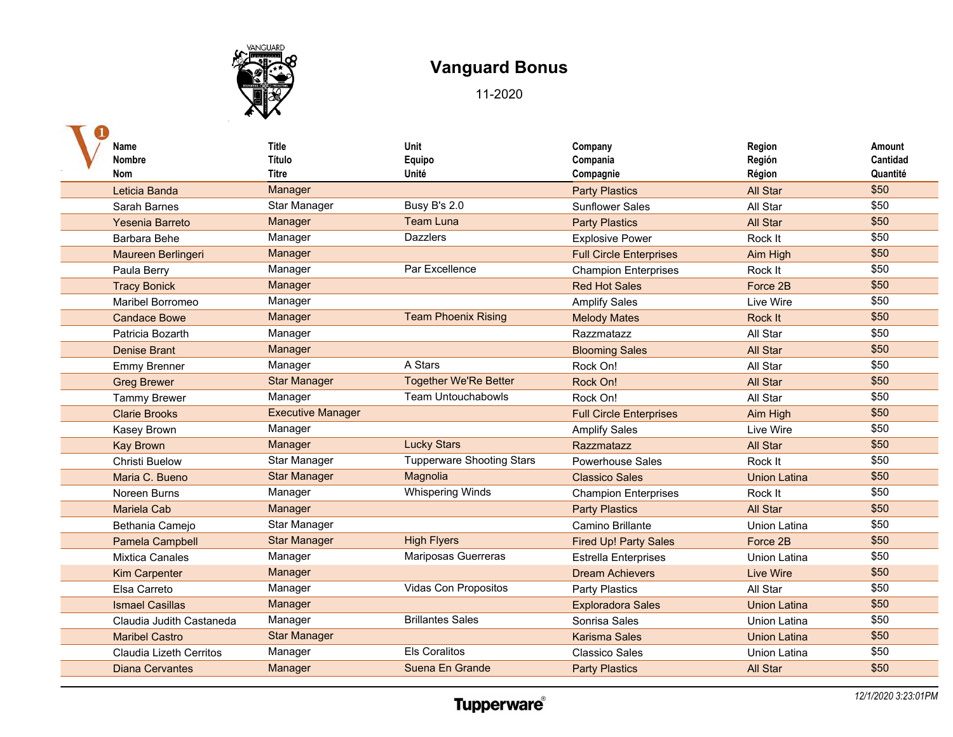

| Name                     | <b>Title</b>             | Unit                             | Company                        | Region              | Amount   |
|--------------------------|--------------------------|----------------------------------|--------------------------------|---------------------|----------|
| Nombre                   | Título                   | Equipo                           | Compania                       | Región              | Cantidad |
| <b>Nom</b>               | Titre                    | Unité                            | Compagnie                      | Région              | Quantité |
| Leticia Banda            | Manager                  |                                  | <b>Party Plastics</b>          | All Star            | \$50     |
| Sarah Barnes             | Star Manager             | Busy B's 2.0                     | <b>Sunflower Sales</b>         | All Star            | \$50     |
| Yesenia Barreto          | Manager                  | <b>Team Luna</b>                 | <b>Party Plastics</b>          | <b>All Star</b>     | \$50     |
| Barbara Behe             | Manager                  | <b>Dazzlers</b>                  | <b>Explosive Power</b>         | Rock It             | \$50     |
| Maureen Berlingeri       | Manager                  |                                  | <b>Full Circle Enterprises</b> | Aim High            | \$50     |
| Paula Berry              | Manager                  | Par Excellence                   | <b>Champion Enterprises</b>    | Rock It             | \$50     |
| <b>Tracy Bonick</b>      | Manager                  |                                  | <b>Red Hot Sales</b>           | Force 2B            | \$50     |
| Maribel Borromeo         | Manager                  |                                  | <b>Amplify Sales</b>           | Live Wire           | \$50     |
| <b>Candace Bowe</b>      | Manager                  | <b>Team Phoenix Rising</b>       | <b>Melody Mates</b>            | Rock It             | \$50     |
| Patricia Bozarth         | Manager                  |                                  | Razzmatazz                     | All Star            | \$50     |
| <b>Denise Brant</b>      | Manager                  |                                  | <b>Blooming Sales</b>          | All Star            | \$50     |
| <b>Emmy Brenner</b>      | Manager                  | A Stars                          | Rock On!                       | All Star            | \$50     |
| <b>Greg Brewer</b>       | <b>Star Manager</b>      | <b>Together We'Re Better</b>     | Rock On!                       | <b>All Star</b>     | \$50     |
| <b>Tammy Brewer</b>      | Manager                  | <b>Team Untouchabowls</b>        | Rock On!                       | All Star            | \$50     |
| <b>Clarie Brooks</b>     | <b>Executive Manager</b> |                                  | <b>Full Circle Enterprises</b> | Aim High            | \$50     |
| Kasey Brown              | Manager                  |                                  | <b>Amplify Sales</b>           | Live Wire           | \$50     |
| <b>Kay Brown</b>         | Manager                  | <b>Lucky Stars</b>               | Razzmatazz                     | All Star            | \$50     |
| <b>Christi Buelow</b>    | Star Manager             | <b>Tupperware Shooting Stars</b> | <b>Powerhouse Sales</b>        | Rock It             | \$50     |
| Maria C. Bueno           | <b>Star Manager</b>      | Magnolia                         | <b>Classico Sales</b>          | <b>Union Latina</b> | \$50     |
| Noreen Burns             | Manager                  | <b>Whispering Winds</b>          | <b>Champion Enterprises</b>    | Rock It             | \$50     |
| <b>Mariela Cab</b>       | Manager                  |                                  | <b>Party Plastics</b>          | <b>All Star</b>     | \$50     |
| Bethania Camejo          | Star Manager             |                                  | Camino Brillante               | <b>Union Latina</b> | \$50     |
| Pamela Campbell          | <b>Star Manager</b>      | <b>High Flyers</b>               | <b>Fired Up! Party Sales</b>   | Force 2B            | \$50     |
| <b>Mixtica Canales</b>   | Manager                  | Mariposas Guerreras              | <b>Estrella Enterprises</b>    | Union Latina        | \$50     |
| <b>Kim Carpenter</b>     | Manager                  |                                  | <b>Dream Achievers</b>         | <b>Live Wire</b>    | \$50     |
| Elsa Carreto             | Manager                  | Vidas Con Propositos             | <b>Party Plastics</b>          | All Star            | \$50     |
| <b>Ismael Casillas</b>   | Manager                  |                                  | <b>Exploradora Sales</b>       | <b>Union Latina</b> | \$50     |
| Claudia Judith Castaneda | Manager                  | <b>Brillantes Sales</b>          | Sonrisa Sales                  | <b>Union Latina</b> | \$50     |
| <b>Maribel Castro</b>    | <b>Star Manager</b>      |                                  | <b>Karisma Sales</b>           | <b>Union Latina</b> | \$50     |
| Claudia Lizeth Cerritos  | Manager                  | <b>Els Coralitos</b>             | <b>Classico Sales</b>          | <b>Union Latina</b> | \$50     |
| <b>Diana Cervantes</b>   | Manager                  | Suena En Grande                  | <b>Party Plastics</b>          | <b>All Star</b>     | \$50     |
|                          |                          |                                  |                                |                     |          |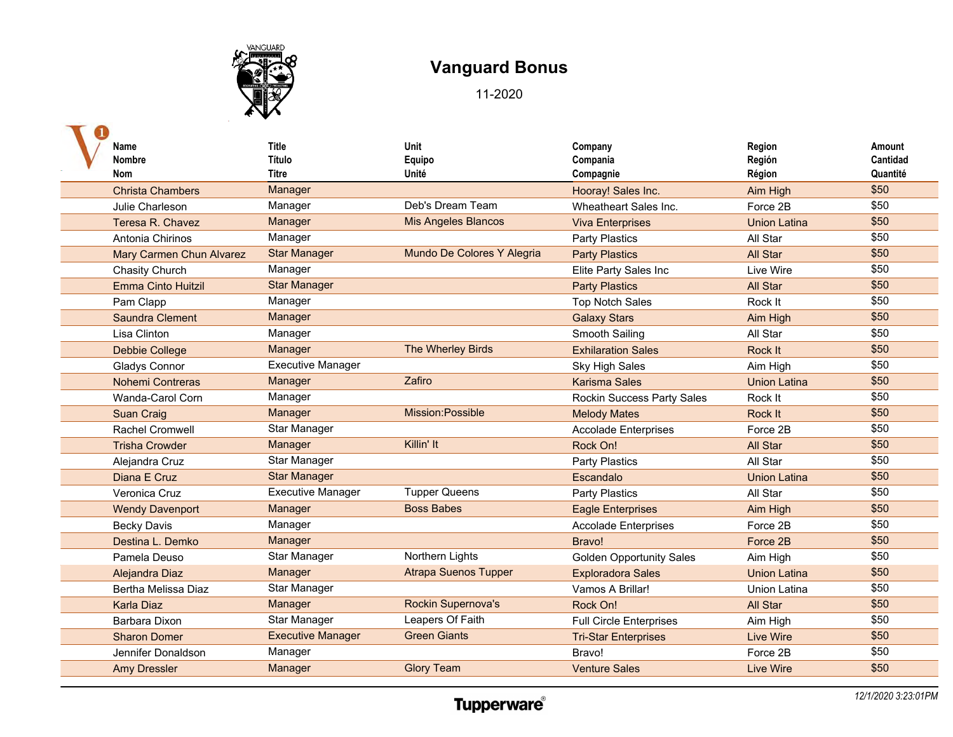

| Name                            | <b>Title</b>             | Unit                        | Company                         | Region              | Amount   |
|---------------------------------|--------------------------|-----------------------------|---------------------------------|---------------------|----------|
| <b>Nombre</b>                   | Título                   | Equipo                      | Compania                        | Región              | Cantidad |
| <b>Nom</b>                      | Titre                    | Unité                       | Compagnie                       | Région              | Quantité |
| <b>Christa Chambers</b>         | Manager                  |                             | Hooray! Sales Inc.              | Aim High            | \$50     |
| Julie Charleson                 | Manager                  | Deb's Dream Team            | Wheatheart Sales Inc.           | Force 2B            | \$50     |
| Teresa R. Chavez                | Manager                  | <b>Mis Angeles Blancos</b>  | <b>Viva Enterprises</b>         | <b>Union Latina</b> | \$50     |
| Antonia Chirinos                | Manager                  |                             | Party Plastics                  | All Star            | \$50     |
| <b>Mary Carmen Chun Alvarez</b> | <b>Star Manager</b>      | Mundo De Colores Y Alegria  | <b>Party Plastics</b>           | All Star            | \$50     |
| Chasity Church                  | Manager                  |                             | Elite Party Sales Inc           | Live Wire           | \$50     |
| <b>Emma Cinto Huitzil</b>       | <b>Star Manager</b>      |                             | <b>Party Plastics</b>           | <b>All Star</b>     | \$50     |
| Pam Clapp                       | Manager                  |                             | <b>Top Notch Sales</b>          | Rock It             | \$50     |
| <b>Saundra Clement</b>          | Manager                  |                             | <b>Galaxy Stars</b>             | Aim High            | \$50     |
| Lisa Clinton                    | Manager                  |                             | Smooth Sailing                  | All Star            | \$50     |
| <b>Debbie College</b>           | Manager                  | The Wherley Birds           | <b>Exhilaration Sales</b>       | Rock It             | \$50     |
| <b>Gladys Connor</b>            | <b>Executive Manager</b> |                             | <b>Sky High Sales</b>           | Aim High            | \$50     |
| Nohemi Contreras                | Manager                  | Zafiro                      | <b>Karisma Sales</b>            | <b>Union Latina</b> | \$50     |
| Wanda-Carol Corn                | Manager                  |                             | Rockin Success Party Sales      | Rock It             | \$50     |
| <b>Suan Craig</b>               | Manager                  | Mission:Possible            | <b>Melody Mates</b>             | Rock It             | \$50     |
| <b>Rachel Cromwell</b>          | <b>Star Manager</b>      |                             | <b>Accolade Enterprises</b>     | Force 2B            | \$50     |
| <b>Trisha Crowder</b>           | Manager                  | Killin' It                  | Rock On!                        | <b>All Star</b>     | \$50     |
| Alejandra Cruz                  | Star Manager             |                             | <b>Party Plastics</b>           | All Star            | \$50     |
| Diana E Cruz                    | <b>Star Manager</b>      |                             | Escandalo                       | <b>Union Latina</b> | \$50     |
| Veronica Cruz                   | <b>Executive Manager</b> | <b>Tupper Queens</b>        | Party Plastics                  | All Star            | \$50     |
| <b>Wendy Davenport</b>          | Manager                  | <b>Boss Babes</b>           | <b>Eagle Enterprises</b>        | Aim High            | \$50     |
| <b>Becky Davis</b>              | Manager                  |                             | <b>Accolade Enterprises</b>     | Force 2B            | \$50     |
| Destina L. Demko                | Manager                  |                             | Bravo!                          | Force 2B            | \$50     |
| Pamela Deuso                    | Star Manager             | Northern Lights             | <b>Golden Opportunity Sales</b> | Aim High            | \$50     |
| Alejandra Diaz                  | Manager                  | <b>Atrapa Suenos Tupper</b> | <b>Exploradora Sales</b>        | <b>Union Latina</b> | \$50     |
| Bertha Melissa Diaz             | Star Manager             |                             | Vamos A Brillar!                | Union Latina        | \$50     |
| <b>Karla Diaz</b>               | Manager                  | Rockin Supernova's          | Rock On!                        | All Star            | \$50     |
| Barbara Dixon                   | Star Manager             | Leapers Of Faith            | <b>Full Circle Enterprises</b>  | Aim High            | \$50     |
| <b>Sharon Domer</b>             | <b>Executive Manager</b> | <b>Green Giants</b>         | <b>Tri-Star Enterprises</b>     | <b>Live Wire</b>    | \$50     |
| Jennifer Donaldson              | Manager                  |                             | Bravo!                          | Force 2B            | \$50     |
| <b>Amy Dressler</b>             | Manager                  | <b>Glory Team</b>           | <b>Venture Sales</b>            | Live Wire           | \$50     |
|                                 |                          |                             |                                 |                     |          |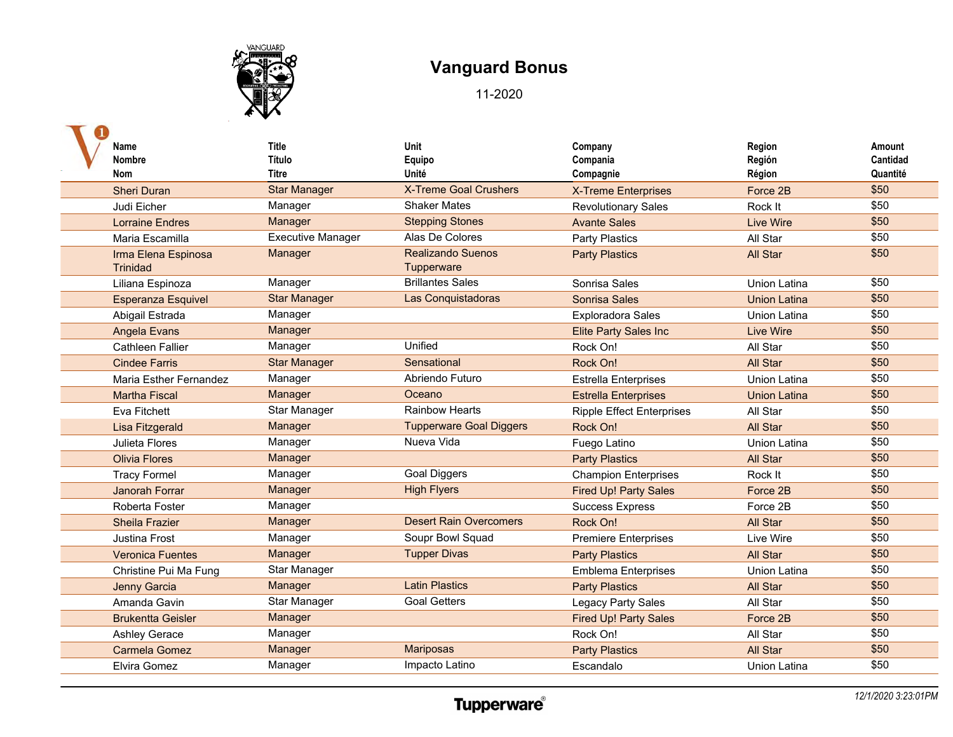

| Name<br><b>Nombre</b><br>Nom           | Title<br>Título<br>Titre | Unit<br>Equipo<br>Unité                | Company<br>Compania<br>Compagnie | Region<br>Región<br>Région | Amount<br>Cantidad<br>Quantité |
|----------------------------------------|--------------------------|----------------------------------------|----------------------------------|----------------------------|--------------------------------|
| <b>Sheri Duran</b>                     | <b>Star Manager</b>      | <b>X-Treme Goal Crushers</b>           | <b>X-Treme Enterprises</b>       | Force 2B                   | \$50                           |
| Judi Eicher                            | Manager                  | <b>Shaker Mates</b>                    | <b>Revolutionary Sales</b>       | Rock It                    | \$50                           |
| <b>Lorraine Endres</b>                 | Manager                  | <b>Stepping Stones</b>                 | <b>Avante Sales</b>              | <b>Live Wire</b>           | \$50                           |
| Maria Escamilla                        | <b>Executive Manager</b> | Alas De Colores                        | <b>Party Plastics</b>            | All Star                   | \$50                           |
| Irma Elena Espinosa<br><b>Trinidad</b> | Manager                  | <b>Realizando Suenos</b><br>Tupperware | <b>Party Plastics</b>            | <b>All Star</b>            | \$50                           |
| Liliana Espinoza                       | Manager                  | <b>Brillantes Sales</b>                | Sonrisa Sales                    | <b>Union Latina</b>        | \$50                           |
| <b>Esperanza Esquivel</b>              | <b>Star Manager</b>      | Las Conquistadoras                     | <b>Sonrisa Sales</b>             | <b>Union Latina</b>        | \$50                           |
| Abigail Estrada                        | Manager                  |                                        | <b>Exploradora Sales</b>         | Union Latina               | \$50                           |
| <b>Angela Evans</b>                    | Manager                  |                                        | <b>Elite Party Sales Inc</b>     | <b>Live Wire</b>           | \$50                           |
| <b>Cathleen Fallier</b>                | Manager                  | Unified                                | Rock On!                         | All Star                   | \$50                           |
| <b>Cindee Farris</b>                   | <b>Star Manager</b>      | Sensational                            | Rock On!                         | All Star                   | \$50                           |
| Maria Esther Fernandez                 | Manager                  | Abriendo Futuro                        | <b>Estrella Enterprises</b>      | <b>Union Latina</b>        | \$50                           |
| <b>Martha Fiscal</b>                   | Manager                  | Oceano                                 | <b>Estrella Enterprises</b>      | <b>Union Latina</b>        | \$50                           |
| Eva Fitchett                           | Star Manager             | <b>Rainbow Hearts</b>                  | <b>Ripple Effect Enterprises</b> | All Star                   | \$50                           |
| Lisa Fitzgerald                        | Manager                  | <b>Tupperware Goal Diggers</b>         | Rock On!                         | All Star                   | \$50                           |
| Julieta Flores                         | Manager                  | Nueva Vida                             | Fuego Latino                     | <b>Union Latina</b>        | \$50                           |
| <b>Olivia Flores</b>                   | Manager                  |                                        | <b>Party Plastics</b>            | All Star                   | \$50                           |
| <b>Tracy Formel</b>                    | Manager                  | <b>Goal Diggers</b>                    | <b>Champion Enterprises</b>      | Rock It                    | \$50                           |
| <b>Janorah Forrar</b>                  | Manager                  | <b>High Flyers</b>                     | <b>Fired Up! Party Sales</b>     | Force 2B                   | \$50                           |
| Roberta Foster                         | Manager                  |                                        | <b>Success Express</b>           | Force 2B                   | \$50                           |
| <b>Sheila Frazier</b>                  | Manager                  | <b>Desert Rain Overcomers</b>          | Rock On!                         | All Star                   | \$50                           |
| Justina Frost                          | Manager                  | Soupr Bowl Squad                       | <b>Premiere Enterprises</b>      | Live Wire                  | \$50                           |
| <b>Veronica Fuentes</b>                | Manager                  | <b>Tupper Divas</b>                    | <b>Party Plastics</b>            | All Star                   | \$50                           |
| Christine Pui Ma Fung                  | Star Manager             |                                        | <b>Emblema Enterprises</b>       | Union Latina               | \$50                           |
| <b>Jenny Garcia</b>                    | Manager                  | <b>Latin Plastics</b>                  | <b>Party Plastics</b>            | All Star                   | \$50                           |
| Amanda Gavin                           | Star Manager             | <b>Goal Getters</b>                    | Legacy Party Sales               | All Star                   | \$50                           |
| <b>Brukentta Geisler</b>               | Manager                  |                                        | <b>Fired Up! Party Sales</b>     | Force 2B                   | \$50                           |
| <b>Ashley Gerace</b>                   | Manager                  |                                        | Rock On!                         | All Star                   | \$50                           |
| <b>Carmela Gomez</b>                   | Manager                  | Mariposas                              | <b>Party Plastics</b>            | All Star                   | \$50                           |
| Elvira Gomez                           | Manager                  | Impacto Latino                         | Escandalo                        | <b>Union Latina</b>        | \$50                           |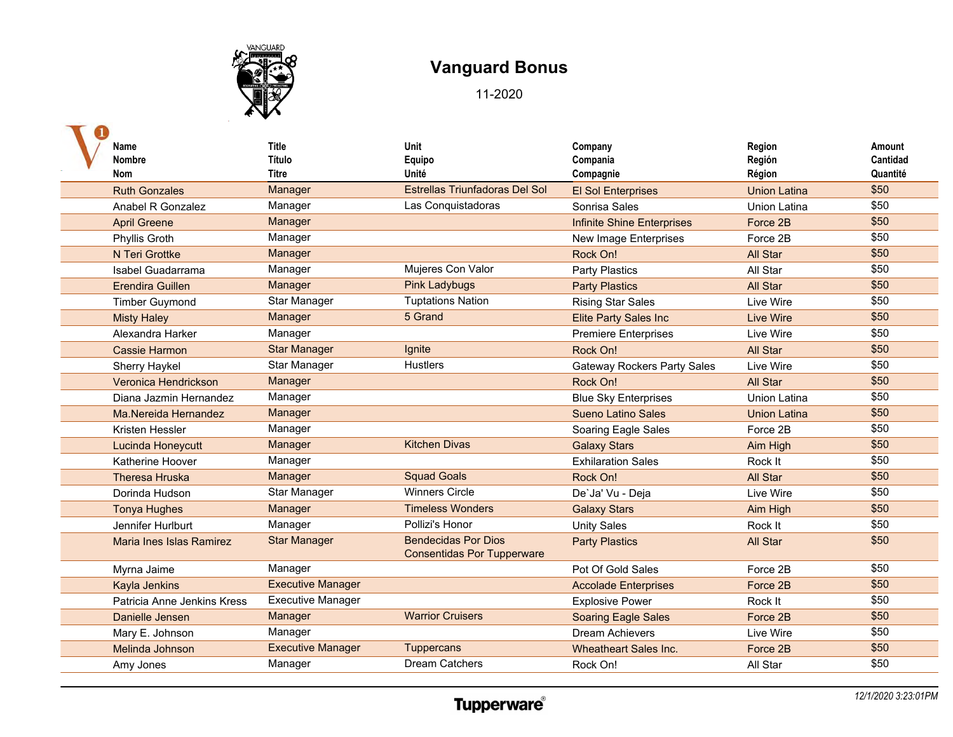

| Name<br><b>Nombre</b><br>Nom | <b>Title</b><br>Título<br>Titre | Unit<br>Equipo<br>Unité                                         | Company<br>Compania<br>Compagnie   | Region<br>Región<br>Région | Amount<br>Cantidad<br>Quantité |
|------------------------------|---------------------------------|-----------------------------------------------------------------|------------------------------------|----------------------------|--------------------------------|
| <b>Ruth Gonzales</b>         | Manager                         | Estrellas Triunfadoras Del Sol                                  | <b>El Sol Enterprises</b>          | <b>Union Latina</b>        | \$50                           |
| Anabel R Gonzalez            | Manager                         | Las Conquistadoras                                              | Sonrisa Sales                      | Union Latina               | \$50                           |
| <b>April Greene</b>          | Manager                         |                                                                 | <b>Infinite Shine Enterprises</b>  | Force 2B                   | \$50                           |
| Phyllis Groth                | Manager                         |                                                                 | New Image Enterprises              | Force 2B                   | \$50                           |
| N Teri Grottke               | Manager                         |                                                                 | Rock On!                           | <b>All Star</b>            | \$50                           |
| Isabel Guadarrama            | Manager                         | Mujeres Con Valor                                               | Party Plastics                     | All Star                   | \$50                           |
| <b>Erendira Guillen</b>      | Manager                         | <b>Pink Ladybugs</b>                                            | <b>Party Plastics</b>              | All Star                   | \$50                           |
| <b>Timber Guymond</b>        | Star Manager                    | <b>Tuptations Nation</b>                                        | <b>Rising Star Sales</b>           | Live Wire                  | \$50                           |
| <b>Misty Haley</b>           | Manager                         | 5 Grand                                                         | <b>Elite Party Sales Inc</b>       | Live Wire                  | \$50                           |
| Alexandra Harker             | Manager                         |                                                                 | <b>Premiere Enterprises</b>        | Live Wire                  | \$50                           |
| <b>Cassie Harmon</b>         | <b>Star Manager</b>             | Ignite                                                          | Rock On!                           | <b>All Star</b>            | \$50                           |
| Sherry Haykel                | Star Manager                    | <b>Hustlers</b>                                                 | <b>Gateway Rockers Party Sales</b> | Live Wire                  | \$50                           |
| Veronica Hendrickson         | Manager                         |                                                                 | Rock On!                           | <b>All Star</b>            | \$50                           |
| Diana Jazmin Hernandez       | Manager                         |                                                                 | <b>Blue Sky Enterprises</b>        | Union Latina               | \$50                           |
| Ma.Nereida Hernandez         | Manager                         |                                                                 | <b>Sueno Latino Sales</b>          | <b>Union Latina</b>        | \$50                           |
| Kristen Hessler              | Manager                         |                                                                 | Soaring Eagle Sales                | Force 2B                   | \$50                           |
| Lucinda Honeycutt            | Manager                         | <b>Kitchen Divas</b>                                            | <b>Galaxy Stars</b>                | Aim High                   | \$50                           |
| Katherine Hoover             | Manager                         |                                                                 | <b>Exhilaration Sales</b>          | Rock It                    | \$50                           |
| <b>Theresa Hruska</b>        | Manager                         | <b>Squad Goals</b>                                              | Rock On!                           | All Star                   | \$50                           |
| Dorinda Hudson               | Star Manager                    | <b>Winners Circle</b>                                           | De'Ja' Vu - Deja                   | Live Wire                  | \$50                           |
| <b>Tonya Hughes</b>          | Manager                         | <b>Timeless Wonders</b>                                         | <b>Galaxy Stars</b>                | Aim High                   | \$50                           |
| Jennifer Hurlburt            | Manager                         | Pollizi's Honor                                                 | <b>Unity Sales</b>                 | Rock It                    | $\overline{$50}$               |
| Maria Ines Islas Ramirez     | <b>Star Manager</b>             | <b>Bendecidas Por Dios</b><br><b>Consentidas Por Tupperware</b> | <b>Party Plastics</b>              | All Star                   | \$50                           |
| Myrna Jaime                  | Manager                         |                                                                 | Pot Of Gold Sales                  | Force 2B                   | \$50                           |
| <b>Kayla Jenkins</b>         | <b>Executive Manager</b>        |                                                                 | <b>Accolade Enterprises</b>        | Force 2B                   | \$50                           |
| Patricia Anne Jenkins Kress  | <b>Executive Manager</b>        |                                                                 | <b>Explosive Power</b>             | Rock It                    | \$50                           |
| Danielle Jensen              | Manager                         | <b>Warrior Cruisers</b>                                         | <b>Soaring Eagle Sales</b>         | Force 2B                   | \$50                           |
| Mary E. Johnson              | Manager                         |                                                                 | <b>Dream Achievers</b>             | Live Wire                  | \$50                           |
| Melinda Johnson              | <b>Executive Manager</b>        | <b>Tuppercans</b>                                               | <b>Wheatheart Sales Inc.</b>       | Force 2B                   | \$50                           |
| Amy Jones                    | Manager                         | <b>Dream Catchers</b>                                           | Rock On!                           | All Star                   | \$50                           |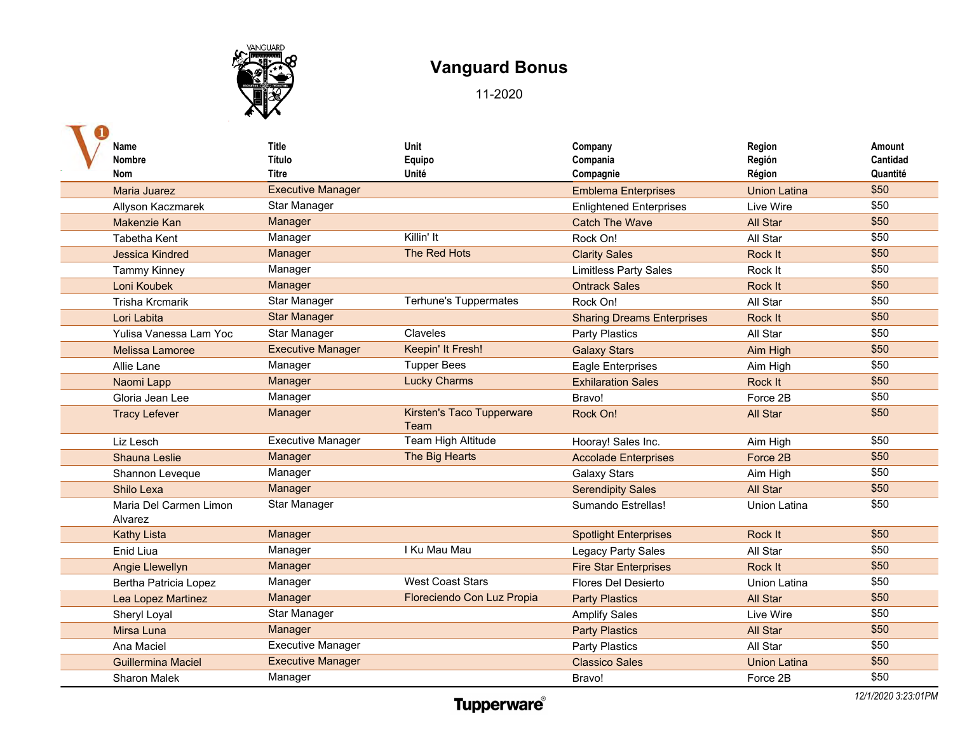

| Name<br>Nombre                    | Title<br>Título          | Unit<br>Equipo                           | Company<br>Compania               | Region<br>Región    | Amount<br>Cantidad |
|-----------------------------------|--------------------------|------------------------------------------|-----------------------------------|---------------------|--------------------|
| <b>Nom</b>                        | <b>Titre</b>             | Unité                                    | Compagnie                         | Région              | Quantité           |
| <b>Maria Juarez</b>               | <b>Executive Manager</b> |                                          | <b>Emblema Enterprises</b>        | <b>Union Latina</b> | \$50               |
| Allyson Kaczmarek                 | Star Manager             |                                          | <b>Enlightened Enterprises</b>    | Live Wire           | \$50               |
| Makenzie Kan                      | Manager                  |                                          | <b>Catch The Wave</b>             | All Star            | \$50               |
| Tabetha Kent                      | Manager                  | Killin' It                               | Rock On!                          | All Star            | \$50               |
| <b>Jessica Kindred</b>            | Manager                  | The Red Hots                             | <b>Clarity Sales</b>              | Rock It             | \$50               |
| <b>Tammy Kinney</b>               | Manager                  |                                          | <b>Limitless Party Sales</b>      | Rock It             | \$50               |
| Loni Koubek                       | Manager                  |                                          | <b>Ontrack Sales</b>              | Rock It             | \$50               |
| <b>Trisha Krcmarik</b>            | <b>Star Manager</b>      | <b>Terhune's Tuppermates</b>             | Rock On!                          | All Star            | \$50               |
| Lori Labita                       | <b>Star Manager</b>      |                                          | <b>Sharing Dreams Enterprises</b> | Rock It             | \$50               |
| Yulisa Vanessa Lam Yoc            | Star Manager             | Claveles                                 | <b>Party Plastics</b>             | All Star            | \$50               |
| Melissa Lamoree                   | <b>Executive Manager</b> | Keepin' It Fresh!                        | <b>Galaxy Stars</b>               | Aim High            | \$50               |
| Allie Lane                        | Manager                  | <b>Tupper Bees</b>                       | <b>Eagle Enterprises</b>          | Aim High            | \$50               |
| Naomi Lapp                        | Manager                  | <b>Lucky Charms</b>                      | <b>Exhilaration Sales</b>         | Rock It             | \$50               |
| Gloria Jean Lee                   | Manager                  |                                          | Bravo!                            | Force 2B            | \$50               |
| <b>Tracy Lefever</b>              | Manager                  | <b>Kirsten's Taco Tupperware</b><br>Team | Rock On!                          | <b>All Star</b>     | \$50               |
| Liz Lesch                         | <b>Executive Manager</b> | Team High Altitude                       | Hooray! Sales Inc.                | Aim High            | \$50               |
| <b>Shauna Leslie</b>              | Manager                  | The Big Hearts                           | <b>Accolade Enterprises</b>       | Force 2B            | \$50               |
| Shannon Leveque                   | Manager                  |                                          | <b>Galaxy Stars</b>               | Aim High            | \$50               |
| Shilo Lexa                        | Manager                  |                                          | <b>Serendipity Sales</b>          | <b>All Star</b>     | \$50               |
| Maria Del Carmen Limon<br>Alvarez | Star Manager             |                                          | Sumando Estrellas!                | Union Latina        | \$50               |
| <b>Kathy Lista</b>                | Manager                  |                                          | <b>Spotlight Enterprises</b>      | Rock It             | \$50               |
| Enid Liua                         | Manager                  | I Ku Mau Mau                             | <b>Legacy Party Sales</b>         | All Star            | \$50               |
| Angie Llewellyn                   | Manager                  |                                          | <b>Fire Star Enterprises</b>      | Rock It             | \$50               |
| <b>Bertha Patricia Lopez</b>      | Manager                  | <b>West Coast Stars</b>                  | Flores Del Desierto               | <b>Union Latina</b> | \$50               |
| Lea Lopez Martinez                | Manager                  | Floreciendo Con Luz Propia               | <b>Party Plastics</b>             | All Star            | \$50               |
| Sheryl Loyal                      | Star Manager             |                                          | <b>Amplify Sales</b>              | Live Wire           | \$50               |
| Mirsa Luna                        | Manager                  |                                          | <b>Party Plastics</b>             | All Star            | \$50               |
| Ana Maciel                        | <b>Executive Manager</b> |                                          | Party Plastics                    | All Star            | \$50               |
| <b>Guillermina Maciel</b>         | <b>Executive Manager</b> |                                          | <b>Classico Sales</b>             | <b>Union Latina</b> | \$50               |
| <b>Sharon Malek</b>               | Manager                  |                                          | Bravo!                            | Force 2B            | \$50               |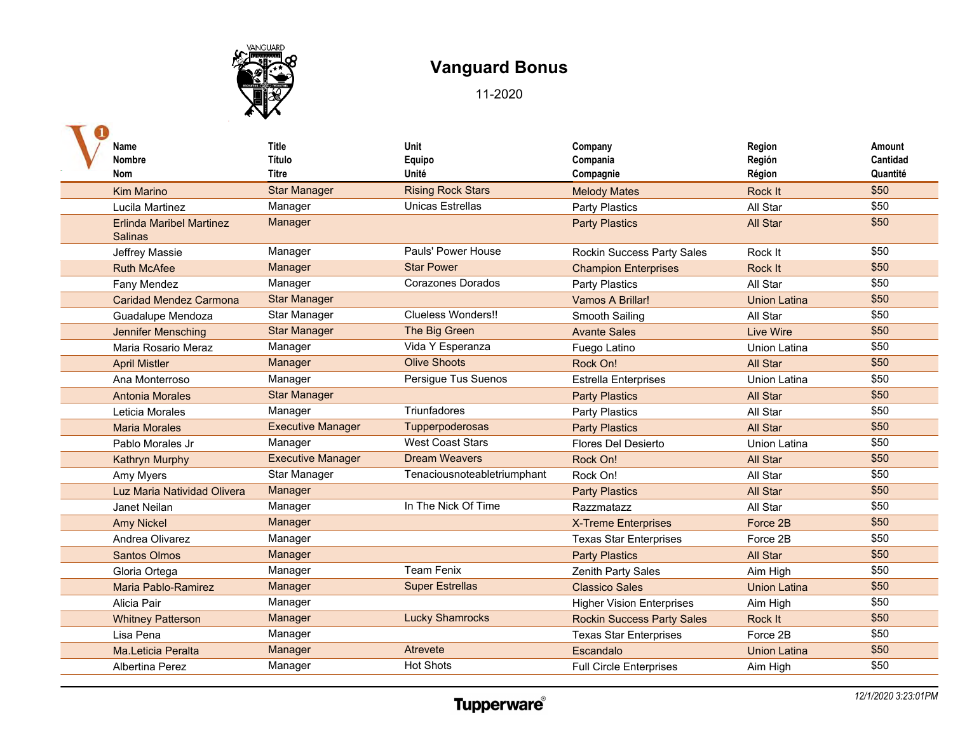

| Name<br><b>Nombre</b>           | Title<br>Título              | Unit<br>Equipo                    | Company<br>Compania               | Region<br>Región    | Amount<br>Cantidad |
|---------------------------------|------------------------------|-----------------------------------|-----------------------------------|---------------------|--------------------|
| Nom<br><b>Kim Marino</b>        | Titre<br><b>Star Manager</b> | Unité<br><b>Rising Rock Stars</b> | Compagnie<br><b>Melody Mates</b>  | Région<br>Rock It   | Quantité<br>\$50   |
| Lucila Martinez                 | Manager                      | <b>Unicas Estrellas</b>           |                                   | All Star            | \$50               |
| <b>Erlinda Maribel Martinez</b> | Manager                      |                                   | <b>Party Plastics</b>             | <b>All Star</b>     | \$50               |
| <b>Salinas</b>                  |                              |                                   | <b>Party Plastics</b>             |                     |                    |
| Jeffrey Massie                  | Manager                      | Pauls' Power House                | <b>Rockin Success Party Sales</b> | Rock It             | \$50               |
| <b>Ruth McAfee</b>              | Manager                      | <b>Star Power</b>                 | <b>Champion Enterprises</b>       | Rock It             | \$50               |
| Fany Mendez                     | Manager                      | Corazones Dorados                 | Party Plastics                    | All Star            | \$50               |
| <b>Caridad Mendez Carmona</b>   | <b>Star Manager</b>          |                                   | Vamos A Brillar!                  | <b>Union Latina</b> | \$50               |
| Guadalupe Mendoza               | Star Manager                 | Clueless Wonders!!                | Smooth Sailing                    | All Star            | \$50               |
| Jennifer Mensching              | <b>Star Manager</b>          | The Big Green                     | <b>Avante Sales</b>               | <b>Live Wire</b>    | \$50               |
| Maria Rosario Meraz             | Manager                      | Vida Y Esperanza                  | Fuego Latino                      | Union Latina        | \$50               |
| <b>April Mistler</b>            | Manager                      | <b>Olive Shoots</b>               | Rock On!                          | All Star            | \$50               |
| Ana Monterroso                  | Manager                      | Persigue Tus Suenos               | <b>Estrella Enterprises</b>       | <b>Union Latina</b> | \$50               |
| <b>Antonia Morales</b>          | <b>Star Manager</b>          |                                   | <b>Party Plastics</b>             | <b>All Star</b>     | \$50               |
| Leticia Morales                 | Manager                      | Triunfadores                      | Party Plastics                    | All Star            | \$50               |
| <b>Maria Morales</b>            | <b>Executive Manager</b>     | Tupperpoderosas                   | <b>Party Plastics</b>             | All Star            | \$50               |
| Pablo Morales Jr                | Manager                      | <b>West Coast Stars</b>           | Flores Del Desierto               | <b>Union Latina</b> | \$50               |
| <b>Kathryn Murphy</b>           | <b>Executive Manager</b>     | <b>Dream Weavers</b>              | Rock On!                          | All Star            | \$50               |
| Amy Myers                       | Star Manager                 | Tenaciousnoteabletriumphant       | Rock On!                          | All Star            | \$50               |
| Luz Maria Natividad Olivera     | Manager                      |                                   | <b>Party Plastics</b>             | All Star            | \$50               |
| Janet Neilan                    | Manager                      | In The Nick Of Time               | Razzmatazz                        | All Star            | \$50               |
| <b>Amy Nickel</b>               | Manager                      |                                   | <b>X-Treme Enterprises</b>        | Force 2B            | \$50               |
| Andrea Olivarez                 | Manager                      |                                   | <b>Texas Star Enterprises</b>     | Force 2B            | \$50               |
| <b>Santos Olmos</b>             | Manager                      |                                   | <b>Party Plastics</b>             | All Star            | \$50               |
| Gloria Ortega                   | Manager                      | <b>Team Fenix</b>                 | Zenith Party Sales                | Aim High            | \$50               |
| Maria Pablo-Ramirez             | Manager                      | <b>Super Estrellas</b>            | <b>Classico Sales</b>             | Union Latina        | \$50               |
| Alicia Pair                     | Manager                      |                                   | <b>Higher Vision Enterprises</b>  | Aim High            | \$50               |
| <b>Whitney Patterson</b>        | Manager                      | <b>Lucky Shamrocks</b>            | <b>Rockin Success Party Sales</b> | Rock It             | \$50               |
| Lisa Pena                       | Manager                      |                                   | <b>Texas Star Enterprises</b>     | Force 2B            | \$50               |
| Ma.Leticia Peralta              | Manager                      | Atrevete                          | Escandalo                         | Union Latina        | \$50               |
| Albertina Perez                 | Manager                      | <b>Hot Shots</b>                  | <b>Full Circle Enterprises</b>    | Aim High            | \$50               |
|                                 |                              |                                   |                                   |                     |                    |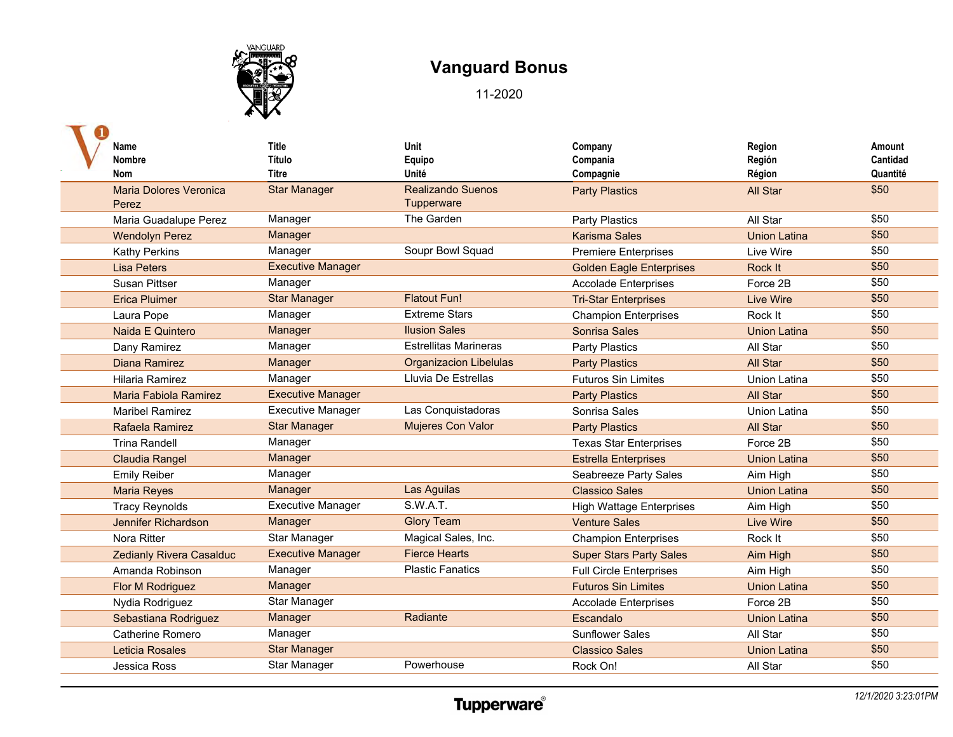

| Name                          | <b>Title</b>             | Unit                          | Company                         | Region              | Amount   |
|-------------------------------|--------------------------|-------------------------------|---------------------------------|---------------------|----------|
| <b>Nombre</b>                 | Título                   | Equipo                        | Compania                        | Región              | Cantidad |
| <b>Nom</b>                    | <b>Titre</b>             | Unité                         | Compagnie                       | Région              | Quantité |
| <b>Maria Dolores Veronica</b> | <b>Star Manager</b>      | <b>Realizando Suenos</b>      | <b>Party Plastics</b>           | All Star            | \$50     |
| Perez                         |                          | Tupperware                    |                                 |                     |          |
| Maria Guadalupe Perez         | Manager                  | The Garden                    | <b>Party Plastics</b>           | All Star            | \$50     |
| <b>Wendolyn Perez</b>         | Manager                  |                               | <b>Karisma Sales</b>            | <b>Union Latina</b> | \$50     |
| <b>Kathy Perkins</b>          | Manager                  | Soupr Bowl Squad              | <b>Premiere Enterprises</b>     | Live Wire           | \$50     |
| <b>Lisa Peters</b>            | <b>Executive Manager</b> |                               | <b>Golden Eagle Enterprises</b> | Rock It             | \$50     |
| <b>Susan Pittser</b>          | Manager                  |                               | <b>Accolade Enterprises</b>     | Force 2B            | \$50     |
| <b>Erica Pluimer</b>          | <b>Star Manager</b>      | <b>Flatout Fun!</b>           | <b>Tri-Star Enterprises</b>     | <b>Live Wire</b>    | \$50     |
| Laura Pope                    | Manager                  | <b>Extreme Stars</b>          | <b>Champion Enterprises</b>     | Rock It             | \$50     |
| Naida E Quintero              | Manager                  | <b>Ilusion Sales</b>          | Sonrisa Sales                   | <b>Union Latina</b> | \$50     |
| Dany Ramirez                  | Manager                  | <b>Estrellitas Marineras</b>  | Party Plastics                  | All Star            | \$50     |
| <b>Diana Ramirez</b>          | Manager                  | <b>Organizacion Libelulas</b> | <b>Party Plastics</b>           | <b>All Star</b>     | \$50     |
| Hilaria Ramirez               | Manager                  | Lluvia De Estrellas           | <b>Futuros Sin Limites</b>      | <b>Union Latina</b> | \$50     |
| Maria Fabiola Ramirez         | <b>Executive Manager</b> |                               | <b>Party Plastics</b>           | <b>All Star</b>     | \$50     |
| <b>Maribel Ramirez</b>        | Executive Manager        | Las Conquistadoras            | Sonrisa Sales                   | <b>Union Latina</b> | \$50     |
| Rafaela Ramirez               | <b>Star Manager</b>      | <b>Mujeres Con Valor</b>      | <b>Party Plastics</b>           | <b>All Star</b>     | \$50     |
| <b>Trina Randell</b>          | Manager                  |                               | <b>Texas Star Enterprises</b>   | Force 2B            | \$50     |
| <b>Claudia Rangel</b>         | Manager                  |                               | <b>Estrella Enterprises</b>     | <b>Union Latina</b> | \$50     |
| <b>Emily Reiber</b>           | Manager                  |                               | Seabreeze Party Sales           | Aim High            | \$50     |
| <b>Maria Reyes</b>            | Manager                  | Las Aguilas                   | <b>Classico Sales</b>           | <b>Union Latina</b> | \$50     |
| <b>Tracy Reynolds</b>         | <b>Executive Manager</b> | <b>S.W.A.T.</b>               | <b>High Wattage Enterprises</b> | Aim High            | \$50     |
| Jennifer Richardson           | Manager                  | <b>Glory Team</b>             | <b>Venture Sales</b>            | Live Wire           | \$50     |
| Nora Ritter                   | Star Manager             | Magical Sales, Inc.           | <b>Champion Enterprises</b>     | Rock It             | \$50     |
| Zedianly Rivera Casalduc      | <b>Executive Manager</b> | <b>Fierce Hearts</b>          | <b>Super Stars Party Sales</b>  | Aim High            | \$50     |
| Amanda Robinson               | Manager                  | <b>Plastic Fanatics</b>       | <b>Full Circle Enterprises</b>  | Aim High            | \$50     |
| Flor M Rodriguez              | Manager                  |                               | <b>Futuros Sin Limites</b>      | <b>Union Latina</b> | \$50     |
| Nydia Rodriguez               | Star Manager             |                               | <b>Accolade Enterprises</b>     | Force 2B            | \$50     |
| Sebastiana Rodriguez          | Manager                  | Radiante                      | Escandalo                       | <b>Union Latina</b> | \$50     |
| <b>Catherine Romero</b>       | Manager                  |                               | <b>Sunflower Sales</b>          | All Star            | \$50     |
| Leticia Rosales               | <b>Star Manager</b>      |                               | <b>Classico Sales</b>           | <b>Union Latina</b> | \$50     |
| Jessica Ross                  | Star Manager             | Powerhouse                    | Rock On!                        | All Star            | \$50     |
|                               |                          |                               |                                 |                     |          |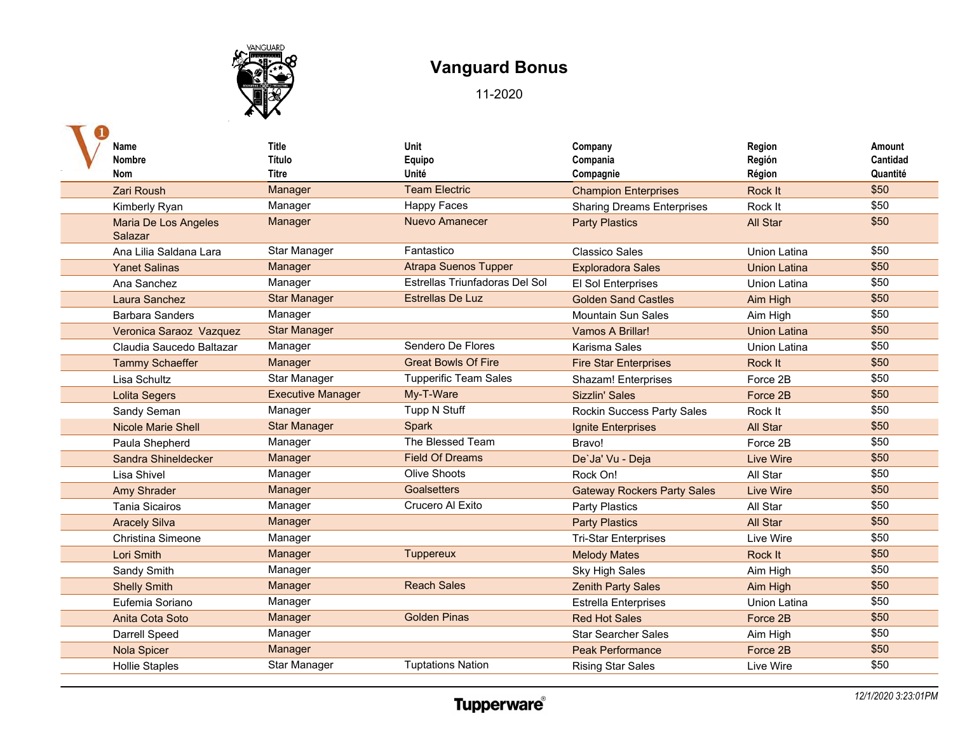

| Name                      | Title                    | Unit                           | Company                            | Region              | Amount   |
|---------------------------|--------------------------|--------------------------------|------------------------------------|---------------------|----------|
| Nombre                    | <b>Título</b>            | Equipo                         | Compania                           | Región              | Cantidad |
| <b>Nom</b>                | <b>Titre</b>             | Unité                          | Compagnie                          | Région              | Quantité |
| <b>Zari Roush</b>         | <b>Manager</b>           | <b>Team Electric</b>           | <b>Champion Enterprises</b>        | Rock It             | \$50     |
| Kimberly Ryan             | Manager                  | <b>Happy Faces</b>             | <b>Sharing Dreams Enterprises</b>  | Rock It             | \$50     |
| Maria De Los Angeles      | Manager                  | <b>Nuevo Amanecer</b>          | <b>Party Plastics</b>              | All Star            | \$50     |
| Salazar                   |                          |                                |                                    |                     |          |
| Ana Lilia Saldana Lara    | Star Manager             | Fantastico                     | <b>Classico Sales</b>              | <b>Union Latina</b> | \$50     |
| <b>Yanet Salinas</b>      | Manager                  | <b>Atrapa Suenos Tupper</b>    | <b>Exploradora Sales</b>           | <b>Union Latina</b> | \$50     |
| Ana Sanchez               | Manager                  | Estrellas Triunfadoras Del Sol | El Sol Enterprises                 | Union Latina        | \$50     |
| Laura Sanchez             | <b>Star Manager</b>      | <b>Estrellas De Luz</b>        | <b>Golden Sand Castles</b>         | Aim High            | \$50     |
| <b>Barbara Sanders</b>    | Manager                  |                                | <b>Mountain Sun Sales</b>          | Aim High            | \$50     |
| Veronica Saraoz Vazquez   | <b>Star Manager</b>      |                                | Vamos A Brillar!                   | <b>Union Latina</b> | \$50     |
| Claudia Saucedo Baltazar  | Manager                  | Sendero De Flores              | Karisma Sales                      | <b>Union Latina</b> | \$50     |
| <b>Tammy Schaeffer</b>    | Manager                  | <b>Great Bowls Of Fire</b>     | <b>Fire Star Enterprises</b>       | Rock It             | \$50     |
| Lisa Schultz              | Star Manager             | <b>Tupperific Team Sales</b>   | Shazam! Enterprises                | Force 2B            | \$50     |
| <b>Lolita Segers</b>      | <b>Executive Manager</b> | My-T-Ware                      | <b>Sizzlin' Sales</b>              | Force 2B            | \$50     |
| Sandy Seman               | Manager                  | Tupp N Stuff                   | Rockin Success Party Sales         | Rock It             | \$50     |
| <b>Nicole Marie Shell</b> | <b>Star Manager</b>      | Spark                          | Ignite Enterprises                 | All Star            | \$50     |
| Paula Shepherd            | Manager                  | The Blessed Team               | Bravo!                             | Force 2B            | \$50     |
| Sandra Shineldecker       | Manager                  | <b>Field Of Dreams</b>         | De'Ja' Vu - Deja                   | <b>Live Wire</b>    | \$50     |
| Lisa Shivel               | Manager                  | <b>Olive Shoots</b>            | Rock On!                           | All Star            | \$50     |
| <b>Amy Shrader</b>        | Manager                  | Goalsetters                    | <b>Gateway Rockers Party Sales</b> | <b>Live Wire</b>    | \$50     |
| <b>Tania Sicairos</b>     | Manager                  | Crucero Al Exito               | Party Plastics                     | All Star            | \$50     |
| <b>Aracely Silva</b>      | Manager                  |                                | <b>Party Plastics</b>              | All Star            | \$50     |
| <b>Christina Simeone</b>  | Manager                  |                                | <b>Tri-Star Enterprises</b>        | Live Wire           | \$50     |
| Lori Smith                | Manager                  | <b>Tuppereux</b>               | <b>Melody Mates</b>                | <b>Rock It</b>      | \$50     |
| Sandy Smith               | Manager                  |                                | <b>Sky High Sales</b>              | Aim High            | \$50     |
| <b>Shelly Smith</b>       | Manager                  | <b>Reach Sales</b>             | <b>Zenith Party Sales</b>          | Aim High            | \$50     |
| Eufemia Soriano           | Manager                  |                                | <b>Estrella Enterprises</b>        | Union Latina        | \$50     |
| Anita Cota Soto           | Manager                  | <b>Golden Pinas</b>            | <b>Red Hot Sales</b>               | Force 2B            | \$50     |
| Darrell Speed             | Manager                  |                                | <b>Star Searcher Sales</b>         | Aim High            | \$50     |
| <b>Nola Spicer</b>        | Manager                  |                                | <b>Peak Performance</b>            | Force 2B            | \$50     |
| <b>Hollie Staples</b>     | Star Manager             | <b>Tuptations Nation</b>       | <b>Rising Star Sales</b>           | Live Wire           | \$50     |
|                           |                          |                                |                                    |                     |          |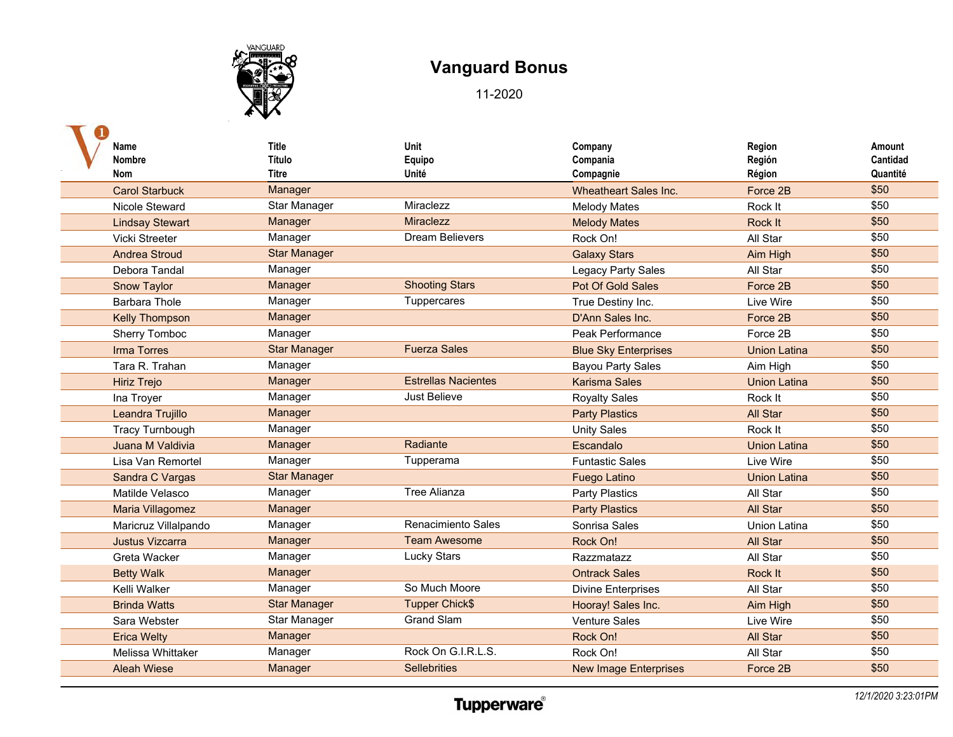

| Name                   | <b>Title</b>        | Unit                       | Company                      | Region              | Amount   |
|------------------------|---------------------|----------------------------|------------------------------|---------------------|----------|
| <b>Nombre</b>          | Título              | Equipo                     | Compania                     | Región              | Cantidad |
| <b>Nom</b>             | <b>Titre</b>        | Unité                      | Compagnie                    | Région              | Quantité |
| <b>Carol Starbuck</b>  | Manager             |                            | <b>Wheatheart Sales Inc.</b> | Force 2B            | \$50     |
| Nicole Steward         | Star Manager        | Miraclezz                  | <b>Melody Mates</b>          | Rock It             | \$50     |
| <b>Lindsay Stewart</b> | Manager             | Miraclezz                  | <b>Melody Mates</b>          | Rock It             | \$50     |
| Vicki Streeter         | Manager             | <b>Dream Believers</b>     | Rock On!                     | All Star            | \$50     |
| <b>Andrea Stroud</b>   | <b>Star Manager</b> |                            | <b>Galaxy Stars</b>          | Aim High            | \$50     |
| Debora Tandal          | Manager             |                            | Legacy Party Sales           | All Star            | \$50     |
| <b>Snow Taylor</b>     | Manager             | <b>Shooting Stars</b>      | Pot Of Gold Sales            | Force 2B            | \$50     |
| Barbara Thole          | Manager             | Tuppercares                | True Destiny Inc.            | Live Wire           | \$50     |
| <b>Kelly Thompson</b>  | Manager             |                            | D'Ann Sales Inc.             | Force 2B            | \$50     |
| Sherry Tomboc          | Manager             |                            | Peak Performance             | Force 2B            | \$50     |
| <b>Irma Torres</b>     | <b>Star Manager</b> | <b>Fuerza Sales</b>        | <b>Blue Sky Enterprises</b>  | <b>Union Latina</b> | \$50     |
| Tara R. Trahan         | Manager             |                            | <b>Bayou Party Sales</b>     | Aim High            | \$50     |
| <b>Hiriz Trejo</b>     | Manager             | <b>Estrellas Nacientes</b> | <b>Karisma Sales</b>         | <b>Union Latina</b> | \$50     |
| Ina Troyer             | Manager             | Just Believe               | <b>Royalty Sales</b>         | Rock It             | \$50     |
| Leandra Trujillo       | Manager             |                            | <b>Party Plastics</b>        | <b>All Star</b>     | \$50     |
| <b>Tracy Turnbough</b> | Manager             |                            | <b>Unity Sales</b>           | Rock It             | \$50     |
| Juana M Valdivia       | Manager             | Radiante                   | Escandalo                    | <b>Union Latina</b> | \$50     |
| Lisa Van Remortel      | Manager             | Tupperama                  | <b>Funtastic Sales</b>       | Live Wire           | \$50     |
| Sandra C Vargas        | <b>Star Manager</b> |                            | <b>Fuego Latino</b>          | <b>Union Latina</b> | \$50     |
| Matilde Velasco        | Manager             | <b>Tree Alianza</b>        | <b>Party Plastics</b>        | All Star            | \$50     |
| Maria Villagomez       | Manager             |                            | <b>Party Plastics</b>        | All Star            | \$50     |
| Maricruz Villalpando   | Manager             | Renacimiento Sales         | Sonrisa Sales                | <b>Union Latina</b> | \$50     |
| <b>Justus Vizcarra</b> | Manager             | <b>Team Awesome</b>        | Rock On!                     | All Star            | \$50     |
| Greta Wacker           | Manager             | <b>Lucky Stars</b>         | Razzmatazz                   | All Star            | \$50     |
| <b>Betty Walk</b>      | Manager             |                            | <b>Ontrack Sales</b>         | Rock It             | \$50     |
| Kelli Walker           | Manager             | So Much Moore              | <b>Divine Enterprises</b>    | All Star            | \$50     |
| <b>Brinda Watts</b>    | <b>Star Manager</b> | <b>Tupper Chick\$</b>      | Hooray! Sales Inc.           | Aim High            | \$50     |
| Sara Webster           | Star Manager        | <b>Grand Slam</b>          | <b>Venture Sales</b>         | Live Wire           | \$50     |
| <b>Erica Welty</b>     | Manager             |                            | Rock On!                     | All Star            | \$50     |
| Melissa Whittaker      | Manager             | Rock On G.I.R.L.S.         | Rock On!                     | All Star            | \$50     |
| <b>Aleah Wiese</b>     | Manager             | <b>Sellebrities</b>        | <b>New Image Enterprises</b> | Force 2B            | \$50     |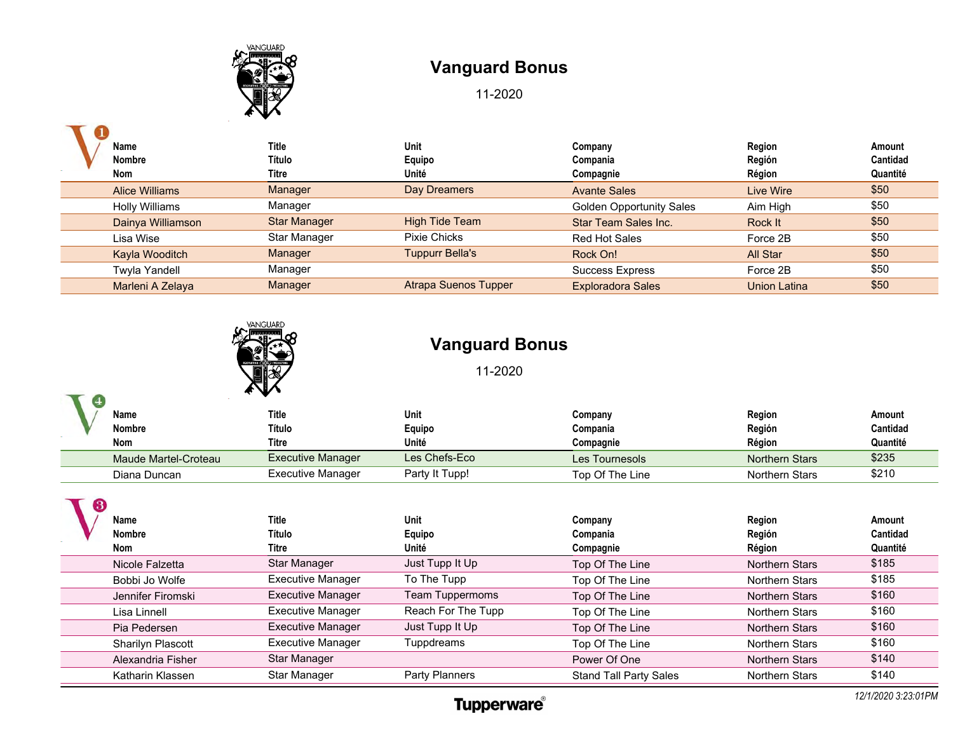

11-2020

| Name                  | <b>Title</b>        | <b>Unit</b>                 | Company                         | Region       | Amount   |
|-----------------------|---------------------|-----------------------------|---------------------------------|--------------|----------|
| <b>Nombre</b>         | Título              | Equipo                      | Compania                        | Región       | Cantidad |
| Nom                   | Titre               | Unité                       | Compagnie                       | Région       | Quantité |
| <b>Alice Williams</b> | Manager             | Day Dreamers                | <b>Avante Sales</b>             | Live Wire    | \$50     |
| Holly Williams        | Manager             |                             | <b>Golden Opportunity Sales</b> | Aim High     | \$50     |
| Dainya Williamson     | <b>Star Manager</b> | <b>High Tide Team</b>       | <b>Star Team Sales Inc.</b>     | Rock It      | \$50     |
| Lisa Wise             | Star Manager        | <b>Pixie Chicks</b>         | Red Hot Sales                   | Force 2B     | \$50     |
| Kayla Wooditch        | Manager             | <b>Tuppurr Bella's</b>      | Rock On!                        | All Star     | \$50     |
| <b>Twyla Yandell</b>  | Manager             |                             | <b>Success Express</b>          | Force 2B     | \$50     |
| Marleni A Zelaya      | Manager             | <b>Atrapa Suenos Tupper</b> | <b>Exploradora Sales</b>        | Union Latina | \$50     |



### **Vanguard Bonus**

11-2020

| $\overline{4}$ |                      | E W                      |                |                 |                       |          |
|----------------|----------------------|--------------------------|----------------|-----------------|-----------------------|----------|
|                | Name                 | <b>Title</b>             | Unit           | Company         | Region                | Amount   |
|                | <b>Nombre</b>        | Título                   | Equipo         | Compania        | Región                | Cantidad |
|                | Nom                  | Titre                    | Unité          | Compagnie       | Région                | Quantité |
|                | Maude Martel-Croteau | <b>Executive Manager</b> | Les Chefs-Eco  | Les Tournesols  | <b>Northern Stars</b> | \$235    |
|                | Diana Duncan         | Executive Manager        | Party It Tupp! | Top Of The Line | Northern Stars        | \$210    |

| 3 | Name<br>Nombre<br>Nom | Title<br>Título<br>Titre | Unit<br>Equipo<br>Unité | Company<br>Compania<br>Compagnie | Region<br>Región<br>Région | Amount<br>Cantidad<br>Quantité |
|---|-----------------------|--------------------------|-------------------------|----------------------------------|----------------------------|--------------------------------|
|   | Nicole Falzetta       | Star Manager             | Just Tupp It Up         | Top Of The Line                  | <b>Northern Stars</b>      | \$185                          |
|   | Bobbi Jo Wolfe        | <b>Executive Manager</b> | To The Tupp             | Top Of The Line                  | <b>Northern Stars</b>      | \$185                          |
|   | Jennifer Firomski     | <b>Executive Manager</b> | <b>Team Tuppermoms</b>  | Top Of The Line                  | <b>Northern Stars</b>      | \$160                          |
|   | Lisa Linnell          | <b>Executive Manager</b> | Reach For The Tupp      | Top Of The Line                  | <b>Northern Stars</b>      | \$160                          |
|   | Pia Pedersen          | <b>Executive Manager</b> | Just Tupp It Up         | Top Of The Line                  | <b>Northern Stars</b>      | \$160                          |
|   | Sharilyn Plascott     | <b>Executive Manager</b> | Tuppdreams              | Top Of The Line                  | <b>Northern Stars</b>      | \$160                          |
|   | Alexandria Fisher     | Star Manager             |                         | Power Of One                     | <b>Northern Stars</b>      | \$140                          |
|   | Katharin Klassen      | Star Manager             | Party Planners          | <b>Stand Tall Party Sales</b>    | <b>Northern Stars</b>      | \$140                          |

### **Tupperware**®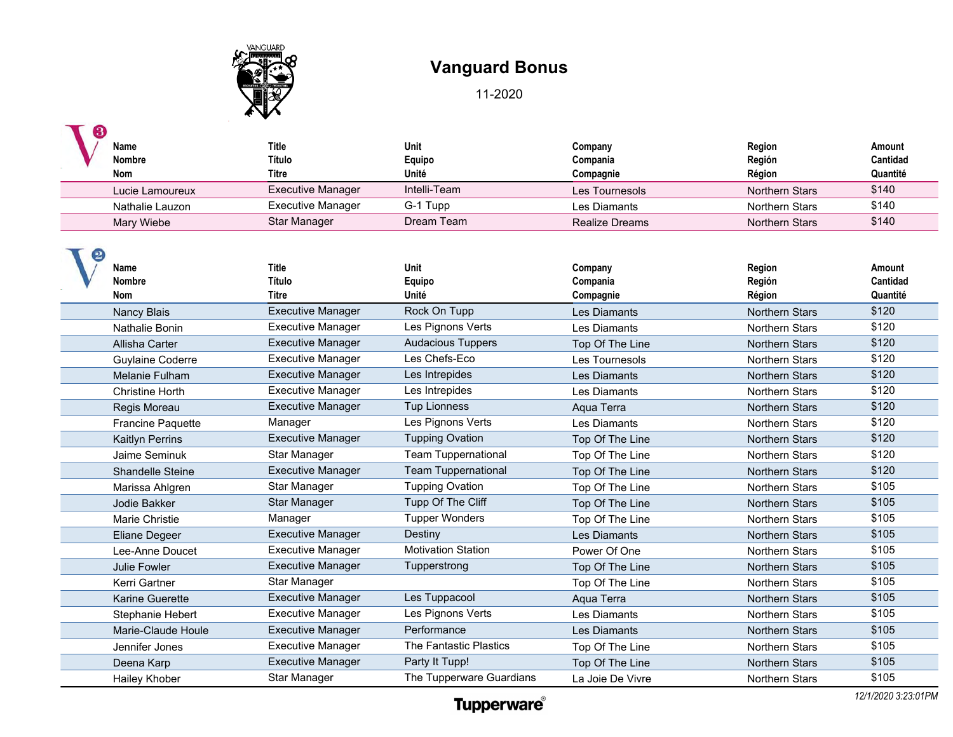

11-2020

| Name<br><b>Nombre</b><br><b>Nom</b> | <b>Title</b><br>Título<br><b>Titre</b> | Unit<br>Equipo<br>Unité    | Company<br>Compania<br>Compagnie | Region<br>Región<br>Région | Amount<br>Cantidad<br>Quantité |
|-------------------------------------|----------------------------------------|----------------------------|----------------------------------|----------------------------|--------------------------------|
| Lucie Lamoureux                     | <b>Executive Manager</b>               | Intelli-Team               | Les Tournesols                   | <b>Northern Stars</b>      | \$140                          |
| Nathalie Lauzon                     | <b>Executive Manager</b>               | G-1 Tupp                   | Les Diamants                     | Northern Stars             | \$140                          |
| Mary Wiebe                          | Star Manager                           | Dream Team                 | <b>Realize Dreams</b>            | <b>Northern Stars</b>      | \$140                          |
| Name<br><b>Nombre</b><br><b>Nom</b> | <b>Title</b><br>Título<br><b>Titre</b> | Unit<br>Equipo<br>Unité    | Company<br>Compania<br>Compagnie | Region<br>Región<br>Région | Amount<br>Cantidad<br>Quantité |
| <b>Nancy Blais</b>                  | <b>Executive Manager</b>               | Rock On Tupp               | Les Diamants                     | <b>Northern Stars</b>      | \$120                          |
| Nathalie Bonin                      | <b>Executive Manager</b>               | Les Pignons Verts          | Les Diamants                     | Northern Stars             | \$120                          |
| Allisha Carter                      | <b>Executive Manager</b>               | <b>Audacious Tuppers</b>   | Top Of The Line                  | <b>Northern Stars</b>      | \$120                          |
| <b>Guylaine Coderre</b>             | <b>Executive Manager</b>               | Les Chefs-Eco              | Les Tournesols                   | <b>Northern Stars</b>      | \$120                          |
| Melanie Fulham                      | <b>Executive Manager</b>               | Les Intrepides             | Les Diamants                     | <b>Northern Stars</b>      | \$120                          |
| <b>Christine Horth</b>              | <b>Executive Manager</b>               | Les Intrepides             | Les Diamants                     | <b>Northern Stars</b>      | \$120                          |
| Regis Moreau                        | <b>Executive Manager</b>               | <b>Tup Lionness</b>        | Aqua Terra                       | <b>Northern Stars</b>      | \$120                          |
| <b>Francine Paquette</b>            | Manager                                | Les Pignons Verts          | Les Diamants                     | <b>Northern Stars</b>      | \$120                          |
| <b>Kaitlyn Perrins</b>              | <b>Executive Manager</b>               | <b>Tupping Ovation</b>     | Top Of The Line                  | <b>Northern Stars</b>      | \$120                          |
| Jaime Seminuk                       | Star Manager                           | <b>Team Tuppernational</b> | Top Of The Line                  | <b>Northern Stars</b>      | \$120                          |
| Shandelle Steine                    | <b>Executive Manager</b>               | <b>Team Tuppernational</b> | Top Of The Line                  | <b>Northern Stars</b>      | \$120                          |
| Marissa Ahlgren                     | Star Manager                           | <b>Tupping Ovation</b>     | Top Of The Line                  | Northern Stars             | \$105                          |
| Jodie Bakker                        | <b>Star Manager</b>                    | Tupp Of The Cliff          | Top Of The Line                  | <b>Northern Stars</b>      | \$105                          |
| Marie Christie                      | Manager                                | <b>Tupper Wonders</b>      | Top Of The Line                  | Northern Stars             | \$105                          |
| <b>Eliane Degeer</b>                | <b>Executive Manager</b>               | Destiny                    | Les Diamants                     | <b>Northern Stars</b>      | \$105                          |
| Lee-Anne Doucet                     | <b>Executive Manager</b>               | <b>Motivation Station</b>  | Power Of One                     | Northern Stars             | \$105                          |
| Julie Fowler                        | <b>Executive Manager</b>               | Tupperstrong               | Top Of The Line                  | <b>Northern Stars</b>      | \$105                          |
| Kerri Gartner                       | Star Manager                           |                            | Top Of The Line                  | Northern Stars             | \$105                          |
| <b>Karine Guerette</b>              | <b>Executive Manager</b>               | Les Tuppacool              | Aqua Terra                       | <b>Northern Stars</b>      | \$105                          |
| Stephanie Hebert                    | <b>Executive Manager</b>               | Les Pignons Verts          | Les Diamants                     | <b>Northern Stars</b>      | \$105                          |
| Marie-Claude Houle                  | <b>Executive Manager</b>               | Performance                | Les Diamants                     | <b>Northern Stars</b>      | \$105                          |
| Jennifer Jones                      | <b>Executive Manager</b>               | The Fantastic Plastics     | Top Of The Line                  | <b>Northern Stars</b>      | \$105                          |
| Deena Karp                          | <b>Executive Manager</b>               | Party It Tupp!             | Top Of The Line                  | <b>Northern Stars</b>      | \$105                          |
| <b>Hailey Khober</b>                | Star Manager                           | The Tupperware Guardians   | La Joie De Vivre                 | Northern Stars             | \$105                          |

*12/1/2020 3:23:01PM*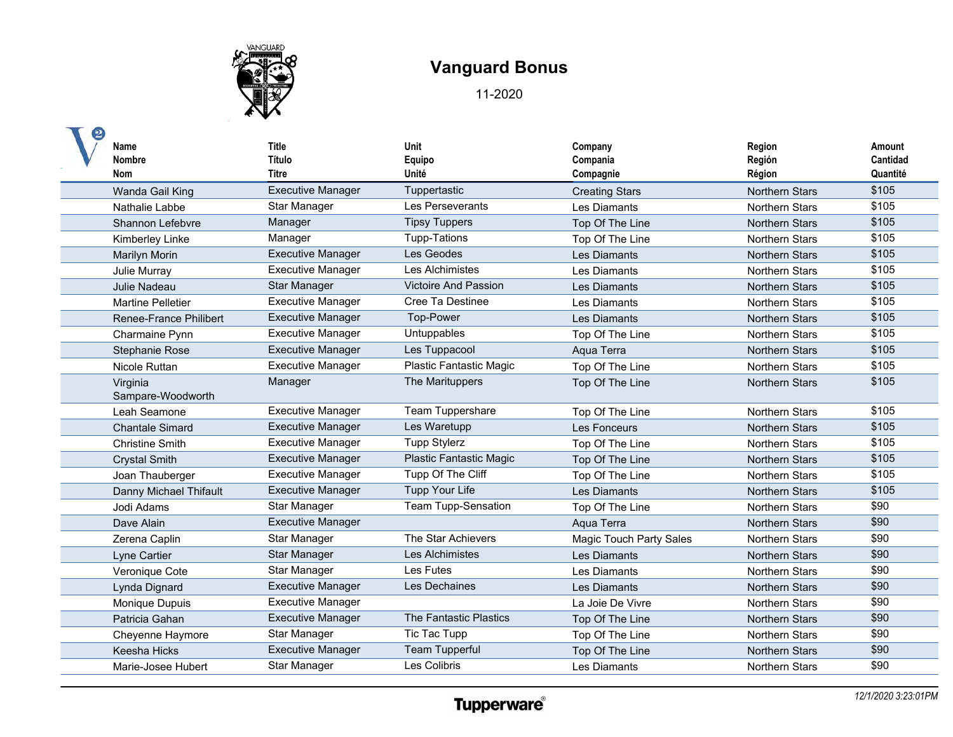

| Name<br><b>Nombre</b><br><b>Nom</b> | <b>Title</b><br>Título<br><b>Titre</b> | Unit<br>Equipo<br>Unité     | Company<br>Compania<br>Compagnie | Region<br>Región<br>Région | Amount<br>Cantidad<br>Quantité |
|-------------------------------------|----------------------------------------|-----------------------------|----------------------------------|----------------------------|--------------------------------|
| Wanda Gail King                     | <b>Executive Manager</b>               | Tuppertastic                | <b>Creating Stars</b>            | <b>Northern Stars</b>      | \$105                          |
| Nathalie Labbe                      | Star Manager                           | Les Perseverants            | Les Diamants                     | Northern Stars             | \$105                          |
| Shannon Lefebvre                    | Manager                                | <b>Tipsy Tuppers</b>        | Top Of The Line                  | <b>Northern Stars</b>      | \$105                          |
| Kimberley Linke                     | Manager                                | <b>Tupp-Tations</b>         | Top Of The Line                  | Northern Stars             | \$105                          |
| <b>Marilyn Morin</b>                | <b>Executive Manager</b>               | Les Geodes                  | <b>Les Diamants</b>              | Northern Stars             | \$105                          |
| Julie Murray                        | <b>Executive Manager</b>               | Les Alchimistes             | Les Diamants                     | <b>Northern Stars</b>      | \$105                          |
| Julie Nadeau                        | <b>Star Manager</b>                    | <b>Victoire And Passion</b> | Les Diamants                     | <b>Northern Stars</b>      | \$105                          |
| <b>Martine Pelletier</b>            | <b>Executive Manager</b>               | Cree Ta Destinee            | Les Diamants                     | <b>Northern Stars</b>      | \$105                          |
| <b>Renee-France Philibert</b>       | <b>Executive Manager</b>               | Top-Power                   | Les Diamants                     | <b>Northern Stars</b>      | \$105                          |
| Charmaine Pynn                      | <b>Executive Manager</b>               | Untuppables                 | Top Of The Line                  | <b>Northern Stars</b>      | \$105                          |
| <b>Stephanie Rose</b>               | <b>Executive Manager</b>               | Les Tuppacool               | Aqua Terra                       | <b>Northern Stars</b>      | \$105                          |
| Nicole Ruttan                       | <b>Executive Manager</b>               | Plastic Fantastic Magic     | Top Of The Line                  | <b>Northern Stars</b>      | \$105                          |
| Virginia<br>Sampare-Woodworth       | Manager                                | The Marituppers             | Top Of The Line                  | <b>Northern Stars</b>      | \$105                          |
| Leah Seamone                        | <b>Executive Manager</b>               | Team Tuppershare            | Top Of The Line                  | <b>Northern Stars</b>      | \$105                          |
| <b>Chantale Simard</b>              | <b>Executive Manager</b>               | Les Waretupp                | Les Fonceurs                     | <b>Northern Stars</b>      | \$105                          |
| <b>Christine Smith</b>              | <b>Executive Manager</b>               | <b>Tupp Stylerz</b>         | Top Of The Line                  | <b>Northern Stars</b>      | \$105                          |
| <b>Crystal Smith</b>                | <b>Executive Manager</b>               | Plastic Fantastic Magic     | Top Of The Line                  | <b>Northern Stars</b>      | \$105                          |
| Joan Thauberger                     | <b>Executive Manager</b>               | Tupp Of The Cliff           | Top Of The Line                  | Northern Stars             | \$105                          |
| Danny Michael Thifault              | <b>Executive Manager</b>               | <b>Tupp Your Life</b>       | Les Diamants                     | <b>Northern Stars</b>      | \$105                          |
| Jodi Adams                          | Star Manager                           | <b>Team Tupp-Sensation</b>  | Top Of The Line                  | <b>Northern Stars</b>      | \$90                           |
| Dave Alain                          | <b>Executive Manager</b>               |                             | Agua Terra                       | <b>Northern Stars</b>      | \$90                           |
| Zerena Caplin                       | Star Manager                           | The Star Achievers          | <b>Magic Touch Party Sales</b>   | <b>Northern Stars</b>      | \$90                           |
| Lyne Cartier                        | <b>Star Manager</b>                    | Les Alchimistes             | Les Diamants                     | <b>Northern Stars</b>      | \$90                           |
| Veronique Cote                      | Star Manager                           | Les Futes                   | Les Diamants                     | <b>Northern Stars</b>      | \$90                           |
| Lynda Dignard                       | <b>Executive Manager</b>               | Les Dechaines               | Les Diamants                     | <b>Northern Stars</b>      | \$90                           |
| Monique Dupuis                      | <b>Executive Manager</b>               |                             | La Joie De Vivre                 | <b>Northern Stars</b>      | \$90                           |
| Patricia Gahan                      | <b>Executive Manager</b>               | The Fantastic Plastics      | Top Of The Line                  | Northern Stars             | \$90                           |
| Cheyenne Haymore                    | Star Manager                           | Tic Tac Tupp                | Top Of The Line                  | <b>Northern Stars</b>      | \$90                           |
| Keesha Hicks                        | <b>Executive Manager</b>               | <b>Team Tupperful</b>       | Top Of The Line                  | <b>Northern Stars</b>      | \$90                           |
| Marie-Josee Hubert                  | <b>Star Manager</b>                    | Les Colibris                | Les Diamants                     | Northern Stars             | \$90                           |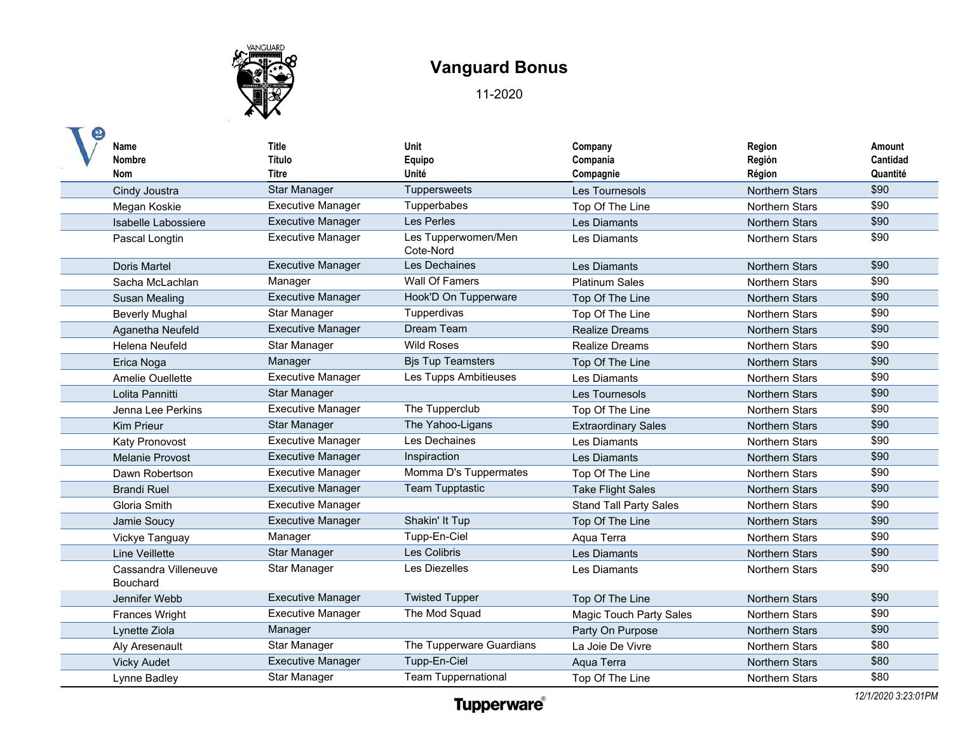

| Name<br><b>Nombre</b><br>Nom            | <b>Title</b><br>Título<br><b>Titre</b> | Unit<br>Equipo<br>Unité          | Company<br>Compania<br>Compagnie | Region<br>Región<br>Région | Amount<br>Cantidad<br>Quantité |
|-----------------------------------------|----------------------------------------|----------------------------------|----------------------------------|----------------------------|--------------------------------|
| Cindy Joustra                           | <b>Star Manager</b>                    | Tuppersweets                     | Les Tournesols                   | <b>Northern Stars</b>      | \$90                           |
| Megan Koskie                            | <b>Executive Manager</b>               | Tupperbabes                      | Top Of The Line                  | <b>Northern Stars</b>      | \$90                           |
| Isabelle Labossiere                     | <b>Executive Manager</b>               | Les Perles                       | Les Diamants                     | <b>Northern Stars</b>      | \$90                           |
| Pascal Longtin                          | <b>Executive Manager</b>               | Les Tupperwomen/Men<br>Cote-Nord | Les Diamants                     | <b>Northern Stars</b>      | \$90                           |
| <b>Doris Martel</b>                     | <b>Executive Manager</b>               | Les Dechaines                    | Les Diamants                     | <b>Northern Stars</b>      | \$90                           |
| Sacha McLachlan                         | Manager                                | Wall Of Famers                   | <b>Platinum Sales</b>            | <b>Northern Stars</b>      | \$90                           |
| Susan Mealing                           | <b>Executive Manager</b>               | Hook'D On Tupperware             | Top Of The Line                  | <b>Northern Stars</b>      | \$90                           |
| <b>Beverly Mughal</b>                   | Star Manager                           | Tupperdivas                      | Top Of The Line                  | Northern Stars             | \$90                           |
| Aganetha Neufeld                        | <b>Executive Manager</b>               | Dream Team                       | <b>Realize Dreams</b>            | <b>Northern Stars</b>      | \$90                           |
| <b>Helena Neufeld</b>                   | Star Manager                           | <b>Wild Roses</b>                | <b>Realize Dreams</b>            | <b>Northern Stars</b>      | \$90                           |
| Erica Noga                              | Manager                                | <b>Bjs Tup Teamsters</b>         | Top Of The Line                  | <b>Northern Stars</b>      | \$90                           |
| Amelie Ouellette                        | <b>Executive Manager</b>               | Les Tupps Ambitieuses            | Les Diamants                     | <b>Northern Stars</b>      | \$90                           |
| Lolita Pannitti                         | Star Manager                           |                                  | Les Tournesols                   | <b>Northern Stars</b>      | \$90                           |
| Jenna Lee Perkins                       | Executive Manager                      | The Tupperclub                   | Top Of The Line                  | <b>Northern Stars</b>      | \$90                           |
| <b>Kim Prieur</b>                       | <b>Star Manager</b>                    | The Yahoo-Ligans                 | <b>Extraordinary Sales</b>       | <b>Northern Stars</b>      | \$90                           |
| <b>Katy Pronovost</b>                   | <b>Executive Manager</b>               | Les Dechaines                    | Les Diamants                     | <b>Northern Stars</b>      | \$90                           |
| <b>Melanie Provost</b>                  | <b>Executive Manager</b>               | Inspiraction                     | Les Diamants                     | <b>Northern Stars</b>      | \$90                           |
| Dawn Robertson                          | <b>Executive Manager</b>               | Momma D's Tuppermates            | Top Of The Line                  | <b>Northern Stars</b>      | \$90                           |
| <b>Brandi Ruel</b>                      | <b>Executive Manager</b>               | <b>Team Tupptastic</b>           | <b>Take Flight Sales</b>         | <b>Northern Stars</b>      | \$90                           |
| <b>Gloria Smith</b>                     | <b>Executive Manager</b>               |                                  | <b>Stand Tall Party Sales</b>    | <b>Northern Stars</b>      | \$90                           |
| Jamie Soucy                             | <b>Executive Manager</b>               | Shakin' It Tup                   | Top Of The Line                  | <b>Northern Stars</b>      | \$90                           |
| Vickye Tanguay                          | Manager                                | Tupp-En-Ciel                     | Aqua Terra                       | <b>Northern Stars</b>      | \$90                           |
| Line Veillette                          | <b>Star Manager</b>                    | Les Colibris                     | <b>Les Diamants</b>              | <b>Northern Stars</b>      | \$90                           |
| Cassandra Villeneuve<br><b>Bouchard</b> | Star Manager                           | Les Diezelles                    | Les Diamants                     | <b>Northern Stars</b>      | \$90                           |
| Jennifer Webb                           | <b>Executive Manager</b>               | <b>Twisted Tupper</b>            | Top Of The Line                  | <b>Northern Stars</b>      | \$90                           |
| <b>Frances Wright</b>                   | <b>Executive Manager</b>               | The Mod Squad                    | <b>Magic Touch Party Sales</b>   | <b>Northern Stars</b>      | \$90                           |
| Lynette Ziola                           | Manager                                |                                  | Party On Purpose                 | <b>Northern Stars</b>      | \$90                           |
| Aly Aresenault                          | Star Manager                           | The Tupperware Guardians         | La Joie De Vivre                 | <b>Northern Stars</b>      | \$80                           |
| <b>Vicky Audet</b>                      | <b>Executive Manager</b>               | Tupp-En-Ciel                     | Aqua Terra                       | <b>Northern Stars</b>      | \$80                           |
| Lynne Badley                            | Star Manager                           | <b>Team Tuppernational</b>       | Top Of The Line                  | <b>Northern Stars</b>      | \$80                           |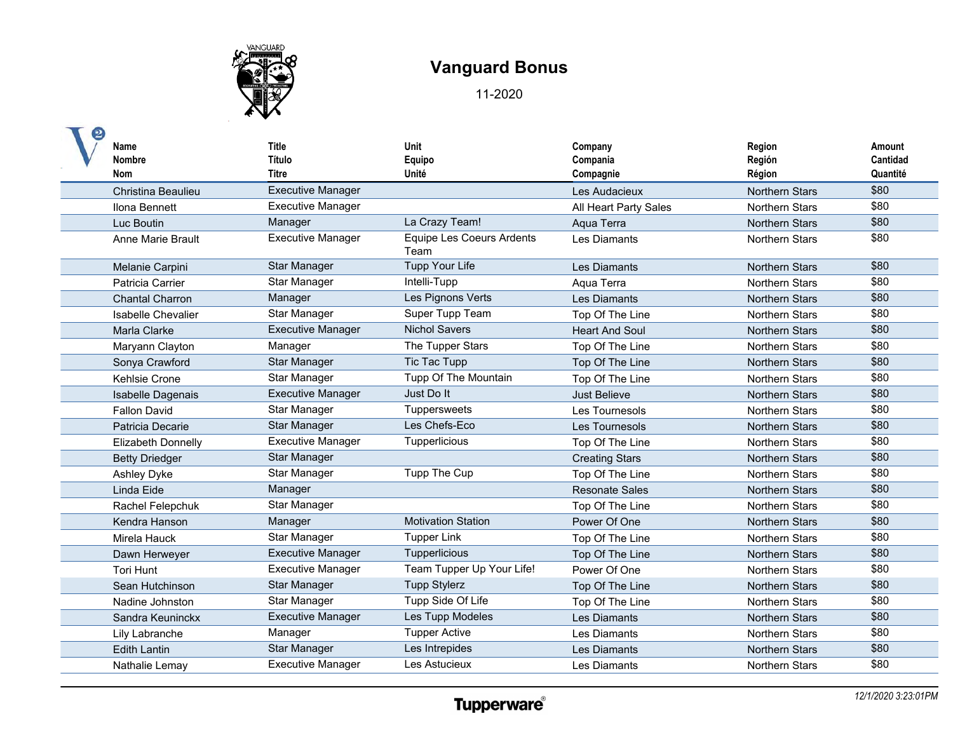

| Name<br><b>Nombre</b><br>Nom | <b>Title</b><br>Título<br><b>Titre</b> | Unit<br>Equipo<br>Unité                  | Company<br>Compania<br>Compagnie | Region<br>Región<br>Région | Amount<br>Cantidad<br>Quantité |
|------------------------------|----------------------------------------|------------------------------------------|----------------------------------|----------------------------|--------------------------------|
| Christina Beaulieu           | <b>Executive Manager</b>               |                                          | Les Audacieux                    | <b>Northern Stars</b>      | \$80                           |
| Ilona Bennett                | <b>Executive Manager</b>               |                                          | All Heart Party Sales            | Northern Stars             | \$80                           |
| Luc Boutin                   | Manager                                | La Crazy Team!                           | Aqua Terra                       | <b>Northern Stars</b>      | \$80                           |
| Anne Marie Brault            | <b>Executive Manager</b>               | <b>Equipe Les Coeurs Ardents</b><br>Team | Les Diamants                     | <b>Northern Stars</b>      | \$80                           |
| Melanie Carpini              | <b>Star Manager</b>                    | Tupp Your Life                           | Les Diamants                     | <b>Northern Stars</b>      | \$80                           |
| Patricia Carrier             | Star Manager                           | Intelli-Tupp                             | Aqua Terra                       | Northern Stars             | \$80                           |
| <b>Chantal Charron</b>       | Manager                                | Les Pignons Verts                        | Les Diamants                     | <b>Northern Stars</b>      | \$80                           |
| Isabelle Chevalier           | Star Manager                           | Super Tupp Team                          | Top Of The Line                  | <b>Northern Stars</b>      | \$80                           |
| Marla Clarke                 | <b>Executive Manager</b>               | <b>Nichol Savers</b>                     | <b>Heart And Soul</b>            | <b>Northern Stars</b>      | \$80                           |
| Maryann Clayton              | Manager                                | The Tupper Stars                         | Top Of The Line                  | <b>Northern Stars</b>      | \$80                           |
| Sonya Crawford               | <b>Star Manager</b>                    | Tic Tac Tupp                             | Top Of The Line                  | <b>Northern Stars</b>      | \$80                           |
| Kehlsie Crone                | Star Manager                           | Tupp Of The Mountain                     | Top Of The Line                  | <b>Northern Stars</b>      | \$80                           |
| <b>Isabelle Dagenais</b>     | <b>Executive Manager</b>               | Just Do It                               | <b>Just Believe</b>              | <b>Northern Stars</b>      | \$80                           |
| <b>Fallon David</b>          | Star Manager                           | Tuppersweets                             | Les Tournesols                   | <b>Northern Stars</b>      | \$80                           |
| Patricia Decarie             | Star Manager                           | Les Chefs-Eco                            | Les Tournesols                   | <b>Northern Stars</b>      | \$80                           |
| <b>Elizabeth Donnelly</b>    | <b>Executive Manager</b>               | Tupperlicious                            | Top Of The Line                  | <b>Northern Stars</b>      | \$80                           |
| <b>Betty Driedger</b>        | <b>Star Manager</b>                    |                                          | <b>Creating Stars</b>            | <b>Northern Stars</b>      | \$80                           |
| Ashley Dyke                  | Star Manager                           | Tupp The Cup                             | Top Of The Line                  | Northern Stars             | \$80                           |
| Linda Eide                   | Manager                                |                                          | <b>Resonate Sales</b>            | <b>Northern Stars</b>      | \$80                           |
| Rachel Felepchuk             | Star Manager                           |                                          | Top Of The Line                  | <b>Northern Stars</b>      | \$80                           |
| Kendra Hanson                | Manager                                | <b>Motivation Station</b>                | Power Of One                     | <b>Northern Stars</b>      | \$80                           |
| Mirela Hauck                 | Star Manager                           | <b>Tupper Link</b>                       | Top Of The Line                  | <b>Northern Stars</b>      | \$80                           |
| Dawn Herweyer                | <b>Executive Manager</b>               | Tupperlicious                            | Top Of The Line                  | <b>Northern Stars</b>      | \$80                           |
| <b>Tori Hunt</b>             | <b>Executive Manager</b>               | Team Tupper Up Your Life!                | Power Of One                     | <b>Northern Stars</b>      | \$80                           |
| Sean Hutchinson              | Star Manager                           | <b>Tupp Stylerz</b>                      | Top Of The Line                  | <b>Northern Stars</b>      | \$80                           |
| Nadine Johnston              | Star Manager                           | Tupp Side Of Life                        | Top Of The Line                  | <b>Northern Stars</b>      | \$80                           |
| Sandra Keuninckx             | <b>Executive Manager</b>               | Les Tupp Modeles                         | Les Diamants                     | <b>Northern Stars</b>      | \$80                           |
| Lily Labranche               | Manager                                | <b>Tupper Active</b>                     | Les Diamants                     | <b>Northern Stars</b>      | \$80                           |
| <b>Edith Lantin</b>          | Star Manager                           | Les Intrepides                           | Les Diamants                     | <b>Northern Stars</b>      | \$80                           |
| Nathalie Lemay               | <b>Executive Manager</b>               | Les Astucieux                            | Les Diamants                     | <b>Northern Stars</b>      | \$80                           |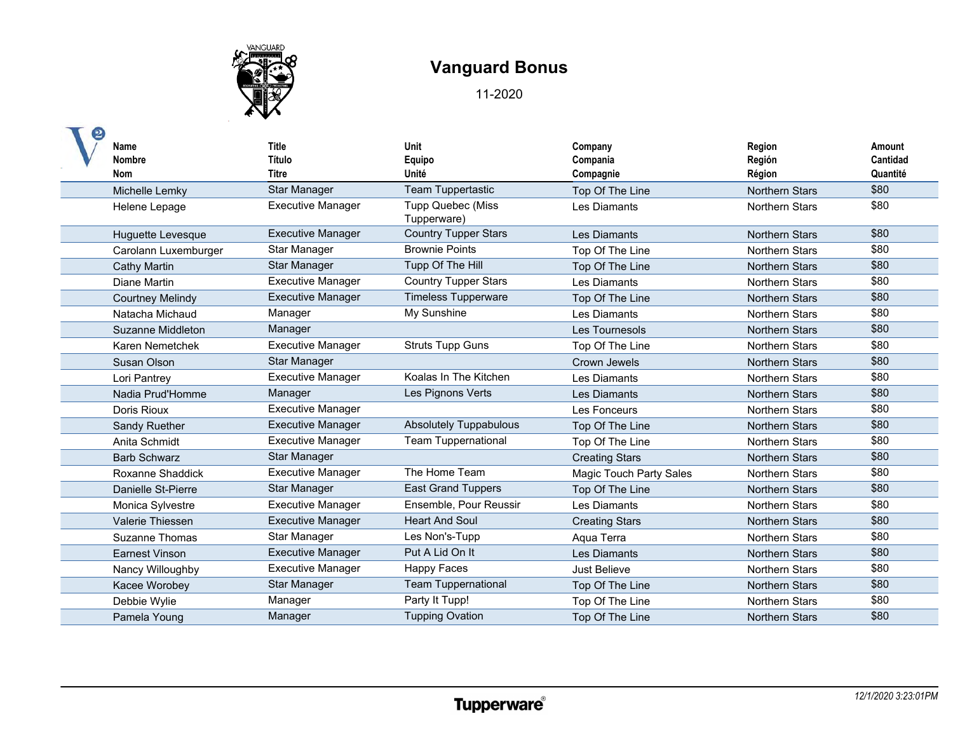

| <b>Name</b><br><b>Nombre</b> | <b>Title</b><br>Título   | <b>Unit</b><br>Equipo                   | Company<br>Compania            | Region<br>Región      | Amount<br>Cantidad |
|------------------------------|--------------------------|-----------------------------------------|--------------------------------|-----------------------|--------------------|
| Nom                          | <b>Titre</b>             | Unité                                   | Compagnie                      | Région                | Quantité           |
| Michelle Lemky               | <b>Star Manager</b>      | Team Tuppertastic                       | Top Of The Line                | <b>Northern Stars</b> | \$80               |
| Helene Lepage                | <b>Executive Manager</b> | <b>Tupp Quebec (Miss</b><br>Tupperware) | Les Diamants                   | <b>Northern Stars</b> | \$80               |
| Huguette Levesque            | <b>Executive Manager</b> | <b>Country Tupper Stars</b>             | Les Diamants                   | <b>Northern Stars</b> | \$80               |
| Carolann Luxemburger         | Star Manager             | <b>Brownie Points</b>                   | Top Of The Line                | Northern Stars        | \$80               |
| Cathy Martin                 | <b>Star Manager</b>      | Tupp Of The Hill                        | Top Of The Line                | <b>Northern Stars</b> | \$80               |
| <b>Diane Martin</b>          | <b>Executive Manager</b> | <b>Country Tupper Stars</b>             | Les Diamants                   | <b>Northern Stars</b> | \$80               |
| <b>Courtney Melindy</b>      | <b>Executive Manager</b> | <b>Timeless Tupperware</b>              | Top Of The Line                | <b>Northern Stars</b> | \$80               |
| Natacha Michaud              | Manager                  | My Sunshine                             | Les Diamants                   | <b>Northern Stars</b> | \$80               |
| Suzanne Middleton            | Manager                  |                                         | Les Tournesols                 | <b>Northern Stars</b> | \$80               |
| Karen Nemetchek              | <b>Executive Manager</b> | <b>Struts Tupp Guns</b>                 | Top Of The Line                | Northern Stars        | \$80               |
| Susan Olson                  | Star Manager             |                                         | Crown Jewels                   | <b>Northern Stars</b> | \$80               |
| Lori Pantrey                 | <b>Executive Manager</b> | Koalas In The Kitchen                   | Les Diamants                   | <b>Northern Stars</b> | \$80               |
| Nadia Prud'Homme             | Manager                  | Les Pignons Verts                       | Les Diamants                   | <b>Northern Stars</b> | \$80               |
| Doris Rioux                  | <b>Executive Manager</b> |                                         | Les Fonceurs                   | <b>Northern Stars</b> | \$80               |
| Sandy Ruether                | <b>Executive Manager</b> | <b>Absolutely Tuppabulous</b>           | Top Of The Line                | <b>Northern Stars</b> | \$80               |
| Anita Schmidt                | <b>Executive Manager</b> | <b>Team Tuppernational</b>              | Top Of The Line                | <b>Northern Stars</b> | \$80               |
| <b>Barb Schwarz</b>          | Star Manager             |                                         | <b>Creating Stars</b>          | <b>Northern Stars</b> | \$80               |
| Roxanne Shaddick             | <b>Executive Manager</b> | The Home Team                           | <b>Magic Touch Party Sales</b> | <b>Northern Stars</b> | \$80               |
| Danielle St-Pierre           | Star Manager             | <b>East Grand Tuppers</b>               | Top Of The Line                | <b>Northern Stars</b> | \$80               |
| Monica Sylvestre             | <b>Executive Manager</b> | Ensemble, Pour Reussir                  | Les Diamants                   | <b>Northern Stars</b> | \$80               |
| Valerie Thiessen             | <b>Executive Manager</b> | <b>Heart And Soul</b>                   | <b>Creating Stars</b>          | <b>Northern Stars</b> | \$80               |
| <b>Suzanne Thomas</b>        | Star Manager             | Les Non's-Tupp                          | Aqua Terra                     | <b>Northern Stars</b> | \$80               |
| <b>Earnest Vinson</b>        | <b>Executive Manager</b> | Put A Lid On It                         | Les Diamants                   | <b>Northern Stars</b> | \$80               |
| Nancy Willoughby             | <b>Executive Manager</b> | <b>Happy Faces</b>                      | Just Believe                   | <b>Northern Stars</b> | \$80               |
| Kacee Worobey                | <b>Star Manager</b>      | <b>Team Tuppernational</b>              | Top Of The Line                | <b>Northern Stars</b> | \$80               |
| Debbie Wylie                 | Manager                  | Party It Tupp!                          | Top Of The Line                | <b>Northern Stars</b> | \$80               |
| Pamela Young                 | Manager                  | <b>Tupping Ovation</b>                  | Top Of The Line                | <b>Northern Stars</b> | \$80               |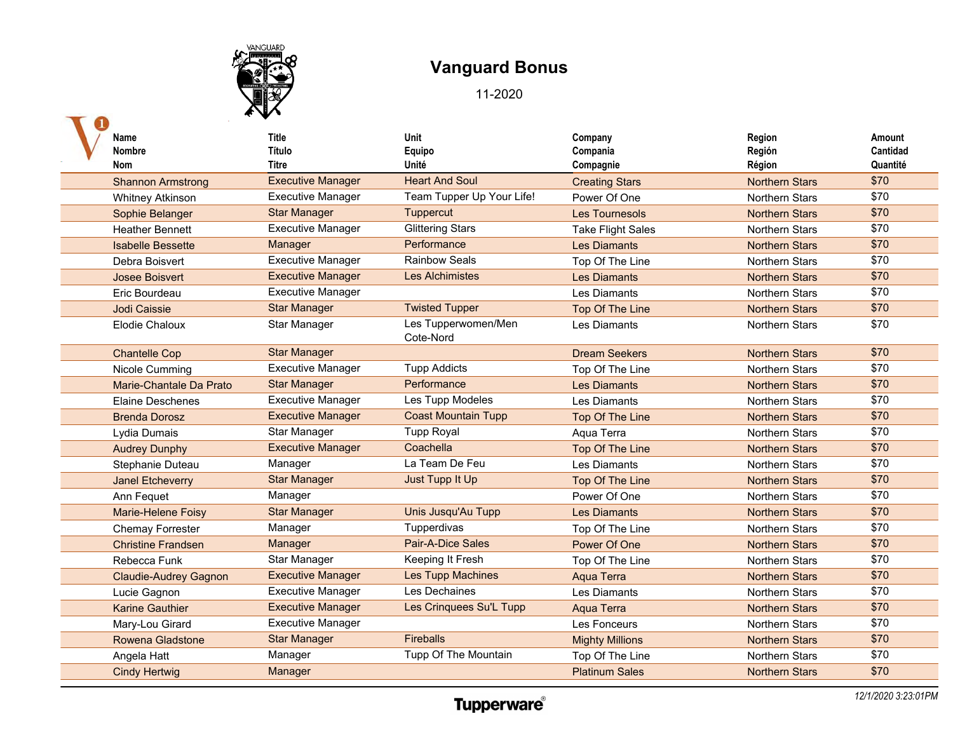

| Name                         | Title                    | Unit                       | Company                  | Region                | Amount   |
|------------------------------|--------------------------|----------------------------|--------------------------|-----------------------|----------|
| <b>Nombre</b>                | Título                   | Equipo                     | Compania                 | Región                | Cantidad |
| <b>Nom</b>                   | Titre                    | Unité                      | Compagnie                | Région                | Quantité |
| <b>Shannon Armstrong</b>     | <b>Executive Manager</b> | <b>Heart And Soul</b>      | <b>Creating Stars</b>    | <b>Northern Stars</b> | \$70     |
| <b>Whitney Atkinson</b>      | <b>Executive Manager</b> | Team Tupper Up Your Life!  | Power Of One             | <b>Northern Stars</b> | \$70     |
| Sophie Belanger              | <b>Star Manager</b>      | Tuppercut                  | <b>Les Tournesols</b>    | <b>Northern Stars</b> | \$70     |
| <b>Heather Bennett</b>       | <b>Executive Manager</b> | <b>Glittering Stars</b>    | <b>Take Flight Sales</b> | <b>Northern Stars</b> | \$70     |
| <b>Isabelle Bessette</b>     | Manager                  | Performance                | <b>Les Diamants</b>      | <b>Northern Stars</b> | \$70     |
| Debra Boisvert               | <b>Executive Manager</b> | <b>Rainbow Seals</b>       | Top Of The Line          | Northern Stars        | \$70     |
| Josee Boisvert               | <b>Executive Manager</b> | <b>Les Alchimistes</b>     | <b>Les Diamants</b>      | <b>Northern Stars</b> | \$70     |
| Eric Bourdeau                | <b>Executive Manager</b> |                            | Les Diamants             | <b>Northern Stars</b> | \$70     |
| Jodi Caissie                 | <b>Star Manager</b>      | <b>Twisted Tupper</b>      | Top Of The Line          | <b>Northern Stars</b> | \$70     |
| Elodie Chaloux               | Star Manager             | Les Tupperwomen/Men        | Les Diamants             | Northern Stars        | \$70     |
|                              |                          | Cote-Nord                  |                          |                       |          |
| <b>Chantelle Cop</b>         | <b>Star Manager</b>      |                            | <b>Dream Seekers</b>     | <b>Northern Stars</b> | \$70     |
| Nicole Cumming               | <b>Executive Manager</b> | <b>Tupp Addicts</b>        | Top Of The Line          | Northern Stars        | \$70     |
| Marie-Chantale Da Prato      | <b>Star Manager</b>      | Performance                | <b>Les Diamants</b>      | <b>Northern Stars</b> | \$70     |
| <b>Elaine Deschenes</b>      | <b>Executive Manager</b> | Les Tupp Modeles           | Les Diamants             | Northern Stars        | \$70     |
| <b>Brenda Dorosz</b>         | <b>Executive Manager</b> | <b>Coast Mountain Tupp</b> | Top Of The Line          | <b>Northern Stars</b> | \$70     |
| Lydia Dumais                 | Star Manager             | <b>Tupp Royal</b>          | Aqua Terra               | <b>Northern Stars</b> | \$70     |
| <b>Audrey Dunphy</b>         | <b>Executive Manager</b> | Coachella                  | Top Of The Line          | <b>Northern Stars</b> | \$70     |
| Stephanie Duteau             | Manager                  | La Team De Feu             | Les Diamants             | <b>Northern Stars</b> | \$70     |
| <b>Janel Etcheverry</b>      | <b>Star Manager</b>      | Just Tupp It Up            | Top Of The Line          | <b>Northern Stars</b> | \$70     |
| Ann Fequet                   | Manager                  |                            | Power Of One             | Northern Stars        | \$70     |
| Marie-Helene Foisy           | <b>Star Manager</b>      | Unis Jusqu'Au Tupp         | Les Diamants             | <b>Northern Stars</b> | \$70     |
| <b>Chemay Forrester</b>      | Manager                  | Tupperdivas                | Top Of The Line          | <b>Northern Stars</b> | \$70     |
| <b>Christine Frandsen</b>    | Manager                  | Pair-A-Dice Sales          | Power Of One             | <b>Northern Stars</b> | \$70     |
| Rebecca Funk                 | Star Manager             | Keeping It Fresh           | Top Of The Line          | Northern Stars        | \$70     |
| <b>Claudie-Audrey Gagnon</b> | <b>Executive Manager</b> | Les Tupp Machines          | Aqua Terra               | <b>Northern Stars</b> | \$70     |
| Lucie Gagnon                 | <b>Executive Manager</b> | Les Dechaines              | Les Diamants             | Northern Stars        | \$70     |
| <b>Karine Gauthier</b>       | <b>Executive Manager</b> | Les Crinquees Su'L Tupp    | Aqua Terra               | <b>Northern Stars</b> | \$70     |
| Mary-Lou Girard              | <b>Executive Manager</b> |                            | Les Fonceurs             | <b>Northern Stars</b> | \$70     |
| <b>Rowena Gladstone</b>      | <b>Star Manager</b>      | <b>Fireballs</b>           | <b>Mighty Millions</b>   | <b>Northern Stars</b> | \$70     |
| Angela Hatt                  | Manager                  | Tupp Of The Mountain       | Top Of The Line          | Northern Stars        | \$70     |
| <b>Cindy Hertwig</b>         | Manager                  |                            | <b>Platinum Sales</b>    | <b>Northern Stars</b> | \$70     |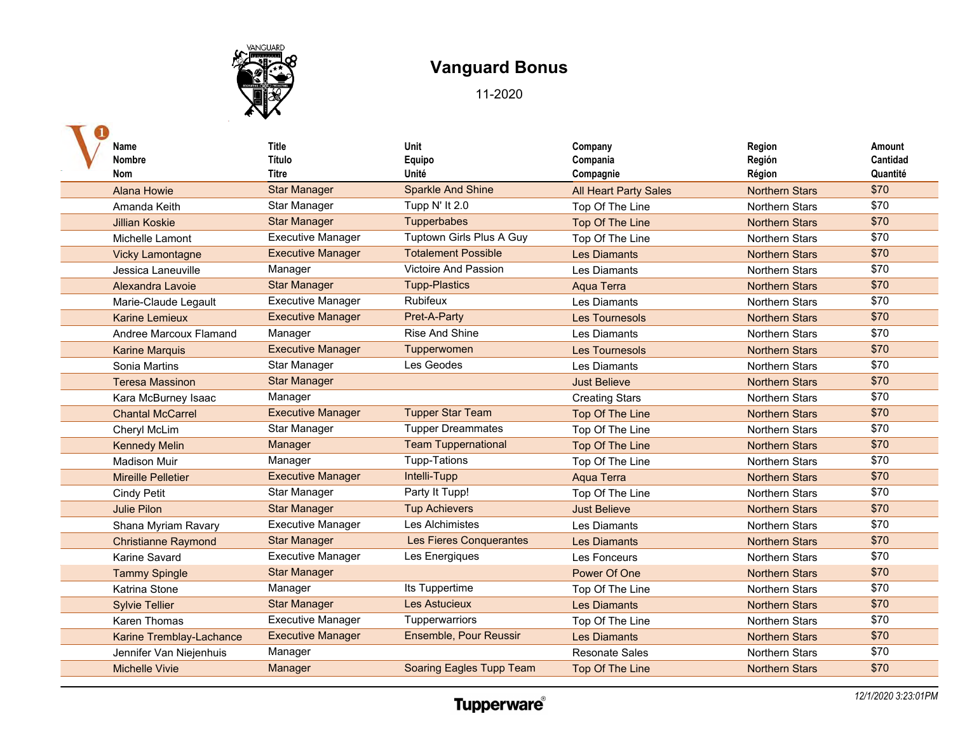

| Name<br><b>Nombre</b><br><b>Nom</b> | <b>Title</b><br>Título<br>Titre | Unit<br>Equipo<br>Unité         | Company<br>Compania<br>Compagnie | Region<br>Región<br>Région | Amount<br>Cantidad<br>Quantité |
|-------------------------------------|---------------------------------|---------------------------------|----------------------------------|----------------------------|--------------------------------|
| <b>Alana Howie</b>                  | <b>Star Manager</b>             | <b>Sparkle And Shine</b>        | <b>All Heart Party Sales</b>     | <b>Northern Stars</b>      | \$70                           |
| Amanda Keith                        | Star Manager                    | Tupp N' It 2.0                  | Top Of The Line                  | <b>Northern Stars</b>      | \$70                           |
| <b>Jillian Koskie</b>               | <b>Star Manager</b>             | Tupperbabes                     | Top Of The Line                  | <b>Northern Stars</b>      | \$70                           |
| Michelle Lamont                     | <b>Executive Manager</b>        | Tuptown Girls Plus A Guy        | Top Of The Line                  | <b>Northern Stars</b>      | \$70                           |
| <b>Vicky Lamontagne</b>             | <b>Executive Manager</b>        | <b>Totalement Possible</b>      | <b>Les Diamants</b>              | <b>Northern Stars</b>      | \$70                           |
| Jessica Laneuville                  | Manager                         | <b>Victoire And Passion</b>     | Les Diamants                     | <b>Northern Stars</b>      | \$70                           |
| Alexandra Lavoie                    | <b>Star Manager</b>             | <b>Tupp-Plastics</b>            | Aqua Terra                       | <b>Northern Stars</b>      | \$70                           |
| Marie-Claude Legault                | <b>Executive Manager</b>        | Rubifeux                        | Les Diamants                     | <b>Northern Stars</b>      | \$70                           |
| <b>Karine Lemieux</b>               | <b>Executive Manager</b>        | Pret-A-Party                    | <b>Les Tournesols</b>            | <b>Northern Stars</b>      | \$70                           |
| Andree Marcoux Flamand              | Manager                         | Rise And Shine                  | Les Diamants                     | <b>Northern Stars</b>      | \$70                           |
| <b>Karine Marquis</b>               | <b>Executive Manager</b>        | Tupperwomen                     | <b>Les Tournesols</b>            | <b>Northern Stars</b>      | \$70                           |
| Sonia Martins                       | Star Manager                    | Les Geodes                      | Les Diamants                     | <b>Northern Stars</b>      | \$70                           |
| <b>Teresa Massinon</b>              | <b>Star Manager</b>             |                                 | <b>Just Believe</b>              | <b>Northern Stars</b>      | \$70                           |
| Kara McBurney Isaac                 | Manager                         |                                 | <b>Creating Stars</b>            | Northern Stars             | \$70                           |
| <b>Chantal McCarrel</b>             | <b>Executive Manager</b>        | <b>Tupper Star Team</b>         | Top Of The Line                  | <b>Northern Stars</b>      | \$70                           |
| Cheryl McLim                        | Star Manager                    | <b>Tupper Dreammates</b>        | Top Of The Line                  | Northern Stars             | \$70                           |
| <b>Kennedy Melin</b>                | Manager                         | <b>Team Tuppernational</b>      | Top Of The Line                  | <b>Northern Stars</b>      | \$70                           |
| <b>Madison Muir</b>                 | Manager                         | <b>Tupp-Tations</b>             | Top Of The Line                  | <b>Northern Stars</b>      | \$70                           |
| <b>Mireille Pelletier</b>           | <b>Executive Manager</b>        | Intelli-Tupp                    | Aqua Terra                       | <b>Northern Stars</b>      | \$70                           |
| <b>Cindy Petit</b>                  | Star Manager                    | Party It Tupp!                  | Top Of The Line                  | <b>Northern Stars</b>      | \$70                           |
| <b>Julie Pilon</b>                  | <b>Star Manager</b>             | <b>Tup Achievers</b>            | <b>Just Believe</b>              | <b>Northern Stars</b>      | \$70                           |
| Shana Myriam Ravary                 | <b>Executive Manager</b>        | Les Alchimistes                 | Les Diamants                     | <b>Northern Stars</b>      | \$70                           |
| <b>Christianne Raymond</b>          | <b>Star Manager</b>             | <b>Les Fieres Conquerantes</b>  | <b>Les Diamants</b>              | <b>Northern Stars</b>      | \$70                           |
| Karine Savard                       | <b>Executive Manager</b>        | Les Energiques                  | Les Fonceurs                     | <b>Northern Stars</b>      | \$70                           |
| <b>Tammy Spingle</b>                | <b>Star Manager</b>             |                                 | Power Of One                     | <b>Northern Stars</b>      | \$70                           |
| Katrina Stone                       | Manager                         | Its Tuppertime                  | Top Of The Line                  | <b>Northern Stars</b>      | \$70                           |
| <b>Sylvie Tellier</b>               | <b>Star Manager</b>             | <b>Les Astucieux</b>            | <b>Les Diamants</b>              | <b>Northern Stars</b>      | \$70                           |
| Karen Thomas                        | <b>Executive Manager</b>        | Tupperwarriors                  | Top Of The Line                  | Northern Stars             | \$70                           |
| Karine Tremblay-Lachance            | <b>Executive Manager</b>        | Ensemble, Pour Reussir          | <b>Les Diamants</b>              | <b>Northern Stars</b>      | \$70                           |
| Jennifer Van Niejenhuis             | Manager                         |                                 | <b>Resonate Sales</b>            | <b>Northern Stars</b>      | \$70                           |
| <b>Michelle Vivie</b>               | Manager                         | <b>Soaring Eagles Tupp Team</b> | Top Of The Line                  | <b>Northern Stars</b>      | \$70                           |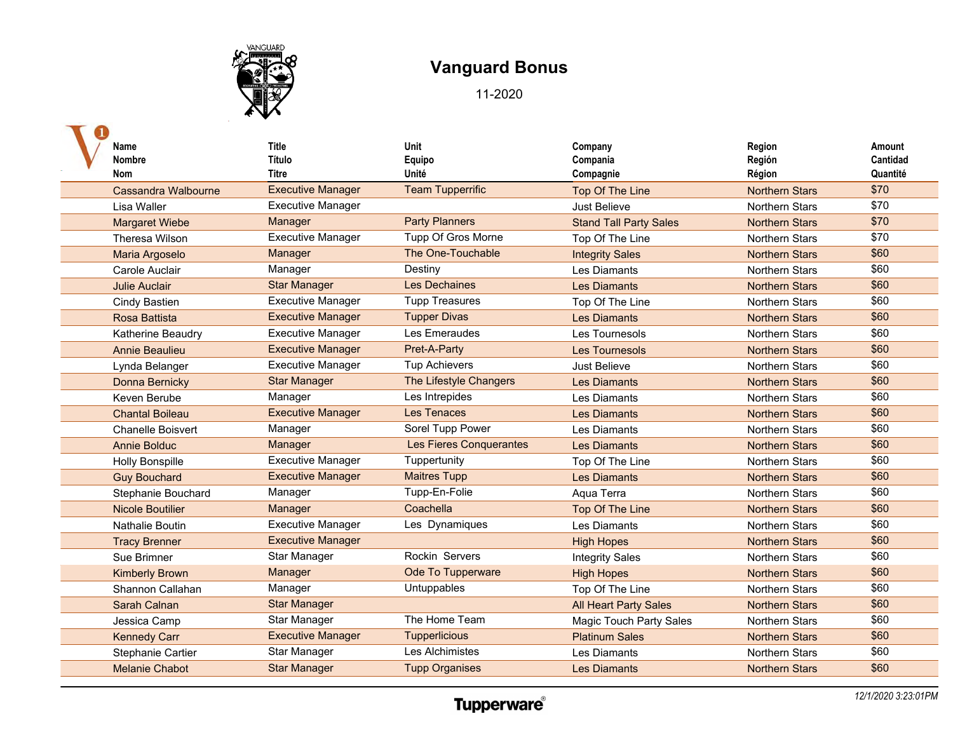

| Name<br><b>Nombre</b><br><b>Nom</b> | <b>Title</b><br>Título<br>Titre | Unit<br>Equipo<br>Unité | Company<br>Compania<br>Compagnie | Region<br>Región<br>Région | Amount<br>Cantidad<br>Quantité |
|-------------------------------------|---------------------------------|-------------------------|----------------------------------|----------------------------|--------------------------------|
| Cassandra Walbourne                 | <b>Executive Manager</b>        | <b>Team Tupperrific</b> | Top Of The Line                  | <b>Northern Stars</b>      | \$70                           |
| Lisa Waller                         | <b>Executive Manager</b>        |                         | Just Believe                     | <b>Northern Stars</b>      | \$70                           |
| <b>Margaret Wiebe</b>               | Manager                         | <b>Party Planners</b>   | <b>Stand Tall Party Sales</b>    | <b>Northern Stars</b>      | \$70                           |
| Theresa Wilson                      | <b>Executive Manager</b>        | Tupp Of Gros Morne      | Top Of The Line                  | <b>Northern Stars</b>      | \$70                           |
| Maria Argoselo                      | Manager                         | The One-Touchable       | <b>Integrity Sales</b>           | <b>Northern Stars</b>      | \$60                           |
| Carole Auclair                      | Manager                         | Destiny                 | Les Diamants                     | <b>Northern Stars</b>      | \$60                           |
| <b>Julie Auclair</b>                | <b>Star Manager</b>             | <b>Les Dechaines</b>    | <b>Les Diamants</b>              | <b>Northern Stars</b>      | \$60                           |
| Cindy Bastien                       | <b>Executive Manager</b>        | <b>Tupp Treasures</b>   | Top Of The Line                  | <b>Northern Stars</b>      | \$60                           |
| <b>Rosa Battista</b>                | <b>Executive Manager</b>        | <b>Tupper Divas</b>     | <b>Les Diamants</b>              | <b>Northern Stars</b>      | \$60                           |
| Katherine Beaudry                   | <b>Executive Manager</b>        | Les Emeraudes           | Les Tournesols                   | <b>Northern Stars</b>      | \$60                           |
| <b>Annie Beaulieu</b>               | <b>Executive Manager</b>        | Pret-A-Party            | <b>Les Tournesols</b>            | <b>Northern Stars</b>      | \$60                           |
| Lynda Belanger                      | <b>Executive Manager</b>        | <b>Tup Achievers</b>    | Just Believe                     | Northern Stars             | \$60                           |
| Donna Bernicky                      | <b>Star Manager</b>             | The Lifestyle Changers  | <b>Les Diamants</b>              | <b>Northern Stars</b>      | \$60                           |
| Keven Berube                        | Manager                         | Les Intrepides          | Les Diamants                     | <b>Northern Stars</b>      | \$60                           |
| <b>Chantal Boileau</b>              | <b>Executive Manager</b>        | <b>Les Tenaces</b>      | <b>Les Diamants</b>              | <b>Northern Stars</b>      | \$60                           |
| <b>Chanelle Boisvert</b>            | Manager                         | Sorel Tupp Power        | <b>Les Diamants</b>              | <b>Northern Stars</b>      | \$60                           |
| <b>Annie Bolduc</b>                 | Manager                         | Les Fieres Conquerantes | <b>Les Diamants</b>              | <b>Northern Stars</b>      | \$60                           |
| <b>Holly Bonspille</b>              | <b>Executive Manager</b>        | Tuppertunity            | Top Of The Line                  | <b>Northern Stars</b>      | \$60                           |
| <b>Guy Bouchard</b>                 | <b>Executive Manager</b>        | <b>Maitres Tupp</b>     | <b>Les Diamants</b>              | <b>Northern Stars</b>      | \$60                           |
| Stephanie Bouchard                  | Manager                         | Tupp-En-Folie           | Aqua Terra                       | <b>Northern Stars</b>      | \$60                           |
| <b>Nicole Boutilier</b>             | Manager                         | Coachella               | Top Of The Line                  | <b>Northern Stars</b>      | \$60                           |
| <b>Nathalie Boutin</b>              | <b>Executive Manager</b>        | Les Dynamiques          | Les Diamants                     | <b>Northern Stars</b>      | \$60                           |
| <b>Tracy Brenner</b>                | <b>Executive Manager</b>        |                         | <b>High Hopes</b>                | <b>Northern Stars</b>      | \$60                           |
| Sue Brimner                         | Star Manager                    | Rockin Servers          | <b>Integrity Sales</b>           | Northern Stars             | \$60                           |
| <b>Kimberly Brown</b>               | Manager                         | Ode To Tupperware       | <b>High Hopes</b>                | <b>Northern Stars</b>      | \$60                           |
| Shannon Callahan                    | Manager                         | Untuppables             | Top Of The Line                  | <b>Northern Stars</b>      | \$60                           |
| Sarah Calnan                        | <b>Star Manager</b>             |                         | <b>All Heart Party Sales</b>     | <b>Northern Stars</b>      | \$60                           |
| Jessica Camp                        | Star Manager                    | The Home Team           | <b>Magic Touch Party Sales</b>   | <b>Northern Stars</b>      | \$60                           |
| <b>Kennedy Carr</b>                 | <b>Executive Manager</b>        | <b>Tupperlicious</b>    | <b>Platinum Sales</b>            | <b>Northern Stars</b>      | \$60                           |
| Stephanie Cartier                   | Star Manager                    | Les Alchimistes         | Les Diamants                     | Northern Stars             | \$60                           |
| <b>Melanie Chabot</b>               | <b>Star Manager</b>             | <b>Tupp Organises</b>   | <b>Les Diamants</b>              | <b>Northern Stars</b>      | \$60                           |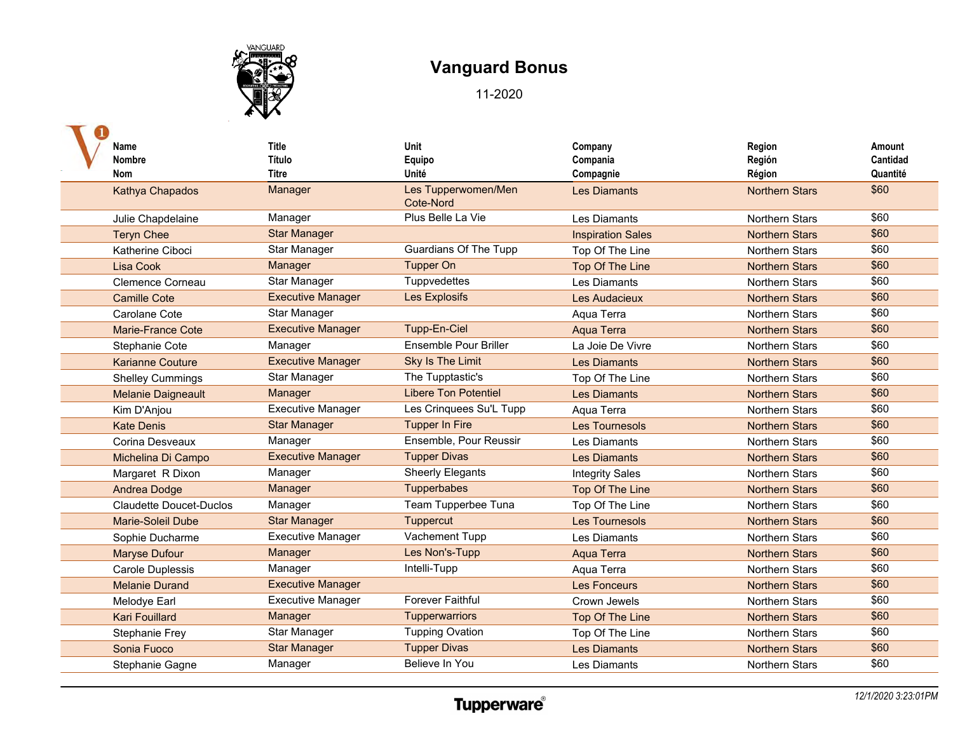

| Name                           | <b>Title</b>             | Unit                             | Company                  | Region                | Amount   |
|--------------------------------|--------------------------|----------------------------------|--------------------------|-----------------------|----------|
| <b>Nombre</b>                  | Título                   | Equipo                           | Compania                 | Región                | Cantidad |
| <b>Nom</b>                     | <b>Titre</b>             | Unité                            | Compagnie                | Région                | Quantité |
| Kathya Chapados                | Manager                  | Les Tupperwomen/Men<br>Cote-Nord | <b>Les Diamants</b>      | <b>Northern Stars</b> | \$60     |
| Julie Chapdelaine              | Manager                  | Plus Belle La Vie                | Les Diamants             | <b>Northern Stars</b> | \$60     |
| <b>Teryn Chee</b>              | <b>Star Manager</b>      |                                  | <b>Inspiration Sales</b> | <b>Northern Stars</b> | \$60     |
| Katherine Ciboci               | Star Manager             | <b>Guardians Of The Tupp</b>     | Top Of The Line          | <b>Northern Stars</b> | \$60     |
| <b>Lisa Cook</b>               | Manager                  | <b>Tupper On</b>                 | Top Of The Line          | <b>Northern Stars</b> | \$60     |
| Clemence Corneau               | Star Manager             | Tuppvedettes                     | Les Diamants             | <b>Northern Stars</b> | \$60     |
| <b>Camille Cote</b>            | <b>Executive Manager</b> | Les Explosifs                    | Les Audacieux            | <b>Northern Stars</b> | \$60     |
| Carolane Cote                  | Star Manager             |                                  | Aqua Terra               | Northern Stars        | \$60     |
| <b>Marie-France Cote</b>       | <b>Executive Manager</b> | Tupp-En-Ciel                     | Aqua Terra               | <b>Northern Stars</b> | \$60     |
| Stephanie Cote                 | Manager                  | Ensemble Pour Briller            | La Joie De Vivre         | <b>Northern Stars</b> | \$60     |
| <b>Karianne Couture</b>        | <b>Executive Manager</b> | <b>Sky Is The Limit</b>          | <b>Les Diamants</b>      | <b>Northern Stars</b> | \$60     |
| <b>Shelley Cummings</b>        | Star Manager             | The Tupptastic's                 | Top Of The Line          | <b>Northern Stars</b> | \$60     |
| <b>Melanie Daigneault</b>      | Manager                  | <b>Libere Ton Potentiel</b>      | <b>Les Diamants</b>      | <b>Northern Stars</b> | \$60     |
| Kim D'Anjou                    | <b>Executive Manager</b> | Les Crinquees Su'L Tupp          | Aqua Terra               | <b>Northern Stars</b> | \$60     |
| <b>Kate Denis</b>              | <b>Star Manager</b>      | <b>Tupper In Fire</b>            | <b>Les Tournesols</b>    | <b>Northern Stars</b> | \$60     |
| Corina Desveaux                | Manager                  | Ensemble, Pour Reussir           | <b>Les Diamants</b>      | <b>Northern Stars</b> | \$60     |
| Michelina Di Campo             | <b>Executive Manager</b> | <b>Tupper Divas</b>              | <b>Les Diamants</b>      | <b>Northern Stars</b> | \$60     |
| Margaret R Dixon               | Manager                  | <b>Sheerly Elegants</b>          | <b>Integrity Sales</b>   | Northern Stars        | \$60     |
| <b>Andrea Dodge</b>            | Manager                  | Tupperbabes                      | Top Of The Line          | <b>Northern Stars</b> | \$60     |
| <b>Claudette Doucet-Duclos</b> | Manager                  | Team Tupperbee Tuna              | Top Of The Line          | <b>Northern Stars</b> | \$60     |
| Marie-Soleil Dube              | <b>Star Manager</b>      | Tuppercut                        | Les Tournesols           | <b>Northern Stars</b> | \$60     |
| Sophie Ducharme                | <b>Executive Manager</b> | Vachement Tupp                   | Les Diamants             | <b>Northern Stars</b> | \$60     |
| <b>Maryse Dufour</b>           | Manager                  | Les Non's-Tupp                   | Aqua Terra               | <b>Northern Stars</b> | \$60     |
| <b>Carole Duplessis</b>        | Manager                  | Intelli-Tupp                     | Aqua Terra               | Northern Stars        | \$60     |
| <b>Melanie Durand</b>          | <b>Executive Manager</b> |                                  | <b>Les Fonceurs</b>      | <b>Northern Stars</b> | \$60     |
| Melodye Earl                   | <b>Executive Manager</b> | <b>Forever Faithful</b>          | Crown Jewels             | Northern Stars        | \$60     |
| <b>Kari Fouillard</b>          | Manager                  | Tupperwarriors                   | Top Of The Line          | <b>Northern Stars</b> | \$60     |
| Stephanie Frey                 | Star Manager             | <b>Tupping Ovation</b>           | Top Of The Line          | <b>Northern Stars</b> | \$60     |
| Sonia Fuoco                    | <b>Star Manager</b>      | <b>Tupper Divas</b>              | <b>Les Diamants</b>      | <b>Northern Stars</b> | \$60     |
| Stephanie Gagne                | Manager                  | Believe In You                   | Les Diamants             | <b>Northern Stars</b> | \$60     |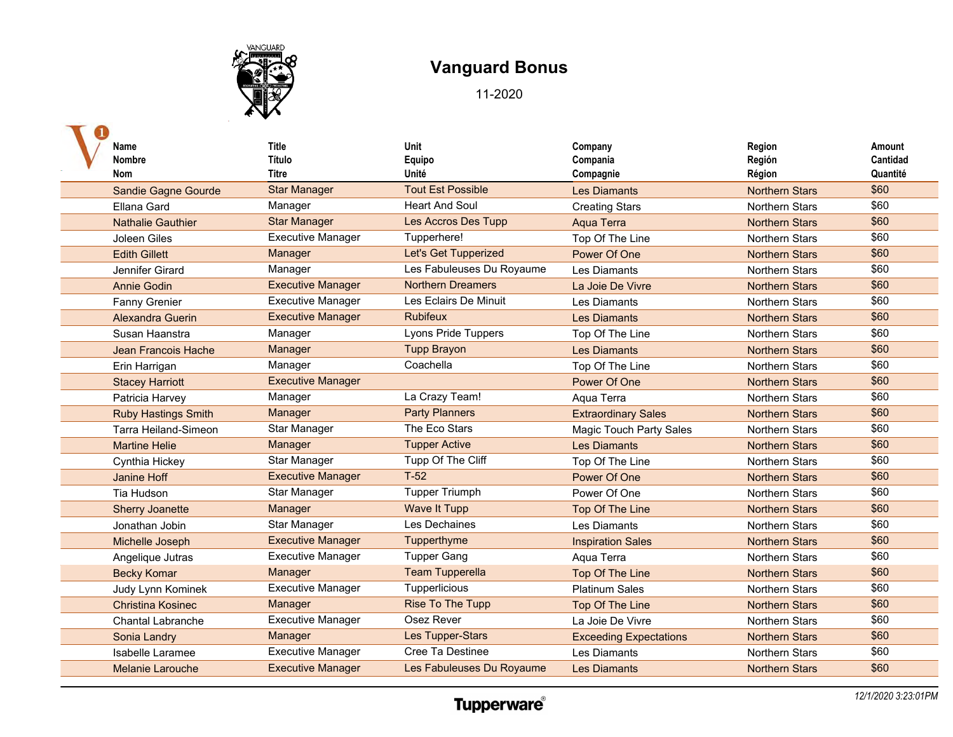

| Name                        | <b>Title</b>             | Unit                       | Company                        | Region                | Amount   |
|-----------------------------|--------------------------|----------------------------|--------------------------------|-----------------------|----------|
| <b>Nombre</b>               | Título                   | Equipo                     | Compania                       | Región                | Cantidad |
| <b>Nom</b>                  | Titre                    | Unité                      | Compagnie                      | Région                | Quantité |
| <b>Sandie Gagne Gourde</b>  | <b>Star Manager</b>      | <b>Tout Est Possible</b>   | <b>Les Diamants</b>            | <b>Northern Stars</b> | \$60     |
| Ellana Gard                 | Manager                  | <b>Heart And Soul</b>      | <b>Creating Stars</b>          | Northern Stars        | \$60     |
| <b>Nathalie Gauthier</b>    | <b>Star Manager</b>      | Les Accros Des Tupp        | <b>Aqua Terra</b>              | <b>Northern Stars</b> | \$60     |
| Joleen Giles                | <b>Executive Manager</b> | Tupperhere!                | Top Of The Line                | <b>Northern Stars</b> | \$60     |
| <b>Edith Gillett</b>        | Manager                  | Let's Get Tupperized       | Power Of One                   | <b>Northern Stars</b> | \$60     |
| Jennifer Girard             | Manager                  | Les Fabuleuses Du Royaume  | Les Diamants                   | <b>Northern Stars</b> | \$60     |
| <b>Annie Godin</b>          | <b>Executive Manager</b> | <b>Northern Dreamers</b>   | La Joie De Vivre               | <b>Northern Stars</b> | \$60     |
| Fanny Grenier               | <b>Executive Manager</b> | Les Eclairs De Minuit      | Les Diamants                   | <b>Northern Stars</b> | \$60     |
| Alexandra Guerin            | <b>Executive Manager</b> | <b>Rubifeux</b>            | <b>Les Diamants</b>            | <b>Northern Stars</b> | \$60     |
| Susan Haanstra              | Manager                  | <b>Lyons Pride Tuppers</b> | Top Of The Line                | <b>Northern Stars</b> | \$60     |
| <b>Jean Francois Hache</b>  | Manager                  | <b>Tupp Brayon</b>         | <b>Les Diamants</b>            | <b>Northern Stars</b> | \$60     |
| Erin Harrigan               | Manager                  | Coachella                  | Top Of The Line                | <b>Northern Stars</b> | \$60     |
| <b>Stacey Harriott</b>      | <b>Executive Manager</b> |                            | Power Of One                   | <b>Northern Stars</b> | \$60     |
| Patricia Harvey             | Manager                  | La Crazy Team!             | Aqua Terra                     | <b>Northern Stars</b> | \$60     |
| <b>Ruby Hastings Smith</b>  | Manager                  | <b>Party Planners</b>      | <b>Extraordinary Sales</b>     | <b>Northern Stars</b> | \$60     |
| <b>Tarra Heiland-Simeon</b> | Star Manager             | The Eco Stars              | <b>Magic Touch Party Sales</b> | Northern Stars        | \$60     |
| <b>Martine Helie</b>        | Manager                  | <b>Tupper Active</b>       | <b>Les Diamants</b>            | <b>Northern Stars</b> | \$60     |
| Cynthia Hickey              | Star Manager             | Tupp Of The Cliff          | Top Of The Line                | <b>Northern Stars</b> | \$60     |
| <b>Janine Hoff</b>          | <b>Executive Manager</b> | $T-52$                     | Power Of One                   | <b>Northern Stars</b> | \$60     |
| Tia Hudson                  | <b>Star Manager</b>      | <b>Tupper Triumph</b>      | Power Of One                   | <b>Northern Stars</b> | \$60     |
| <b>Sherry Joanette</b>      | Manager                  | <b>Wave It Tupp</b>        | Top Of The Line                | <b>Northern Stars</b> | \$60     |
| Jonathan Jobin              | Star Manager             | Les Dechaines              | Les Diamants                   | <b>Northern Stars</b> | \$60     |
| Michelle Joseph             | <b>Executive Manager</b> | Tupperthyme                | <b>Inspiration Sales</b>       | <b>Northern Stars</b> | \$60     |
| Angelique Jutras            | <b>Executive Manager</b> | <b>Tupper Gang</b>         | Aqua Terra                     | <b>Northern Stars</b> | \$60     |
| <b>Becky Komar</b>          | Manager                  | <b>Team Tupperella</b>     | Top Of The Line                | <b>Northern Stars</b> | \$60     |
| Judy Lynn Kominek           | <b>Executive Manager</b> | Tupperlicious              | <b>Platinum Sales</b>          | Northern Stars        | \$60     |
| <b>Christina Kosinec</b>    | Manager                  | <b>Rise To The Tupp</b>    | Top Of The Line                | <b>Northern Stars</b> | \$60     |
| <b>Chantal Labranche</b>    | <b>Executive Manager</b> | Osez Rever                 | La Joie De Vivre               | <b>Northern Stars</b> | \$60     |
| Sonia Landry                | Manager                  | Les Tupper-Stars           | <b>Exceeding Expectations</b>  | <b>Northern Stars</b> | \$60     |
| Isabelle Laramee            | <b>Executive Manager</b> | Cree Ta Destinee           | Les Diamants                   | <b>Northern Stars</b> | \$60     |
| <b>Melanie Larouche</b>     | <b>Executive Manager</b> | Les Fabuleuses Du Royaume  | <b>Les Diamants</b>            | <b>Northern Stars</b> | \$60     |
|                             |                          |                            |                                |                       |          |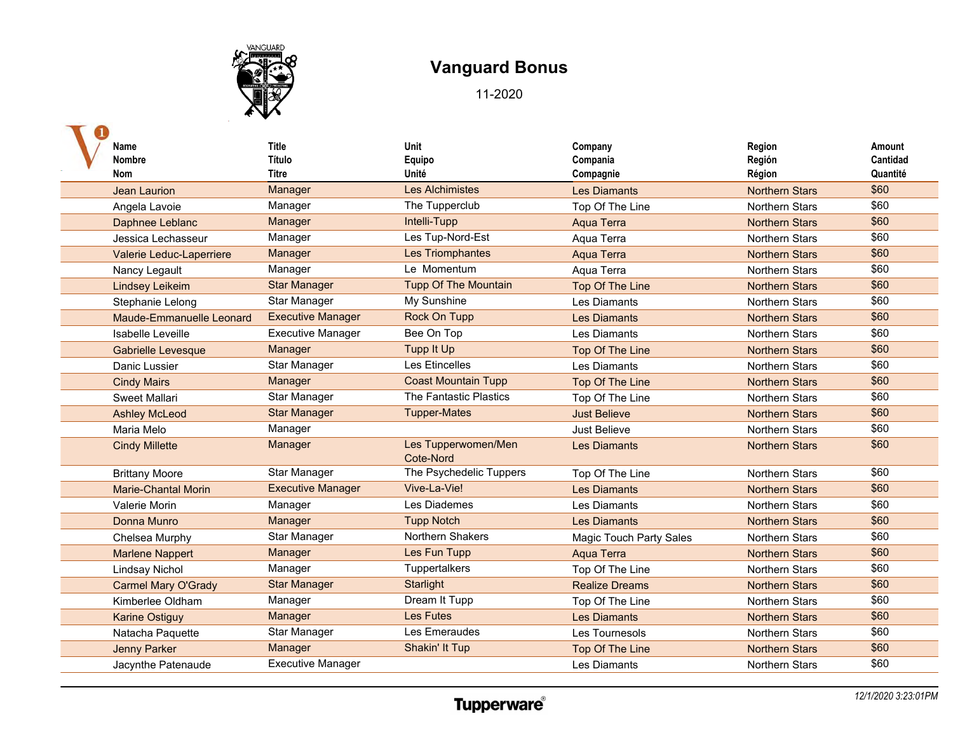

| Name                       | <b>Title</b>             | Unit                             | Company                        | Region                | Amount   |
|----------------------------|--------------------------|----------------------------------|--------------------------------|-----------------------|----------|
| <b>Nombre</b>              | Título                   | Equipo                           | Compania                       | Región                | Cantidad |
| <b>Nom</b>                 | <b>Titre</b>             | Unité                            | Compagnie                      | Région                | Quantité |
| <b>Jean Laurion</b>        | Manager                  | <b>Les Alchimistes</b>           | <b>Les Diamants</b>            | <b>Northern Stars</b> | \$60     |
| Angela Lavoie              | Manager                  | The Tupperclub                   | Top Of The Line                | <b>Northern Stars</b> | \$60     |
| Daphnee Leblanc            | Manager                  | Intelli-Tupp                     | Aqua Terra                     | <b>Northern Stars</b> | \$60     |
| Jessica Lechasseur         | Manager                  | Les Tup-Nord-Est                 | Aqua Terra                     | <b>Northern Stars</b> | \$60     |
| Valerie Leduc-Laperriere   | Manager                  | Les Triomphantes                 | Aqua Terra                     | <b>Northern Stars</b> | \$60     |
| Nancy Legault              | Manager                  | Le Momentum                      | Agua Terra                     | <b>Northern Stars</b> | \$60     |
| <b>Lindsey Leikeim</b>     | <b>Star Manager</b>      | <b>Tupp Of The Mountain</b>      | <b>Top Of The Line</b>         | <b>Northern Stars</b> | \$60     |
| Stephanie Lelong           | Star Manager             | My Sunshine                      | Les Diamants                   | <b>Northern Stars</b> | \$60     |
| Maude-Emmanuelle Leonard   | <b>Executive Manager</b> | Rock On Tupp                     | <b>Les Diamants</b>            | <b>Northern Stars</b> | \$60     |
| Isabelle Leveille          | <b>Executive Manager</b> | Bee On Top                       | Les Diamants                   | <b>Northern Stars</b> | \$60     |
| Gabrielle Levesque         | Manager                  | <b>Tupp It Up</b>                | Top Of The Line                | <b>Northern Stars</b> | \$60     |
| Danic Lussier              | Star Manager             | Les Etincelles                   | Les Diamants                   | <b>Northern Stars</b> | \$60     |
| <b>Cindy Mairs</b>         | Manager                  | <b>Coast Mountain Tupp</b>       | Top Of The Line                | <b>Northern Stars</b> | \$60     |
| Sweet Mallari              | Star Manager             | The Fantastic Plastics           | Top Of The Line                | <b>Northern Stars</b> | \$60     |
| <b>Ashley McLeod</b>       | <b>Star Manager</b>      | <b>Tupper-Mates</b>              | <b>Just Believe</b>            | <b>Northern Stars</b> | \$60     |
| Maria Melo                 | Manager                  |                                  | Just Believe                   | Northern Stars        | \$60     |
| <b>Cindy Millette</b>      | Manager                  | Les Tupperwomen/Men<br>Cote-Nord | <b>Les Diamants</b>            | <b>Northern Stars</b> | \$60     |
| <b>Brittany Moore</b>      | Star Manager             | The Psychedelic Tuppers          | Top Of The Line                | <b>Northern Stars</b> | \$60     |
| <b>Marie-Chantal Morin</b> | <b>Executive Manager</b> | Vive-La-Vie!                     | <b>Les Diamants</b>            | <b>Northern Stars</b> | \$60     |
| Valerie Morin              | Manager                  | Les Diademes                     | Les Diamants                   | <b>Northern Stars</b> | \$60     |
| Donna Munro                | Manager                  | <b>Tupp Notch</b>                | <b>Les Diamants</b>            | <b>Northern Stars</b> | \$60     |
| Chelsea Murphy             | Star Manager             | Northern Shakers                 | <b>Magic Touch Party Sales</b> | <b>Northern Stars</b> | \$60     |
| <b>Marlene Nappert</b>     | Manager                  | Les Fun Tupp                     | <b>Aqua Terra</b>              | <b>Northern Stars</b> | \$60     |
| <b>Lindsay Nichol</b>      | Manager                  | Tuppertalkers                    | Top Of The Line                | <b>Northern Stars</b> | \$60     |
| <b>Carmel Mary O'Grady</b> | <b>Star Manager</b>      | Starlight                        | <b>Realize Dreams</b>          | <b>Northern Stars</b> | \$60     |
| Kimberlee Oldham           | Manager                  | Dream It Tupp                    | Top Of The Line                | Northern Stars        | \$60     |
| <b>Karine Ostiguy</b>      | Manager                  | <b>Les Futes</b>                 | <b>Les Diamants</b>            | <b>Northern Stars</b> | \$60     |
| Natacha Paquette           | Star Manager             | Les Emeraudes                    | Les Tournesols                 | <b>Northern Stars</b> | \$60     |
| <b>Jenny Parker</b>        | Manager                  | Shakin' It Tup                   | <b>Top Of The Line</b>         | <b>Northern Stars</b> | \$60     |
| Jacynthe Patenaude         | <b>Executive Manager</b> |                                  | Les Diamants                   | <b>Northern Stars</b> | \$60     |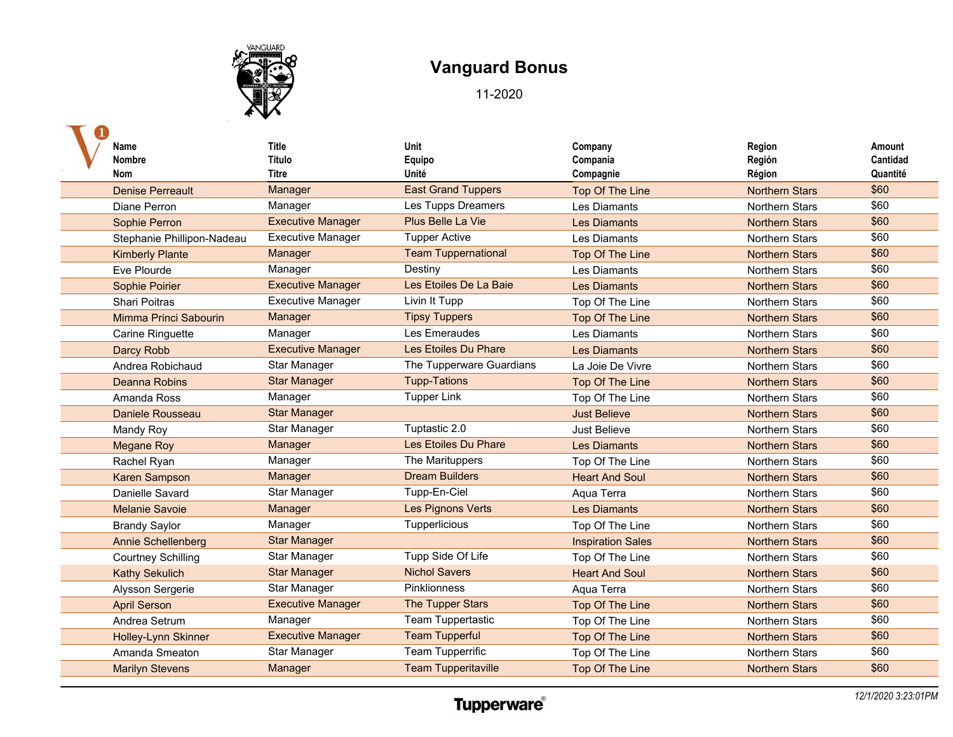

| Name<br><b>Nombre</b><br>Nom | <b>Title</b><br>Título<br>Titre | Unit<br>Equipo<br>Unité    | Company<br>Compania<br>Compagnie | Region<br>Región<br>Région | Amount<br>Cantidad<br>Quantité |
|------------------------------|---------------------------------|----------------------------|----------------------------------|----------------------------|--------------------------------|
| <b>Denise Perreault</b>      | Manager                         | <b>East Grand Tuppers</b>  | Top Of The Line                  | <b>Northern Stars</b>      | \$60                           |
| Diane Perron                 | Manager                         | Les Tupps Dreamers         | Les Diamants                     | <b>Northern Stars</b>      | \$60                           |
| Sophie Perron                | <b>Executive Manager</b>        | Plus Belle La Vie          | <b>Les Diamants</b>              | <b>Northern Stars</b>      | \$60                           |
| Stephanie Phillipon-Nadeau   | <b>Executive Manager</b>        | <b>Tupper Active</b>       | Les Diamants                     | Northern Stars             | \$60                           |
| <b>Kimberly Plante</b>       | Manager                         | <b>Team Tuppernational</b> | Top Of The Line                  | <b>Northern Stars</b>      | \$60                           |
| Eve Plourde                  | Manager                         | Destiny                    | Les Diamants                     | <b>Northern Stars</b>      | \$60                           |
| Sophie Poirier               | <b>Executive Manager</b>        | Les Etoiles De La Baie     | <b>Les Diamants</b>              | <b>Northern Stars</b>      | \$60                           |
| Shari Poitras                | <b>Executive Manager</b>        | Livin It Tupp              | Top Of The Line                  | Northern Stars             | \$60                           |
| Mimma Princi Sabourin        | Manager                         | <b>Tipsy Tuppers</b>       | Top Of The Line                  | <b>Northern Stars</b>      | \$60                           |
| Carine Ringuette             | Manager                         | Les Emeraudes              | Les Diamants                     | <b>Northern Stars</b>      | \$60                           |
| Darcy Robb                   | <b>Executive Manager</b>        | Les Etoiles Du Phare       | <b>Les Diamants</b>              | <b>Northern Stars</b>      | \$60                           |
| Andrea Robichaud             | Star Manager                    | The Tupperware Guardians   | La Joie De Vivre                 | <b>Northern Stars</b>      | \$60                           |
| <b>Deanna Robins</b>         | <b>Star Manager</b>             | <b>Tupp-Tations</b>        | Top Of The Line                  | <b>Northern Stars</b>      | \$60                           |
| Amanda Ross                  | Manager                         | <b>Tupper Link</b>         | Top Of The Line                  | <b>Northern Stars</b>      | \$60                           |
| Daniele Rousseau             | <b>Star Manager</b>             |                            | <b>Just Believe</b>              | <b>Northern Stars</b>      | \$60                           |
| <b>Mandy Roy</b>             | Star Manager                    | Tuptastic 2.0              | <b>Just Believe</b>              | <b>Northern Stars</b>      | \$60                           |
| <b>Megane Roy</b>            | Manager                         | Les Etoiles Du Phare       | <b>Les Diamants</b>              | <b>Northern Stars</b>      | \$60                           |
| Rachel Ryan                  | Manager                         | The Marituppers            | Top Of The Line                  | <b>Northern Stars</b>      | \$60                           |
| <b>Karen Sampson</b>         | Manager                         | <b>Dream Builders</b>      | <b>Heart And Soul</b>            | <b>Northern Stars</b>      | \$60                           |
| Danielle Savard              | Star Manager                    | Tupp-En-Ciel               | Aqua Terra                       | Northern Stars             | \$60                           |
| <b>Melanie Savoie</b>        | Manager                         | Les Pignons Verts          | <b>Les Diamants</b>              | <b>Northern Stars</b>      | \$60                           |
| <b>Brandy Saylor</b>         | Manager                         | Tupperlicious              | Top Of The Line                  | Northern Stars             | \$60                           |
| <b>Annie Schellenberg</b>    | <b>Star Manager</b>             |                            | <b>Inspiration Sales</b>         | <b>Northern Stars</b>      | \$60                           |
| <b>Courtney Schilling</b>    | <b>Star Manager</b>             | Tupp Side Of Life          | Top Of The Line                  | <b>Northern Stars</b>      | \$60                           |
| <b>Kathy Sekulich</b>        | <b>Star Manager</b>             | <b>Nichol Savers</b>       | <b>Heart And Soul</b>            | <b>Northern Stars</b>      | \$60                           |
| Alysson Sergerie             | Star Manager                    | <b>Pinklionness</b>        | Aqua Terra                       | <b>Northern Stars</b>      | \$60                           |
| <b>April Serson</b>          | <b>Executive Manager</b>        | The Tupper Stars           | Top Of The Line                  | <b>Northern Stars</b>      | \$60                           |
| Andrea Setrum                | Manager                         | Team Tuppertastic          | Top Of The Line                  | <b>Northern Stars</b>      | \$60                           |
| Holley-Lynn Skinner          | <b>Executive Manager</b>        | <b>Team Tupperful</b>      | Top Of The Line                  | <b>Northern Stars</b>      | \$60                           |
| Amanda Smeaton               | Star Manager                    | Team Tupperrific           | Top Of The Line                  | <b>Northern Stars</b>      | \$60                           |
| <b>Marilyn Stevens</b>       | Manager                         | <b>Team Tupperitaville</b> | Top Of The Line                  | <b>Northern Stars</b>      | \$60                           |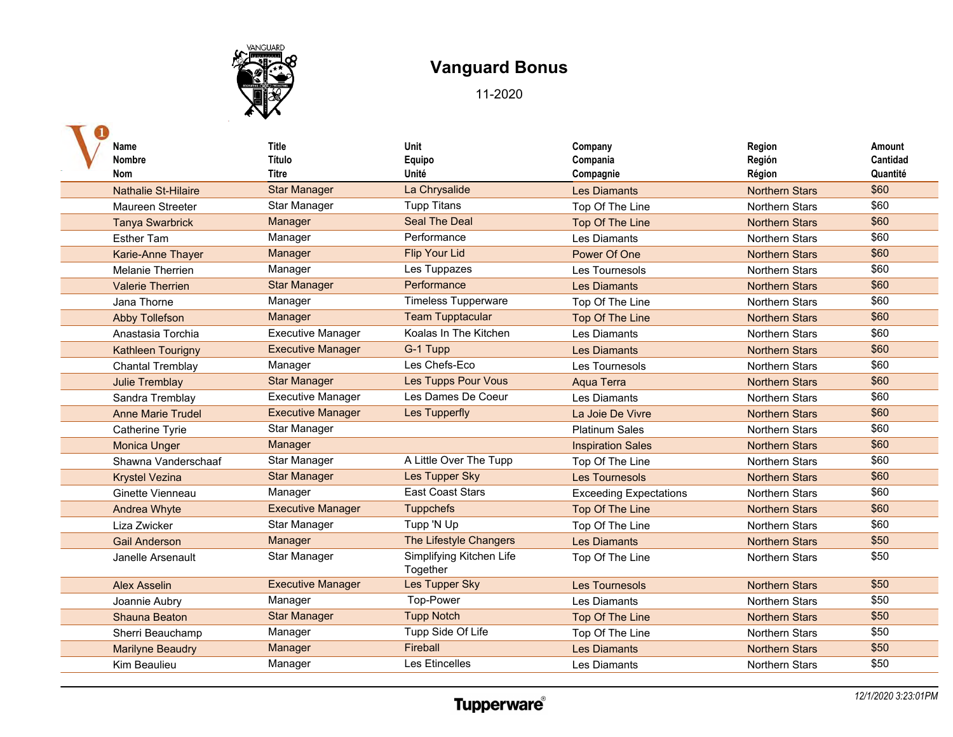

| Name<br><b>Nombre</b><br>Nom | <b>Title</b><br>Título<br>Titre | Unit<br>Equipo<br>Unité              | Company<br>Compania              | Region<br>Región                | Amount<br>Cantidad<br>Quantité |
|------------------------------|---------------------------------|--------------------------------------|----------------------------------|---------------------------------|--------------------------------|
| <b>Nathalie St-Hilaire</b>   | <b>Star Manager</b>             | La Chrysalide                        | Compagnie<br><b>Les Diamants</b> | Région<br><b>Northern Stars</b> | \$60                           |
| Maureen Streeter             | <b>Star Manager</b>             | <b>Tupp Titans</b>                   | Top Of The Line                  | <b>Northern Stars</b>           | \$60                           |
| <b>Tanya Swarbrick</b>       | Manager                         | <b>Seal The Deal</b>                 | Top Of The Line                  | <b>Northern Stars</b>           | \$60                           |
| <b>Esther Tam</b>            | Manager                         | Performance                          | Les Diamants                     | <b>Northern Stars</b>           | \$60                           |
| <b>Karie-Anne Thayer</b>     | Manager                         | <b>Flip Your Lid</b>                 | Power Of One                     | <b>Northern Stars</b>           | \$60                           |
| <b>Melanie Therrien</b>      | Manager                         | Les Tuppazes                         | Les Tournesols                   | <b>Northern Stars</b>           | \$60                           |
| <b>Valerie Therrien</b>      | <b>Star Manager</b>             | Performance                          | <b>Les Diamants</b>              | <b>Northern Stars</b>           | \$60                           |
| Jana Thorne                  | Manager                         | <b>Timeless Tupperware</b>           | Top Of The Line                  | Northern Stars                  | \$60                           |
| <b>Abby Tollefson</b>        | Manager                         | <b>Team Tupptacular</b>              | Top Of The Line                  | <b>Northern Stars</b>           | \$60                           |
| Anastasia Torchia            | <b>Executive Manager</b>        | Koalas In The Kitchen                | Les Diamants                     | <b>Northern Stars</b>           | \$60                           |
| Kathleen Tourigny            | <b>Executive Manager</b>        | G-1 Tupp                             | <b>Les Diamants</b>              | <b>Northern Stars</b>           | \$60                           |
| <b>Chantal Tremblay</b>      | Manager                         | Les Chefs-Eco                        | Les Tournesols                   | <b>Northern Stars</b>           | \$60                           |
| <b>Julie Tremblay</b>        | <b>Star Manager</b>             | <b>Les Tupps Pour Vous</b>           | <b>Aqua Terra</b>                | <b>Northern Stars</b>           | \$60                           |
| Sandra Tremblay              | <b>Executive Manager</b>        | Les Dames De Coeur                   | Les Diamants                     | <b>Northern Stars</b>           | \$60                           |
| <b>Anne Marie Trudel</b>     | <b>Executive Manager</b>        | Les Tupperfly                        | La Joie De Vivre                 | <b>Northern Stars</b>           | \$60                           |
| Catherine Tyrie              | Star Manager                    |                                      | <b>Platinum Sales</b>            | <b>Northern Stars</b>           | \$60                           |
| <b>Monica Unger</b>          | Manager                         |                                      | <b>Inspiration Sales</b>         | <b>Northern Stars</b>           | \$60                           |
| Shawna Vanderschaaf          | Star Manager                    | A Little Over The Tupp               | Top Of The Line                  | <b>Northern Stars</b>           | \$60                           |
| <b>Krystel Vezina</b>        | <b>Star Manager</b>             | Les Tupper Sky                       | <b>Les Tournesols</b>            | <b>Northern Stars</b>           | \$60                           |
| Ginette Vienneau             | Manager                         | <b>East Coast Stars</b>              | <b>Exceeding Expectations</b>    | <b>Northern Stars</b>           | \$60                           |
| <b>Andrea Whyte</b>          | <b>Executive Manager</b>        | <b>Tuppchefs</b>                     | Top Of The Line                  | <b>Northern Stars</b>           | \$60                           |
| Liza Zwicker                 | Star Manager                    | Tupp 'N Up                           | Top Of The Line                  | Northern Stars                  | \$60                           |
| <b>Gail Anderson</b>         | Manager                         | The Lifestyle Changers               | <b>Les Diamants</b>              | <b>Northern Stars</b>           | \$50                           |
| Janelle Arsenault            | <b>Star Manager</b>             | Simplifying Kitchen Life<br>Together | Top Of The Line                  | <b>Northern Stars</b>           | \$50                           |
| <b>Alex Asselin</b>          | <b>Executive Manager</b>        | Les Tupper Sky                       | <b>Les Tournesols</b>            | <b>Northern Stars</b>           | \$50                           |
| Joannie Aubry                | Manager                         | Top-Power                            | Les Diamants                     | <b>Northern Stars</b>           | \$50                           |
| Shauna Beaton                | <b>Star Manager</b>             | <b>Tupp Notch</b>                    | Top Of The Line                  | <b>Northern Stars</b>           | \$50                           |
| Sherri Beauchamp             | Manager                         | Tupp Side Of Life                    | Top Of The Line                  | <b>Northern Stars</b>           | \$50                           |
| <b>Marilyne Beaudry</b>      | Manager                         | Fireball                             | <b>Les Diamants</b>              | <b>Northern Stars</b>           | \$50                           |
| Kim Beaulieu                 | Manager                         | Les Etincelles                       | Les Diamants                     | <b>Northern Stars</b>           | \$50                           |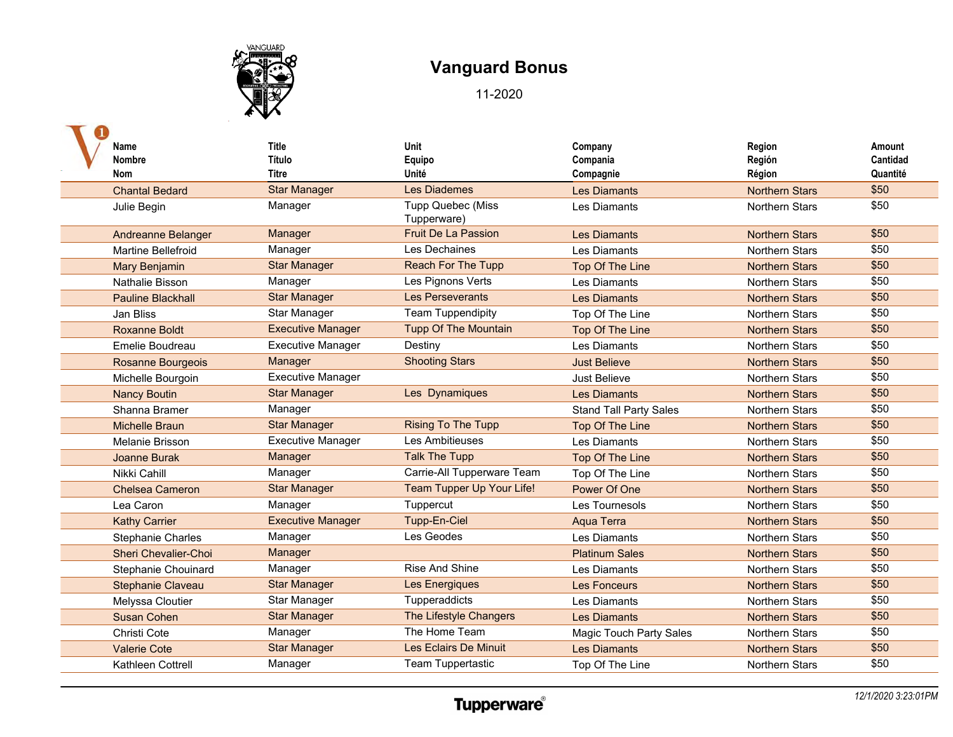

| Name                        | <b>Title</b>             | Unit                             | Company                        | Region                | Amount   |
|-----------------------------|--------------------------|----------------------------------|--------------------------------|-----------------------|----------|
| <b>Nombre</b>               | <b>Título</b>            | Equipo                           | Compania                       | Región                | Cantidad |
| <b>Nom</b>                  | Titre                    | Unité                            | Compagnie                      | Région                | Quantité |
| <b>Chantal Bedard</b>       | <b>Star Manager</b>      | <b>Les Diademes</b>              | <b>Les Diamants</b>            | <b>Northern Stars</b> | \$50     |
| Julie Begin                 | Manager                  | Tupp Quebec (Miss<br>Tupperware) | Les Diamants                   | <b>Northern Stars</b> | \$50     |
| <b>Andreanne Belanger</b>   | Manager                  | <b>Fruit De La Passion</b>       | <b>Les Diamants</b>            | <b>Northern Stars</b> | \$50     |
| <b>Martine Bellefroid</b>   | Manager                  | Les Dechaines                    | Les Diamants                   | <b>Northern Stars</b> | \$50     |
| <b>Mary Benjamin</b>        | <b>Star Manager</b>      | <b>Reach For The Tupp</b>        | Top Of The Line                | <b>Northern Stars</b> | \$50     |
| Nathalie Bisson             | Manager                  | Les Pignons Verts                | Les Diamants                   | Northern Stars        | \$50     |
| <b>Pauline Blackhall</b>    | <b>Star Manager</b>      | Les Perseverants                 | <b>Les Diamants</b>            | <b>Northern Stars</b> | \$50     |
| Jan Bliss                   | Star Manager             | <b>Team Tuppendipity</b>         | Top Of The Line                | <b>Northern Stars</b> | \$50     |
| <b>Roxanne Boldt</b>        | <b>Executive Manager</b> | <b>Tupp Of The Mountain</b>      | Top Of The Line                | <b>Northern Stars</b> | \$50     |
| Emelie Boudreau             | <b>Executive Manager</b> | Destiny                          | Les Diamants                   | Northern Stars        | \$50     |
| Rosanne Bourgeois           | Manager                  | <b>Shooting Stars</b>            | <b>Just Believe</b>            | <b>Northern Stars</b> | \$50     |
| Michelle Bourgoin           | <b>Executive Manager</b> |                                  | Just Believe                   | <b>Northern Stars</b> | \$50     |
| <b>Nancy Boutin</b>         | <b>Star Manager</b>      | Les Dynamiques                   | <b>Les Diamants</b>            | <b>Northern Stars</b> | \$50     |
| Shanna Bramer               | Manager                  |                                  | <b>Stand Tall Party Sales</b>  | <b>Northern Stars</b> | \$50     |
| <b>Michelle Braun</b>       | <b>Star Manager</b>      | <b>Rising To The Tupp</b>        | Top Of The Line                | <b>Northern Stars</b> | \$50     |
| Melanie Brisson             | <b>Executive Manager</b> | Les Ambitieuses                  | Les Diamants                   | <b>Northern Stars</b> | \$50     |
| Joanne Burak                | Manager                  | <b>Talk The Tupp</b>             | Top Of The Line                | <b>Northern Stars</b> | \$50     |
| Nikki Cahill                | Manager                  | Carrie-All Tupperware Team       | Top Of The Line                | <b>Northern Stars</b> | \$50     |
| <b>Chelsea Cameron</b>      | <b>Star Manager</b>      | Team Tupper Up Your Life!        | Power Of One                   | <b>Northern Stars</b> | \$50     |
| Lea Caron                   | Manager                  | Tuppercut                        | Les Tournesols                 | <b>Northern Stars</b> | \$50     |
| <b>Kathy Carrier</b>        | <b>Executive Manager</b> | Tupp-En-Ciel                     | Aqua Terra                     | <b>Northern Stars</b> | \$50     |
| <b>Stephanie Charles</b>    | Manager                  | Les Geodes                       | <b>Les Diamants</b>            | <b>Northern Stars</b> | \$50     |
| <b>Sheri Chevalier-Choi</b> | Manager                  |                                  | <b>Platinum Sales</b>          | <b>Northern Stars</b> | \$50     |
| Stephanie Chouinard         | Manager                  | <b>Rise And Shine</b>            | Les Diamants                   | <b>Northern Stars</b> | \$50     |
| <b>Stephanie Claveau</b>    | <b>Star Manager</b>      | Les Energiques                   | Les Fonceurs                   | <b>Northern Stars</b> | \$50     |
| Melyssa Cloutier            | Star Manager             | Tupperaddicts                    | Les Diamants                   | Northern Stars        | \$50     |
| <b>Susan Cohen</b>          | <b>Star Manager</b>      | The Lifestyle Changers           | <b>Les Diamants</b>            | <b>Northern Stars</b> | \$50     |
| Christi Cote                | Manager                  | The Home Team                    | <b>Magic Touch Party Sales</b> | Northern Stars        | \$50     |
| <b>Valerie Cote</b>         | <b>Star Manager</b>      | Les Eclairs De Minuit            | <b>Les Diamants</b>            | <b>Northern Stars</b> | \$50     |
| Kathleen Cottrell           | Manager                  | Team Tuppertastic                | Top Of The Line                | <b>Northern Stars</b> | \$50     |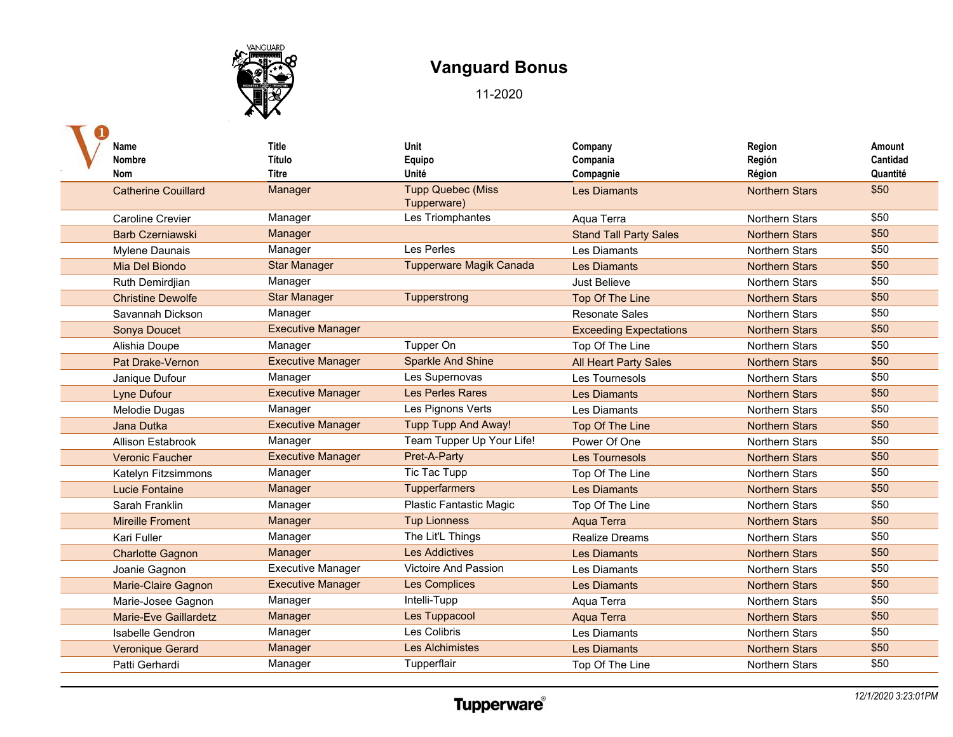

| Name                         | <b>Title</b>             | Unit                                    | Company                       | Region                | Amount   |
|------------------------------|--------------------------|-----------------------------------------|-------------------------------|-----------------------|----------|
| <b>Nombre</b>                | Título                   | Equipo                                  | Compania                      | Región                | Cantidad |
| <b>Nom</b>                   | <b>Titre</b>             | Unité                                   | Compagnie                     | Région                | Quantité |
| <b>Catherine Couillard</b>   | Manager                  | <b>Tupp Quebec (Miss</b><br>Tupperware) | <b>Les Diamants</b>           | <b>Northern Stars</b> | \$50     |
| <b>Caroline Crevier</b>      | Manager                  | Les Triomphantes                        | Aqua Terra                    | <b>Northern Stars</b> | \$50     |
| <b>Barb Czerniawski</b>      | Manager                  |                                         | <b>Stand Tall Party Sales</b> | <b>Northern Stars</b> | \$50     |
| <b>Mylene Daunais</b>        | Manager                  | Les Perles                              | Les Diamants                  | Northern Stars        | \$50     |
| Mia Del Biondo               | <b>Star Manager</b>      | <b>Tupperware Magik Canada</b>          | <b>Les Diamants</b>           | <b>Northern Stars</b> | \$50     |
| Ruth Demirdjian              | Manager                  |                                         | Just Believe                  | <b>Northern Stars</b> | \$50     |
| <b>Christine Dewolfe</b>     | <b>Star Manager</b>      | Tupperstrong                            | Top Of The Line               | <b>Northern Stars</b> | \$50     |
| Savannah Dickson             | Manager                  |                                         | <b>Resonate Sales</b>         | <b>Northern Stars</b> | \$50     |
| Sonya Doucet                 | <b>Executive Manager</b> |                                         | <b>Exceeding Expectations</b> | <b>Northern Stars</b> | \$50     |
| Alishia Doupe                | Manager                  | Tupper On                               | Top Of The Line               | <b>Northern Stars</b> | \$50     |
| Pat Drake-Vernon             | <b>Executive Manager</b> | <b>Sparkle And Shine</b>                | <b>All Heart Party Sales</b>  | <b>Northern Stars</b> | \$50     |
| Janique Dufour               | Manager                  | Les Supernovas                          | Les Tournesols                | Northern Stars        | \$50     |
| <b>Lyne Dufour</b>           | <b>Executive Manager</b> | <b>Les Perles Rares</b>                 | <b>Les Diamants</b>           | <b>Northern Stars</b> | \$50     |
| Melodie Dugas                | Manager                  | Les Pignons Verts                       | Les Diamants                  | Northern Stars        | \$50     |
| Jana Dutka                   | <b>Executive Manager</b> | Tupp Tupp And Away!                     | Top Of The Line               | <b>Northern Stars</b> | \$50     |
| Allison Estabrook            | Manager                  | Team Tupper Up Your Life!               | Power Of One                  | <b>Northern Stars</b> | \$50     |
| <b>Veronic Faucher</b>       | <b>Executive Manager</b> | Pret-A-Party                            | <b>Les Tournesols</b>         | <b>Northern Stars</b> | \$50     |
| Katelyn Fitzsimmons          | Manager                  | Tic Tac Tupp                            | Top Of The Line               | <b>Northern Stars</b> | \$50     |
| <b>Lucie Fontaine</b>        | Manager                  | Tupperfarmers                           | <b>Les Diamants</b>           | <b>Northern Stars</b> | \$50     |
| Sarah Franklin               | Manager                  | <b>Plastic Fantastic Magic</b>          | Top Of The Line               | <b>Northern Stars</b> | \$50     |
| <b>Mireille Froment</b>      | Manager                  | <b>Tup Lionness</b>                     | Aqua Terra                    | <b>Northern Stars</b> | \$50     |
| Kari Fuller                  | Manager                  | The Lit'L Things                        | <b>Realize Dreams</b>         | Northern Stars        | \$50     |
| <b>Charlotte Gagnon</b>      | Manager                  | <b>Les Addictives</b>                   | <b>Les Diamants</b>           | <b>Northern Stars</b> | \$50     |
| Joanie Gagnon                | <b>Executive Manager</b> | Victoire And Passion                    | Les Diamants                  | <b>Northern Stars</b> | \$50     |
| Marie-Claire Gagnon          | <b>Executive Manager</b> | <b>Les Complices</b>                    | <b>Les Diamants</b>           | <b>Northern Stars</b> | \$50     |
| Marie-Josee Gagnon           | Manager                  | Intelli-Tupp                            | Aqua Terra                    | <b>Northern Stars</b> | \$50     |
| <b>Marie-Eve Gaillardetz</b> | Manager                  | Les Tuppacool                           | Aqua Terra                    | <b>Northern Stars</b> | \$50     |
| Isabelle Gendron             | Manager                  | Les Colibris                            | Les Diamants                  | <b>Northern Stars</b> | \$50     |
| <b>Veronique Gerard</b>      | Manager                  | <b>Les Alchimistes</b>                  | <b>Les Diamants</b>           | <b>Northern Stars</b> | \$50     |
| Patti Gerhardi               | Manager                  | Tupperflair                             | Top Of The Line               | Northern Stars        | \$50     |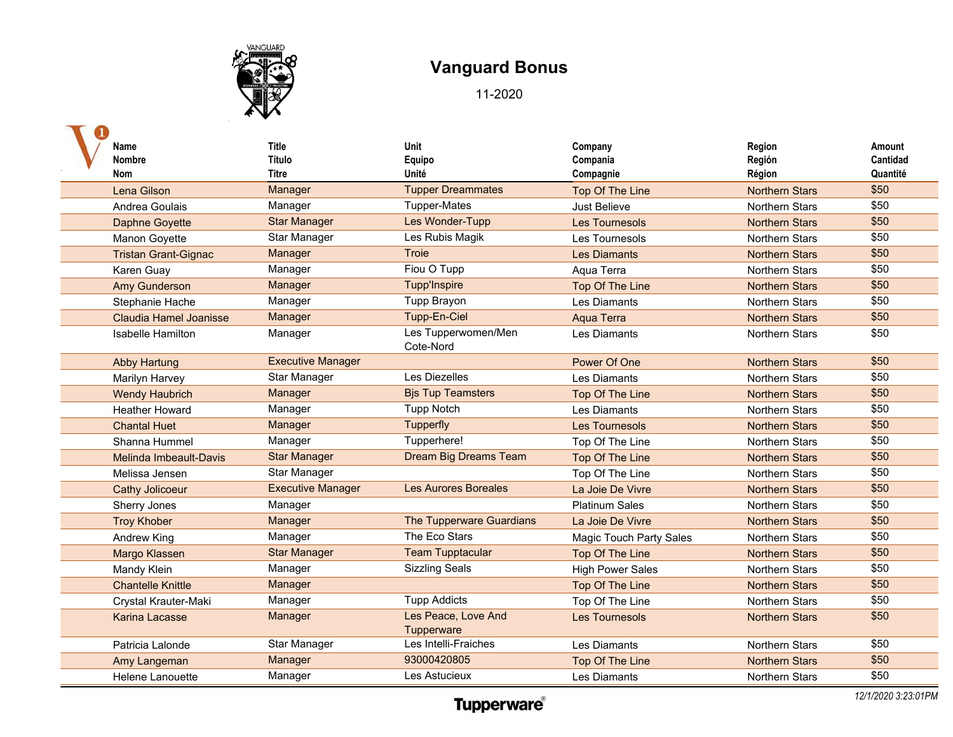

| Name<br><b>Nombre</b>       | Title<br>Título          | <b>Unit</b><br>Equipo             | Company<br>Compania            | Region<br>Región      | Amount<br>Cantidad |
|-----------------------------|--------------------------|-----------------------------------|--------------------------------|-----------------------|--------------------|
| <b>Nom</b>                  | Titre                    | Unité                             | Compagnie                      | Région                | Quantité           |
| Lena Gilson                 | Manager                  | <b>Tupper Dreammates</b>          | Top Of The Line                | <b>Northern Stars</b> | \$50               |
| Andrea Goulais              | Manager                  | <b>Tupper-Mates</b>               | <b>Just Believe</b>            | <b>Northern Stars</b> | \$50               |
| <b>Daphne Goyette</b>       | <b>Star Manager</b>      | Les Wonder-Tupp                   | <b>Les Tournesols</b>          | <b>Northern Stars</b> | \$50               |
| Manon Goyette               | Star Manager             | Les Rubis Magik                   | Les Tournesols                 | <b>Northern Stars</b> | \$50               |
| <b>Tristan Grant-Gignac</b> | Manager                  | <b>Troie</b>                      | <b>Les Diamants</b>            | <b>Northern Stars</b> | \$50               |
| Karen Guay                  | Manager                  | Fiou O Tupp                       | Aqua Terra                     | <b>Northern Stars</b> | \$50               |
| <b>Amy Gunderson</b>        | Manager                  | <b>Tupp'Inspire</b>               | Top Of The Line                | <b>Northern Stars</b> | \$50               |
| Stephanie Hache             | Manager                  | Tupp Brayon                       | Les Diamants                   | <b>Northern Stars</b> | \$50               |
| Claudia Hamel Joanisse      | Manager                  | Tupp-En-Ciel                      | Aqua Terra                     | <b>Northern Stars</b> | \$50               |
| <b>Isabelle Hamilton</b>    | Manager                  | Les Tupperwomen/Men<br>Cote-Nord  | Les Diamants                   | <b>Northern Stars</b> | \$50               |
| <b>Abby Hartung</b>         | <b>Executive Manager</b> |                                   | Power Of One                   | <b>Northern Stars</b> | \$50               |
| Marilyn Harvey              | Star Manager             | Les Diezelles                     | Les Diamants                   | <b>Northern Stars</b> | \$50               |
| <b>Wendy Haubrich</b>       | Manager                  | <b>Bjs Tup Teamsters</b>          | Top Of The Line                | <b>Northern Stars</b> | \$50               |
| <b>Heather Howard</b>       | Manager                  | <b>Tupp Notch</b>                 | Les Diamants                   | <b>Northern Stars</b> | \$50               |
| <b>Chantal Huet</b>         | Manager                  | Tupperfly                         | <b>Les Tournesols</b>          | <b>Northern Stars</b> | \$50               |
| Shanna Hummel               | Manager                  | Tupperhere!                       | Top Of The Line                | <b>Northern Stars</b> | \$50               |
| Melinda Imbeault-Davis      | <b>Star Manager</b>      | Dream Big Dreams Team             | Top Of The Line                | <b>Northern Stars</b> | \$50               |
| Melissa Jensen              | Star Manager             |                                   | Top Of The Line                | <b>Northern Stars</b> | \$50               |
| <b>Cathy Jolicoeur</b>      | <b>Executive Manager</b> | <b>Les Aurores Boreales</b>       | La Joie De Vivre               | <b>Northern Stars</b> | \$50               |
| Sherry Jones                | Manager                  |                                   | <b>Platinum Sales</b>          | <b>Northern Stars</b> | \$50               |
| <b>Troy Khober</b>          | Manager                  | The Tupperware Guardians          | La Joie De Vivre               | <b>Northern Stars</b> | \$50               |
| <b>Andrew King</b>          | Manager                  | The Eco Stars                     | <b>Magic Touch Party Sales</b> | Northern Stars        | \$50               |
| Margo Klassen               | <b>Star Manager</b>      | <b>Team Tupptacular</b>           | Top Of The Line                | <b>Northern Stars</b> | \$50               |
| Mandy Klein                 | Manager                  | <b>Sizzling Seals</b>             | <b>High Power Sales</b>        | <b>Northern Stars</b> | \$50               |
| <b>Chantelle Knittle</b>    | Manager                  |                                   | Top Of The Line                | <b>Northern Stars</b> | \$50               |
| Crystal Krauter-Maki        | Manager                  | <b>Tupp Addicts</b>               | Top Of The Line                | <b>Northern Stars</b> | \$50               |
| Karina Lacasse              | Manager                  | Les Peace, Love And<br>Tupperware | <b>Les Tournesols</b>          | <b>Northern Stars</b> | \$50               |
| Patricia Lalonde            | Star Manager             | Les Intelli-Fraiches              | Les Diamants                   | <b>Northern Stars</b> | \$50               |
| Amy Langeman                | Manager                  | 93000420805                       | Top Of The Line                | <b>Northern Stars</b> | \$50               |
| Helene Lanouette            | Manager                  | Les Astucieux                     | Les Diamants                   | <b>Northern Stars</b> | \$50               |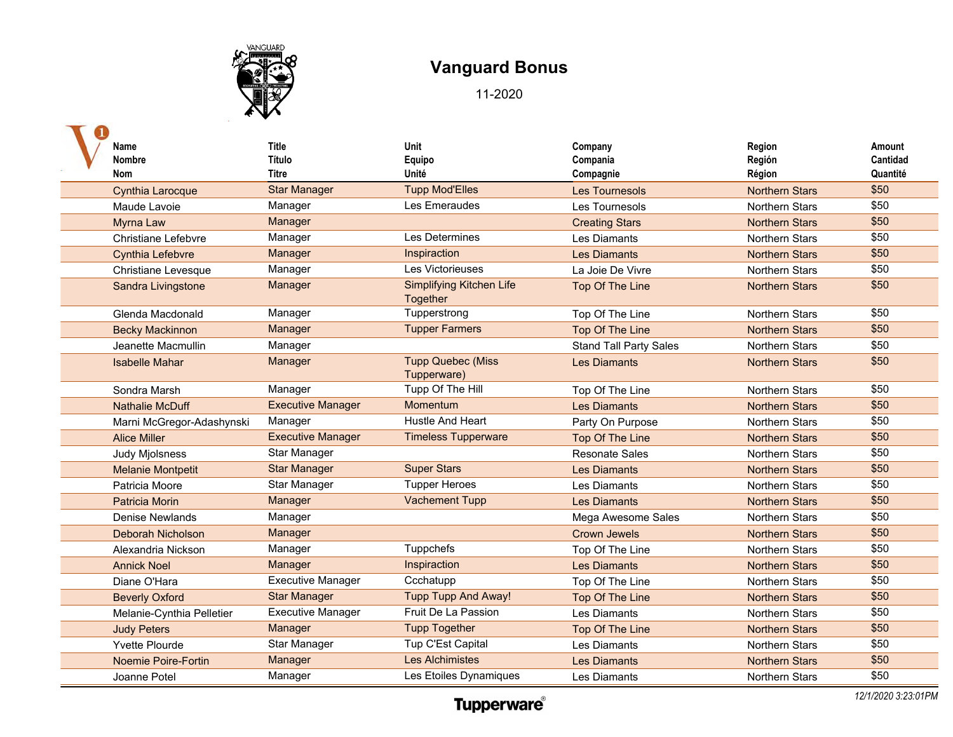

| Name                       | <b>Title</b>             | Unit                                        | Company                       | Region                | Amount   |
|----------------------------|--------------------------|---------------------------------------------|-------------------------------|-----------------------|----------|
| <b>Nombre</b>              | Título                   | Equipo                                      | Compania                      | Región                | Cantidad |
| <b>Nom</b>                 | <b>Titre</b>             | Unité                                       | Compagnie                     | Région                | Quantité |
| <b>Cynthia Larocque</b>    | <b>Star Manager</b>      | <b>Tupp Mod'Elles</b>                       | <b>Les Tournesols</b>         | <b>Northern Stars</b> | \$50     |
| Maude Lavoie               | Manager                  | Les Emeraudes                               | Les Tournesols                | <b>Northern Stars</b> | \$50     |
| <b>Myrna Law</b>           | Manager                  |                                             | <b>Creating Stars</b>         | <b>Northern Stars</b> | \$50     |
| Christiane Lefebvre        | Manager                  | Les Determines                              | Les Diamants                  | <b>Northern Stars</b> | \$50     |
| <b>Cynthia Lefebvre</b>    | Manager                  | Inspiraction                                | <b>Les Diamants</b>           | <b>Northern Stars</b> | \$50     |
| <b>Christiane Levesque</b> | Manager                  | Les Victorieuses                            | La Joie De Vivre              | <b>Northern Stars</b> | \$50     |
| Sandra Livingstone         | Manager                  | <b>Simplifying Kitchen Life</b><br>Together | Top Of The Line               | <b>Northern Stars</b> | \$50     |
| Glenda Macdonald           | Manager                  | Tupperstrong                                | Top Of The Line               | <b>Northern Stars</b> | \$50     |
| <b>Becky Mackinnon</b>     | Manager                  | <b>Tupper Farmers</b>                       | Top Of The Line               | <b>Northern Stars</b> | \$50     |
| Jeanette Macmullin         | Manager                  |                                             | <b>Stand Tall Party Sales</b> | <b>Northern Stars</b> | \$50     |
| <b>Isabelle Mahar</b>      | Manager                  | <b>Tupp Quebec (Miss</b><br>Tupperware)     | <b>Les Diamants</b>           | <b>Northern Stars</b> | \$50     |
| Sondra Marsh               | Manager                  | Tupp Of The Hill                            | Top Of The Line               | <b>Northern Stars</b> | \$50     |
| <b>Nathalie McDuff</b>     | <b>Executive Manager</b> | Momentum                                    | <b>Les Diamants</b>           | <b>Northern Stars</b> | \$50     |
| Marni McGregor-Adashynski  | Manager                  | Hustle And Heart                            | Party On Purpose              | <b>Northern Stars</b> | \$50     |
| <b>Alice Miller</b>        | <b>Executive Manager</b> | <b>Timeless Tupperware</b>                  | <b>Top Of The Line</b>        | <b>Northern Stars</b> | \$50     |
| <b>Judy Mjolsness</b>      | Star Manager             |                                             | <b>Resonate Sales</b>         | <b>Northern Stars</b> | \$50     |
| <b>Melanie Montpetit</b>   | <b>Star Manager</b>      | <b>Super Stars</b>                          | <b>Les Diamants</b>           | <b>Northern Stars</b> | \$50     |
| Patricia Moore             | Star Manager             | <b>Tupper Heroes</b>                        | Les Diamants                  | <b>Northern Stars</b> | \$50     |
| <b>Patricia Morin</b>      | Manager                  | <b>Vachement Tupp</b>                       | <b>Les Diamants</b>           | <b>Northern Stars</b> | \$50     |
| Denise Newlands            | Manager                  |                                             | Mega Awesome Sales            | <b>Northern Stars</b> | \$50     |
| <b>Deborah Nicholson</b>   | Manager                  |                                             | <b>Crown Jewels</b>           | <b>Northern Stars</b> | \$50     |
| Alexandria Nickson         | Manager                  | Tuppchefs                                   | Top Of The Line               | Northern Stars        | \$50     |
| <b>Annick Noel</b>         | Manager                  | Inspiraction                                | <b>Les Diamants</b>           | <b>Northern Stars</b> | \$50     |
| Diane O'Hara               | <b>Executive Manager</b> | Ccchatupp                                   | Top Of The Line               | <b>Northern Stars</b> | \$50     |
| <b>Beverly Oxford</b>      | <b>Star Manager</b>      | <b>Tupp Tupp And Away!</b>                  | Top Of The Line               | <b>Northern Stars</b> | \$50     |
| Melanie-Cynthia Pelletier  | <b>Executive Manager</b> | Fruit De La Passion                         | Les Diamants                  | <b>Northern Stars</b> | \$50     |
| <b>Judy Peters</b>         | Manager                  | <b>Tupp Together</b>                        | Top Of The Line               | <b>Northern Stars</b> | \$50     |
| Yvette Plourde             | Star Manager             | Tup C'Est Capital                           | Les Diamants                  | Northern Stars        | \$50     |
| Noemie Poire-Fortin        | Manager                  | <b>Les Alchimistes</b>                      | <b>Les Diamants</b>           | <b>Northern Stars</b> | \$50     |
| Joanne Potel               | Manager                  | Les Etoiles Dynamiques                      | Les Diamants                  | <b>Northern Stars</b> | \$50     |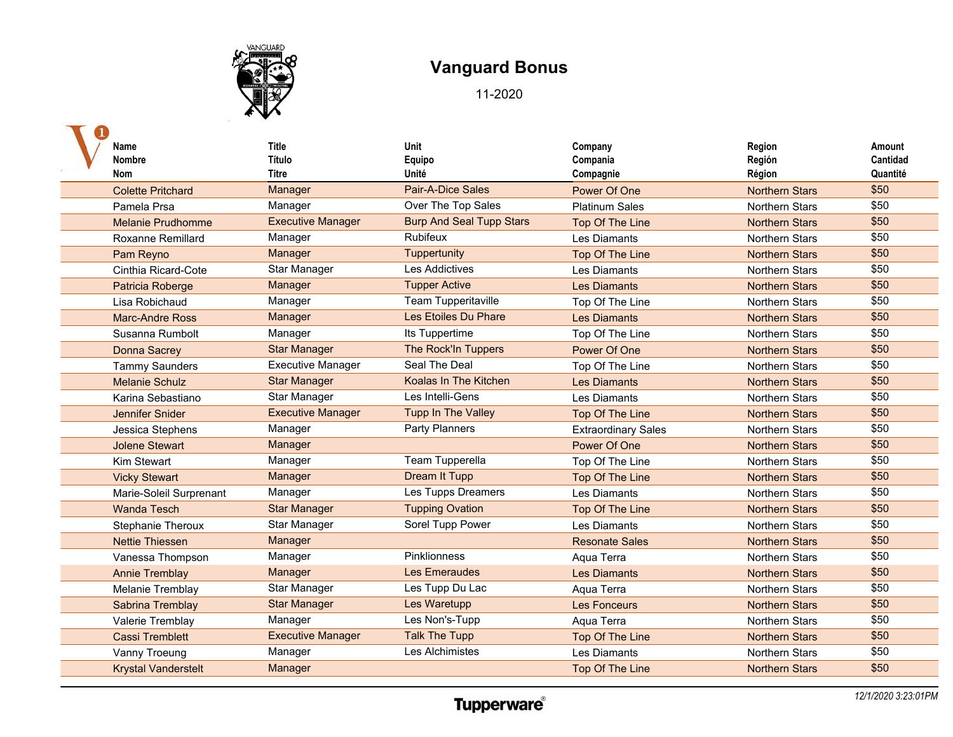

| Name<br><b>Nombre</b><br>Nom | <b>Title</b><br>Título<br>Titre | Unit<br>Equipo<br>Unité         | Company<br>Compania<br>Compagnie | Region<br>Región<br>Région | Amount<br>Cantidad<br>Quantité |
|------------------------------|---------------------------------|---------------------------------|----------------------------------|----------------------------|--------------------------------|
| <b>Colette Pritchard</b>     | Manager                         | Pair-A-Dice Sales               | Power Of One                     | <b>Northern Stars</b>      | \$50                           |
| Pamela Prsa                  | Manager                         | Over The Top Sales              | <b>Platinum Sales</b>            | <b>Northern Stars</b>      | \$50                           |
| <b>Melanie Prudhomme</b>     | <b>Executive Manager</b>        | <b>Burp And Seal Tupp Stars</b> | Top Of The Line                  | <b>Northern Stars</b>      | \$50                           |
| <b>Roxanne Remillard</b>     | Manager                         | Rubifeux                        | Les Diamants                     | <b>Northern Stars</b>      | \$50                           |
| Pam Reyno                    | Manager                         | Tuppertunity                    | Top Of The Line                  | <b>Northern Stars</b>      | \$50                           |
| Cinthia Ricard-Cote          | Star Manager                    | <b>Les Addictives</b>           | Les Diamants                     | <b>Northern Stars</b>      | \$50                           |
| Patricia Roberge             | Manager                         | <b>Tupper Active</b>            | <b>Les Diamants</b>              | <b>Northern Stars</b>      | \$50                           |
| Lisa Robichaud               | Manager                         | Team Tupperitaville             | Top Of The Line                  | <b>Northern Stars</b>      | \$50                           |
| Marc-Andre Ross              | Manager                         | Les Etoiles Du Phare            | <b>Les Diamants</b>              | <b>Northern Stars</b>      | \$50                           |
| Susanna Rumbolt              | Manager                         | Its Tuppertime                  | Top Of The Line                  | <b>Northern Stars</b>      | \$50                           |
| Donna Sacrey                 | <b>Star Manager</b>             | <b>The Rock'In Tuppers</b>      | Power Of One                     | <b>Northern Stars</b>      | \$50                           |
| <b>Tammy Saunders</b>        | <b>Executive Manager</b>        | Seal The Deal                   | Top Of The Line                  | <b>Northern Stars</b>      | \$50                           |
| <b>Melanie Schulz</b>        | <b>Star Manager</b>             | Koalas In The Kitchen           | <b>Les Diamants</b>              | <b>Northern Stars</b>      | \$50                           |
| Karina Sebastiano            | Star Manager                    | Les Intelli-Gens                | Les Diamants                     | Northern Stars             | \$50                           |
| Jennifer Snider              | <b>Executive Manager</b>        | <b>Tupp In The Valley</b>       | Top Of The Line                  | <b>Northern Stars</b>      | \$50                           |
| Jessica Stephens             | Manager                         | Party Planners                  | <b>Extraordinary Sales</b>       | <b>Northern Stars</b>      | \$50                           |
| <b>Jolene Stewart</b>        | Manager                         |                                 | Power Of One                     | <b>Northern Stars</b>      | \$50                           |
| Kim Stewart                  | Manager                         | Team Tupperella                 | Top Of The Line                  | <b>Northern Stars</b>      | \$50                           |
| <b>Vicky Stewart</b>         | Manager                         | <b>Dream It Tupp</b>            | Top Of The Line                  | <b>Northern Stars</b>      | \$50                           |
| Marie-Soleil Surprenant      | Manager                         | Les Tupps Dreamers              | Les Diamants                     | <b>Northern Stars</b>      | \$50                           |
| <b>Wanda Tesch</b>           | <b>Star Manager</b>             | <b>Tupping Ovation</b>          | Top Of The Line                  | <b>Northern Stars</b>      | \$50                           |
| <b>Stephanie Theroux</b>     | Star Manager                    | Sorel Tupp Power                | Les Diamants                     | <b>Northern Stars</b>      | \$50                           |
| <b>Nettie Thiessen</b>       | Manager                         |                                 | <b>Resonate Sales</b>            | <b>Northern Stars</b>      | \$50                           |
| Vanessa Thompson             | Manager                         | Pinklionness                    | Aqua Terra                       | <b>Northern Stars</b>      | \$50                           |
| <b>Annie Tremblay</b>        | Manager                         | Les Emeraudes                   | <b>Les Diamants</b>              | <b>Northern Stars</b>      | \$50                           |
| <b>Melanie Tremblay</b>      | Star Manager                    | Les Tupp Du Lac                 | Aqua Terra                       | <b>Northern Stars</b>      | \$50                           |
| Sabrina Tremblay             | <b>Star Manager</b>             | Les Waretupp                    | <b>Les Fonceurs</b>              | <b>Northern Stars</b>      | \$50                           |
| Valerie Tremblay             | Manager                         | Les Non's-Tupp                  | Aqua Terra                       | Northern Stars             | \$50                           |
| <b>Cassi Tremblett</b>       | <b>Executive Manager</b>        | <b>Talk The Tupp</b>            | Top Of The Line                  | <b>Northern Stars</b>      | \$50                           |
| Vanny Troeung                | Manager                         | Les Alchimistes                 | Les Diamants                     | Northern Stars             | \$50                           |
| <b>Krystal Vanderstelt</b>   | Manager                         |                                 | <b>Top Of The Line</b>           | <b>Northern Stars</b>      | \$50                           |